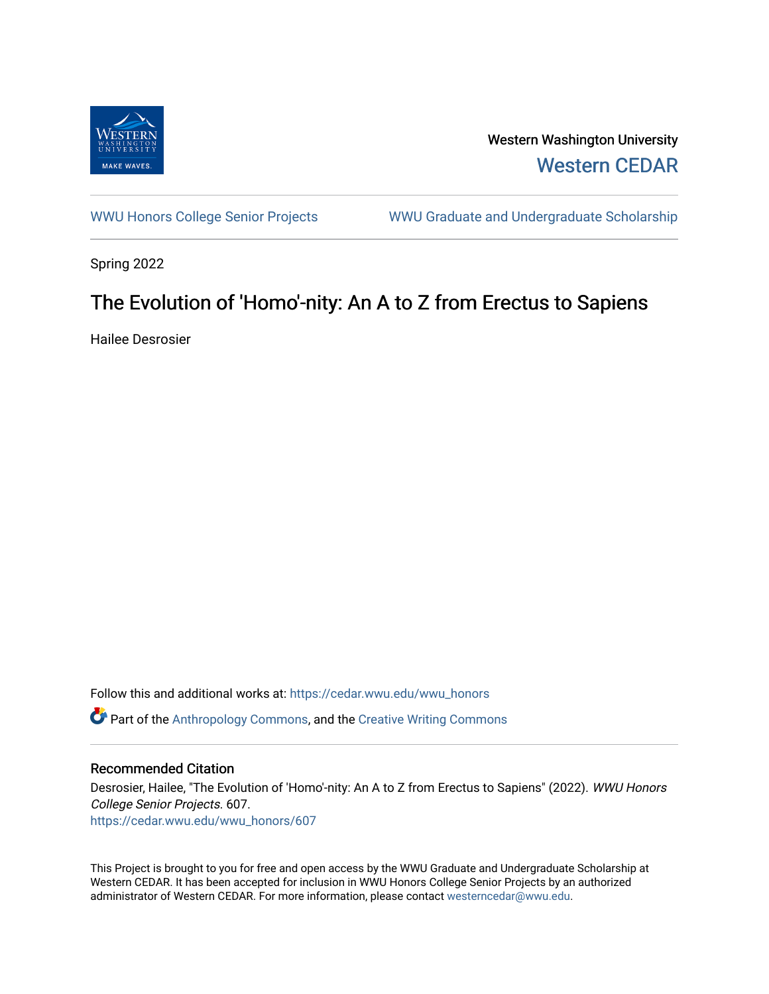

Western Washington University [Western CEDAR](https://cedar.wwu.edu/) 

[WWU Honors College Senior Projects](https://cedar.wwu.edu/wwu_honors) WWU Graduate and Undergraduate Scholarship

Spring 2022

# The Evolution of 'Homo'-nity: An A to Z from Erectus to Sapiens

Hailee Desrosier

Follow this and additional works at: [https://cedar.wwu.edu/wwu\\_honors](https://cedar.wwu.edu/wwu_honors?utm_source=cedar.wwu.edu%2Fwwu_honors%2F607&utm_medium=PDF&utm_campaign=PDFCoverPages)   $\bullet$  Part of the [Anthropology Commons](https://network.bepress.com/hgg/discipline/318?utm_source=cedar.wwu.edu%2Fwwu_honors%2F607&utm_medium=PDF&utm_campaign=PDFCoverPages), and the [Creative Writing Commons](https://network.bepress.com/hgg/discipline/574?utm_source=cedar.wwu.edu%2Fwwu_honors%2F607&utm_medium=PDF&utm_campaign=PDFCoverPages)

### Recommended Citation

Desrosier, Hailee, "The Evolution of 'Homo'-nity: An A to Z from Erectus to Sapiens" (2022). WWU Honors College Senior Projects. 607. [https://cedar.wwu.edu/wwu\\_honors/607](https://cedar.wwu.edu/wwu_honors/607?utm_source=cedar.wwu.edu%2Fwwu_honors%2F607&utm_medium=PDF&utm_campaign=PDFCoverPages)

This Project is brought to you for free and open access by the WWU Graduate and Undergraduate Scholarship at Western CEDAR. It has been accepted for inclusion in WWU Honors College Senior Projects by an authorized administrator of Western CEDAR. For more information, please contact [westerncedar@wwu.edu](mailto:westerncedar@wwu.edu).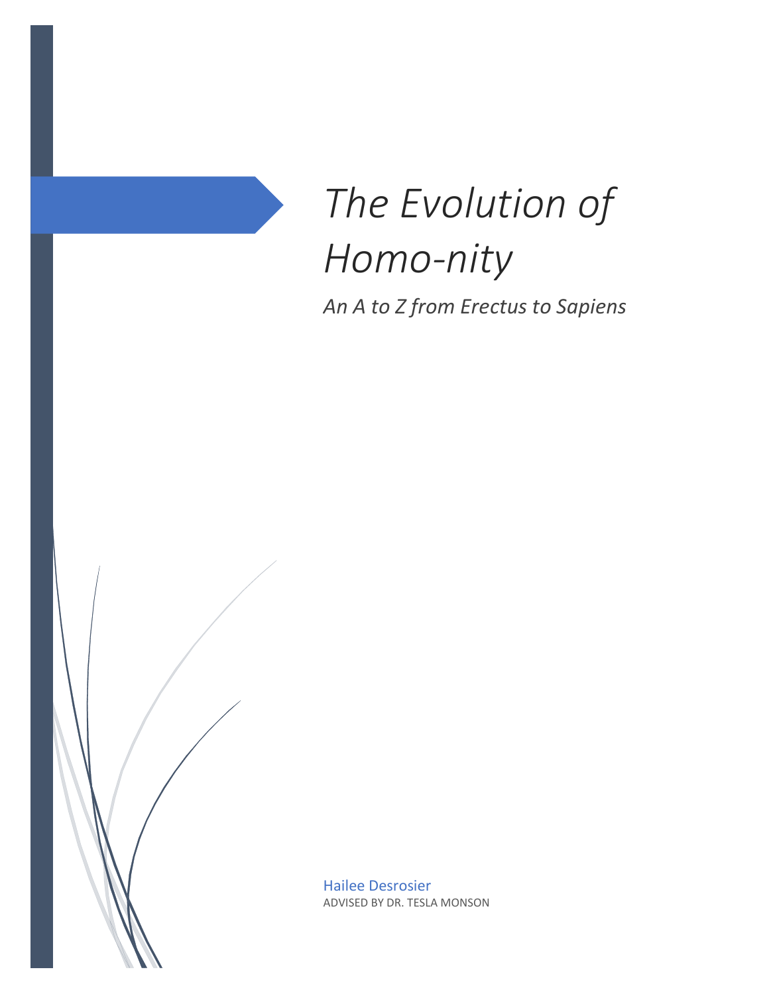

*An A to Z from Erectus to Sapiens*

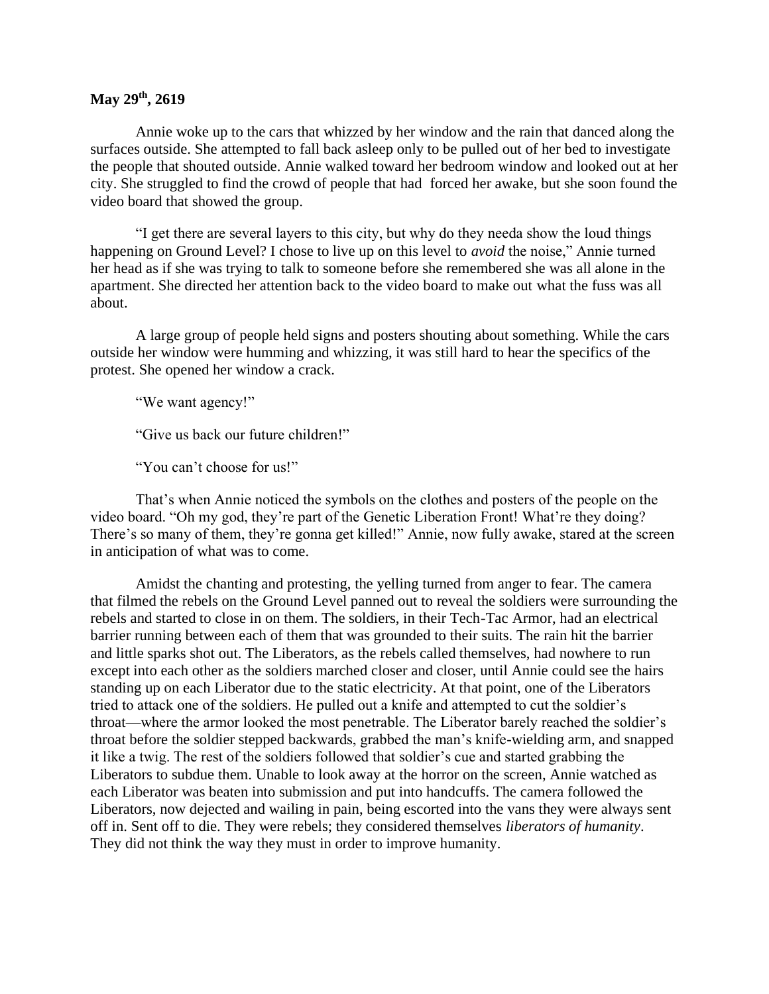# **May 29th, 2619**

Annie woke up to the cars that whizzed by her window and the rain that danced along the surfaces outside. She attempted to fall back asleep only to be pulled out of her bed to investigate the people that shouted outside. Annie walked toward her bedroom window and looked out at her city. She struggled to find the crowd of people that had forced her awake, but she soon found the video board that showed the group.

"I get there are several layers to this city, but why do they needa show the loud things happening on Ground Level? I chose to live up on this level to *avoid* the noise," Annie turned her head as if she was trying to talk to someone before she remembered she was all alone in the apartment. She directed her attention back to the video board to make out what the fuss was all about.

A large group of people held signs and posters shouting about something. While the cars outside her window were humming and whizzing, it was still hard to hear the specifics of the protest. She opened her window a crack.

"We want agency!"

"Give us back our future children!"

"You can't choose for us!"

That's when Annie noticed the symbols on the clothes and posters of the people on the video board. "Oh my god, they're part of the Genetic Liberation Front! What're they doing? There's so many of them, they're gonna get killed!" Annie, now fully awake, stared at the screen in anticipation of what was to come.

Amidst the chanting and protesting, the yelling turned from anger to fear. The camera that filmed the rebels on the Ground Level panned out to reveal the soldiers were surrounding the rebels and started to close in on them. The soldiers, in their Tech-Tac Armor, had an electrical barrier running between each of them that was grounded to their suits. The rain hit the barrier and little sparks shot out. The Liberators, as the rebels called themselves, had nowhere to run except into each other as the soldiers marched closer and closer, until Annie could see the hairs standing up on each Liberator due to the static electricity. At that point, one of the Liberators tried to attack one of the soldiers. He pulled out a knife and attempted to cut the soldier's throat—where the armor looked the most penetrable. The Liberator barely reached the soldier's throat before the soldier stepped backwards, grabbed the man's knife-wielding arm, and snapped it like a twig. The rest of the soldiers followed that soldier's cue and started grabbing the Liberators to subdue them. Unable to look away at the horror on the screen, Annie watched as each Liberator was beaten into submission and put into handcuffs. The camera followed the Liberators, now dejected and wailing in pain, being escorted into the vans they were always sent off in. Sent off to die. They were rebels; they considered themselves *liberators of humanity*. They did not think the way they must in order to improve humanity.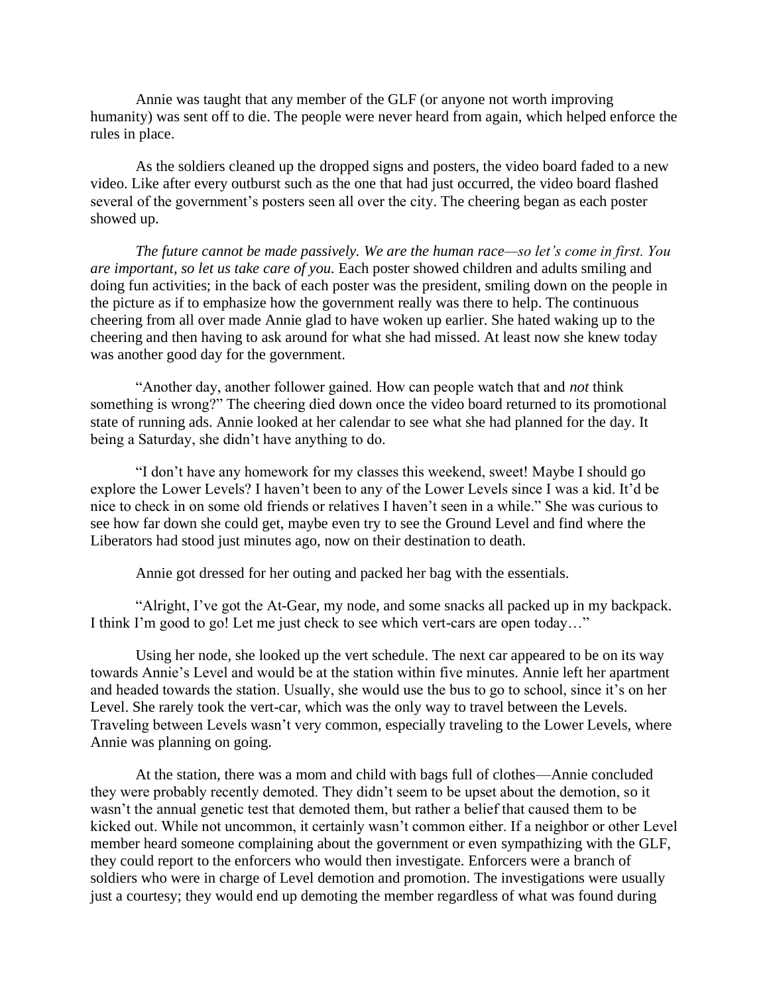Annie was taught that any member of the GLF (or anyone not worth improving humanity) was sent off to die. The people were never heard from again, which helped enforce the rules in place.

As the soldiers cleaned up the dropped signs and posters, the video board faded to a new video. Like after every outburst such as the one that had just occurred, the video board flashed several of the government's posters seen all over the city. The cheering began as each poster showed up.

*The future cannot be made passively. We are the human race—so let's come in first. You are important, so let us take care of you.* Each poster showed children and adults smiling and doing fun activities; in the back of each poster was the president, smiling down on the people in the picture as if to emphasize how the government really was there to help. The continuous cheering from all over made Annie glad to have woken up earlier. She hated waking up to the cheering and then having to ask around for what she had missed. At least now she knew today was another good day for the government.

"Another day, another follower gained. How can people watch that and *not* think something is wrong?" The cheering died down once the video board returned to its promotional state of running ads. Annie looked at her calendar to see what she had planned for the day. It being a Saturday, she didn't have anything to do.

"I don't have any homework for my classes this weekend, sweet! Maybe I should go explore the Lower Levels? I haven't been to any of the Lower Levels since I was a kid. It'd be nice to check in on some old friends or relatives I haven't seen in a while." She was curious to see how far down she could get, maybe even try to see the Ground Level and find where the Liberators had stood just minutes ago, now on their destination to death.

Annie got dressed for her outing and packed her bag with the essentials.

"Alright, I've got the At-Gear, my node, and some snacks all packed up in my backpack. I think I'm good to go! Let me just check to see which vert-cars are open today…"

Using her node, she looked up the vert schedule. The next car appeared to be on its way towards Annie's Level and would be at the station within five minutes. Annie left her apartment and headed towards the station. Usually, she would use the bus to go to school, since it's on her Level. She rarely took the vert-car, which was the only way to travel between the Levels. Traveling between Levels wasn't very common, especially traveling to the Lower Levels, where Annie was planning on going.

At the station, there was a mom and child with bags full of clothes—Annie concluded they were probably recently demoted. They didn't seem to be upset about the demotion, so it wasn't the annual genetic test that demoted them, but rather a belief that caused them to be kicked out. While not uncommon, it certainly wasn't common either. If a neighbor or other Level member heard someone complaining about the government or even sympathizing with the GLF, they could report to the enforcers who would then investigate. Enforcers were a branch of soldiers who were in charge of Level demotion and promotion. The investigations were usually just a courtesy; they would end up demoting the member regardless of what was found during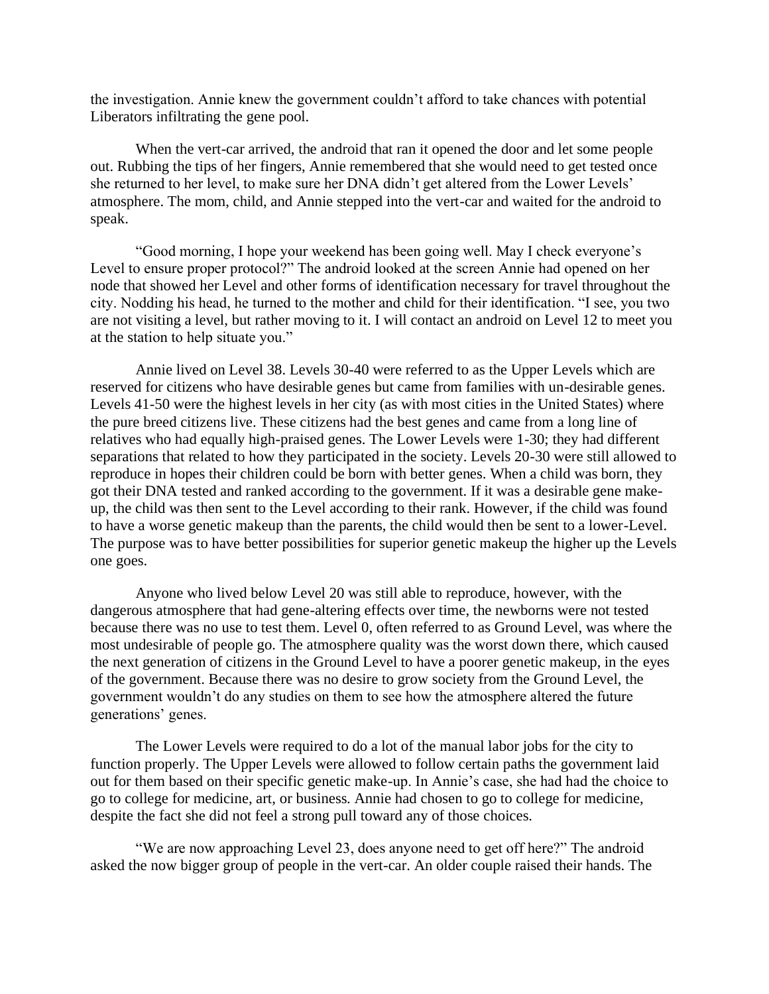the investigation. Annie knew the government couldn't afford to take chances with potential Liberators infiltrating the gene pool.

When the vert-car arrived, the android that ran it opened the door and let some people out. Rubbing the tips of her fingers, Annie remembered that she would need to get tested once she returned to her level, to make sure her DNA didn't get altered from the Lower Levels' atmosphere. The mom, child, and Annie stepped into the vert-car and waited for the android to speak.

"Good morning, I hope your weekend has been going well. May I check everyone's Level to ensure proper protocol?" The android looked at the screen Annie had opened on her node that showed her Level and other forms of identification necessary for travel throughout the city. Nodding his head, he turned to the mother and child for their identification. "I see, you two are not visiting a level, but rather moving to it. I will contact an android on Level 12 to meet you at the station to help situate you."

Annie lived on Level 38. Levels 30-40 were referred to as the Upper Levels which are reserved for citizens who have desirable genes but came from families with un-desirable genes. Levels 41-50 were the highest levels in her city (as with most cities in the United States) where the pure breed citizens live. These citizens had the best genes and came from a long line of relatives who had equally high-praised genes. The Lower Levels were 1-30; they had different separations that related to how they participated in the society. Levels 20-30 were still allowed to reproduce in hopes their children could be born with better genes. When a child was born, they got their DNA tested and ranked according to the government. If it was a desirable gene makeup, the child was then sent to the Level according to their rank. However, if the child was found to have a worse genetic makeup than the parents, the child would then be sent to a lower-Level. The purpose was to have better possibilities for superior genetic makeup the higher up the Levels one goes.

Anyone who lived below Level 20 was still able to reproduce, however, with the dangerous atmosphere that had gene-altering effects over time, the newborns were not tested because there was no use to test them. Level 0, often referred to as Ground Level, was where the most undesirable of people go. The atmosphere quality was the worst down there, which caused the next generation of citizens in the Ground Level to have a poorer genetic makeup, in the eyes of the government. Because there was no desire to grow society from the Ground Level, the government wouldn't do any studies on them to see how the atmosphere altered the future generations' genes.

The Lower Levels were required to do a lot of the manual labor jobs for the city to function properly. The Upper Levels were allowed to follow certain paths the government laid out for them based on their specific genetic make-up. In Annie's case, she had had the choice to go to college for medicine, art, or business. Annie had chosen to go to college for medicine, despite the fact she did not feel a strong pull toward any of those choices.

"We are now approaching Level 23, does anyone need to get off here?" The android asked the now bigger group of people in the vert-car. An older couple raised their hands. The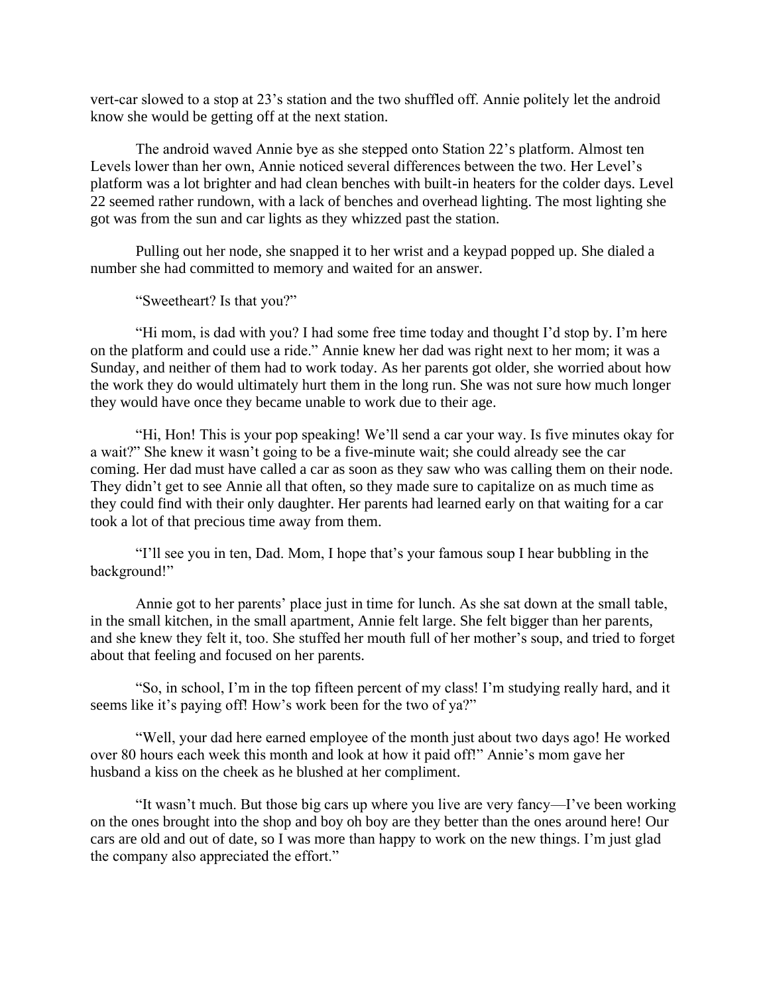vert-car slowed to a stop at 23's station and the two shuffled off. Annie politely let the android know she would be getting off at the next station.

The android waved Annie bye as she stepped onto Station 22's platform. Almost ten Levels lower than her own, Annie noticed several differences between the two. Her Level's platform was a lot brighter and had clean benches with built-in heaters for the colder days. Level 22 seemed rather rundown, with a lack of benches and overhead lighting. The most lighting she got was from the sun and car lights as they whizzed past the station.

Pulling out her node, she snapped it to her wrist and a keypad popped up. She dialed a number she had committed to memory and waited for an answer.

"Sweetheart? Is that you?"

"Hi mom, is dad with you? I had some free time today and thought I'd stop by. I'm here on the platform and could use a ride." Annie knew her dad was right next to her mom; it was a Sunday, and neither of them had to work today. As her parents got older, she worried about how the work they do would ultimately hurt them in the long run. She was not sure how much longer they would have once they became unable to work due to their age.

"Hi, Hon! This is your pop speaking! We'll send a car your way. Is five minutes okay for a wait?" She knew it wasn't going to be a five-minute wait; she could already see the car coming. Her dad must have called a car as soon as they saw who was calling them on their node. They didn't get to see Annie all that often, so they made sure to capitalize on as much time as they could find with their only daughter. Her parents had learned early on that waiting for a car took a lot of that precious time away from them.

"I'll see you in ten, Dad. Mom, I hope that's your famous soup I hear bubbling in the background!"

Annie got to her parents' place just in time for lunch. As she sat down at the small table, in the small kitchen, in the small apartment, Annie felt large. She felt bigger than her parents, and she knew they felt it, too. She stuffed her mouth full of her mother's soup, and tried to forget about that feeling and focused on her parents.

"So, in school, I'm in the top fifteen percent of my class! I'm studying really hard, and it seems like it's paying off! How's work been for the two of ya?"

"Well, your dad here earned employee of the month just about two days ago! He worked over 80 hours each week this month and look at how it paid off!" Annie's mom gave her husband a kiss on the cheek as he blushed at her compliment.

"It wasn't much. But those big cars up where you live are very fancy—I've been working on the ones brought into the shop and boy oh boy are they better than the ones around here! Our cars are old and out of date, so I was more than happy to work on the new things. I'm just glad the company also appreciated the effort."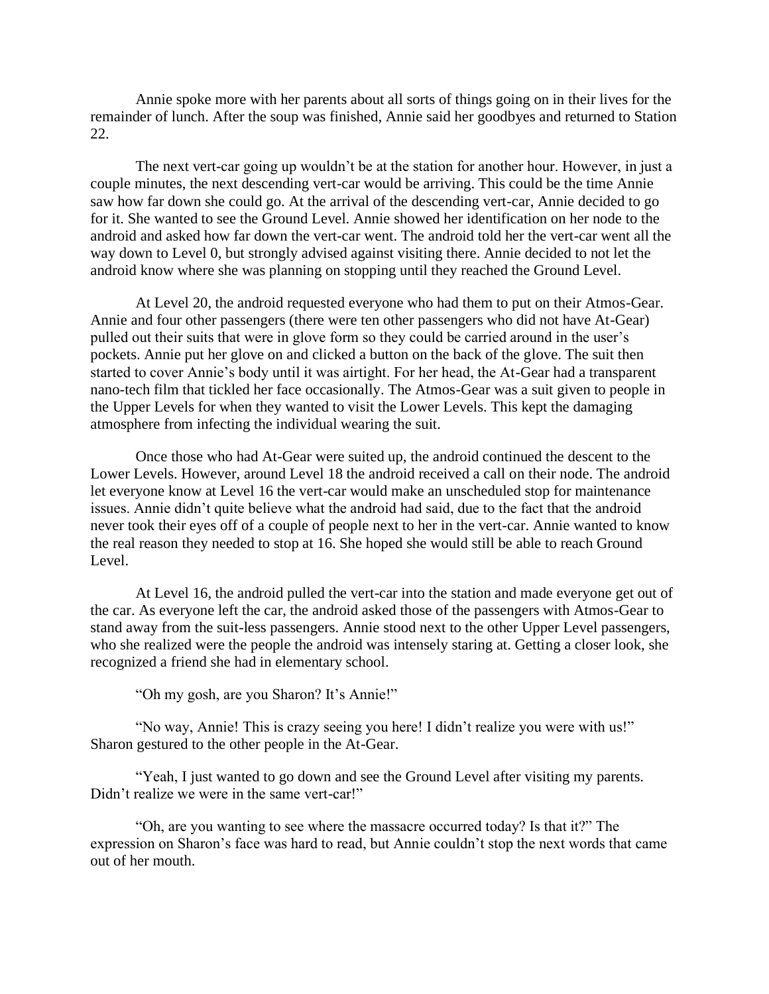Annie spoke more with her parents about all sorts of things going on in their lives for the remainder of lunch. After the soup was finished, Annie said her goodbyes and returned to Station 22.

The next vert-car going up wouldn't be at the station for another hour. However, in just a couple minutes, the next descending vert-car would be arriving. This could be the time Annie saw how far down she could go. At the arrival of the descending vert-car, Annie decided to go for it. She wanted to see the Ground Level. Annie showed her identification on her node to the android and asked how far down the vert-car went. The android told her the vert-car went all the way down to Level 0, but strongly advised against visiting there. Annie decided to not let the android know where she was planning on stopping until they reached the Ground Level.

At Level 20, the android requested everyone who had them to put on their Atmos-Gear. Annie and four other passengers (there were ten other passengers who did not have At-Gear) pulled out their suits that were in glove form so they could be carried around in the user's pockets. Annie put her glove on and clicked a button on the back of the glove. The suit then started to cover Annie's body until it was airtight. For her head, the At-Gear had a transparent nano-tech film that tickled her face occasionally. The Atmos-Gear was a suit given to people in the Upper Levels for when they wanted to visit the Lower Levels. This kept the damaging atmosphere from infecting the individual wearing the suit.

Once those who had At-Gear were suited up, the android continued the descent to the Lower Levels. However, around Level 18 the android received a call on their node. The android let everyone know at Level 16 the vert-car would make an unscheduled stop for maintenance issues. Annie didn't quite believe what the android had said, due to the fact that the android never took their eyes off of a couple of people next to her in the vert-car. Annie wanted to know the real reason they needed to stop at 16. She hoped she would still be able to reach Ground Level.

At Level 16, the android pulled the vert-car into the station and made everyone get out of the car. As everyone left the car, the android asked those of the passengers with Atmos-Gear to stand away from the suit-less passengers. Annie stood next to the other Upper Level passengers, who she realized were the people the android was intensely staring at. Getting a closer look, she recognized a friend she had in elementary school.

"Oh my gosh, are you Sharon? It's Annie!"

"No way, Annie! This is crazy seeing you here! I didn't realize you were with us!" Sharon gestured to the other people in the At-Gear.

"Yeah, I just wanted to go down and see the Ground Level after visiting my parents. Didn't realize we were in the same vert-car!"

"Oh, are you wanting to see where the massacre occurred today? Is that it?" The expression on Sharon's face was hard to read, but Annie couldn't stop the next words that came out of her mouth.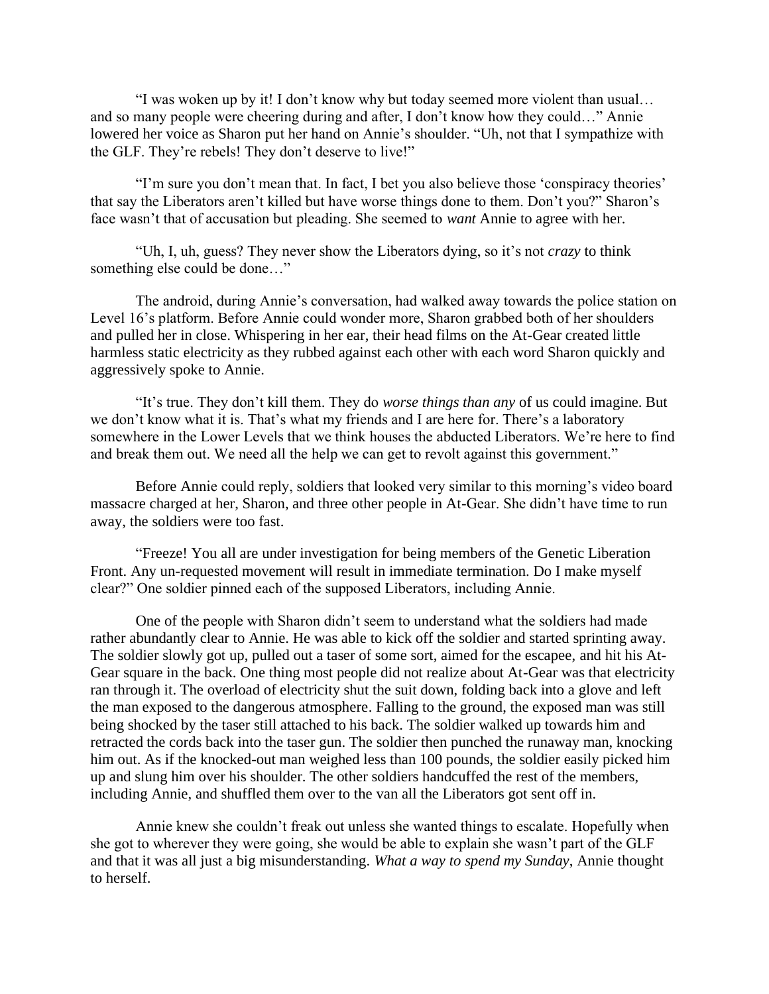"I was woken up by it! I don't know why but today seemed more violent than usual… and so many people were cheering during and after, I don't know how they could…" Annie lowered her voice as Sharon put her hand on Annie's shoulder. "Uh, not that I sympathize with the GLF. They're rebels! They don't deserve to live!"

"I'm sure you don't mean that. In fact, I bet you also believe those 'conspiracy theories' that say the Liberators aren't killed but have worse things done to them. Don't you?" Sharon's face wasn't that of accusation but pleading. She seemed to *want* Annie to agree with her.

"Uh, I, uh, guess? They never show the Liberators dying, so it's not *crazy* to think something else could be done…"

The android, during Annie's conversation, had walked away towards the police station on Level 16's platform. Before Annie could wonder more, Sharon grabbed both of her shoulders and pulled her in close. Whispering in her ear, their head films on the At-Gear created little harmless static electricity as they rubbed against each other with each word Sharon quickly and aggressively spoke to Annie.

"It's true. They don't kill them. They do *worse things than any* of us could imagine. But we don't know what it is. That's what my friends and I are here for. There's a laboratory somewhere in the Lower Levels that we think houses the abducted Liberators. We're here to find and break them out. We need all the help we can get to revolt against this government."

Before Annie could reply, soldiers that looked very similar to this morning's video board massacre charged at her, Sharon, and three other people in At-Gear. She didn't have time to run away, the soldiers were too fast.

"Freeze! You all are under investigation for being members of the Genetic Liberation Front. Any un-requested movement will result in immediate termination. Do I make myself clear?" One soldier pinned each of the supposed Liberators, including Annie.

One of the people with Sharon didn't seem to understand what the soldiers had made rather abundantly clear to Annie. He was able to kick off the soldier and started sprinting away. The soldier slowly got up, pulled out a taser of some sort, aimed for the escapee, and hit his At-Gear square in the back. One thing most people did not realize about At-Gear was that electricity ran through it. The overload of electricity shut the suit down, folding back into a glove and left the man exposed to the dangerous atmosphere. Falling to the ground, the exposed man was still being shocked by the taser still attached to his back. The soldier walked up towards him and retracted the cords back into the taser gun. The soldier then punched the runaway man, knocking him out. As if the knocked-out man weighed less than 100 pounds, the soldier easily picked him up and slung him over his shoulder. The other soldiers handcuffed the rest of the members, including Annie, and shuffled them over to the van all the Liberators got sent off in.

Annie knew she couldn't freak out unless she wanted things to escalate. Hopefully when she got to wherever they were going, she would be able to explain she wasn't part of the GLF and that it was all just a big misunderstanding. *What a way to spend my Sunday*, Annie thought to herself.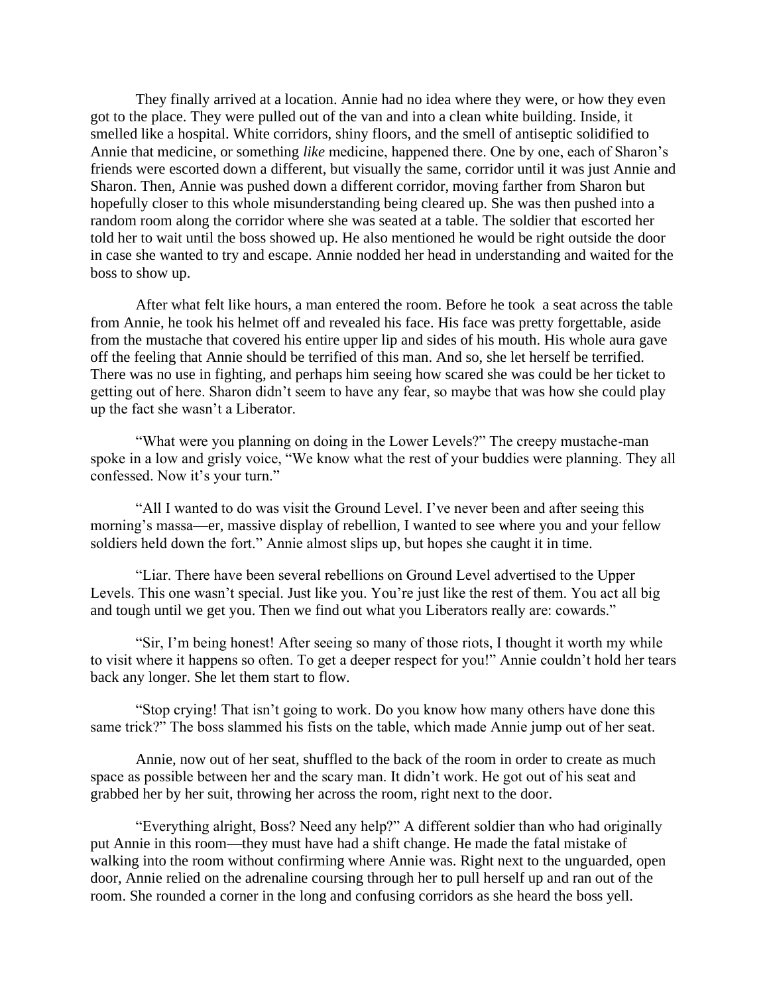They finally arrived at a location. Annie had no idea where they were, or how they even got to the place. They were pulled out of the van and into a clean white building. Inside, it smelled like a hospital. White corridors, shiny floors, and the smell of antiseptic solidified to Annie that medicine, or something *like* medicine, happened there. One by one, each of Sharon's friends were escorted down a different, but visually the same, corridor until it was just Annie and Sharon. Then, Annie was pushed down a different corridor, moving farther from Sharon but hopefully closer to this whole misunderstanding being cleared up. She was then pushed into a random room along the corridor where she was seated at a table. The soldier that escorted her told her to wait until the boss showed up. He also mentioned he would be right outside the door in case she wanted to try and escape. Annie nodded her head in understanding and waited for the boss to show up.

After what felt like hours, a man entered the room. Before he took a seat across the table from Annie, he took his helmet off and revealed his face. His face was pretty forgettable, aside from the mustache that covered his entire upper lip and sides of his mouth. His whole aura gave off the feeling that Annie should be terrified of this man. And so, she let herself be terrified. There was no use in fighting, and perhaps him seeing how scared she was could be her ticket to getting out of here. Sharon didn't seem to have any fear, so maybe that was how she could play up the fact she wasn't a Liberator.

"What were you planning on doing in the Lower Levels?" The creepy mustache-man spoke in a low and grisly voice, "We know what the rest of your buddies were planning. They all confessed. Now it's your turn."

"All I wanted to do was visit the Ground Level. I've never been and after seeing this morning's massa—er, massive display of rebellion, I wanted to see where you and your fellow soldiers held down the fort." Annie almost slips up, but hopes she caught it in time.

"Liar. There have been several rebellions on Ground Level advertised to the Upper Levels. This one wasn't special. Just like you. You're just like the rest of them. You act all big and tough until we get you. Then we find out what you Liberators really are: cowards."

"Sir, I'm being honest! After seeing so many of those riots, I thought it worth my while to visit where it happens so often. To get a deeper respect for you!" Annie couldn't hold her tears back any longer. She let them start to flow.

"Stop crying! That isn't going to work. Do you know how many others have done this same trick?" The boss slammed his fists on the table, which made Annie jump out of her seat.

Annie, now out of her seat, shuffled to the back of the room in order to create as much space as possible between her and the scary man. It didn't work. He got out of his seat and grabbed her by her suit, throwing her across the room, right next to the door.

"Everything alright, Boss? Need any help?" A different soldier than who had originally put Annie in this room—they must have had a shift change. He made the fatal mistake of walking into the room without confirming where Annie was. Right next to the unguarded, open door, Annie relied on the adrenaline coursing through her to pull herself up and ran out of the room. She rounded a corner in the long and confusing corridors as she heard the boss yell.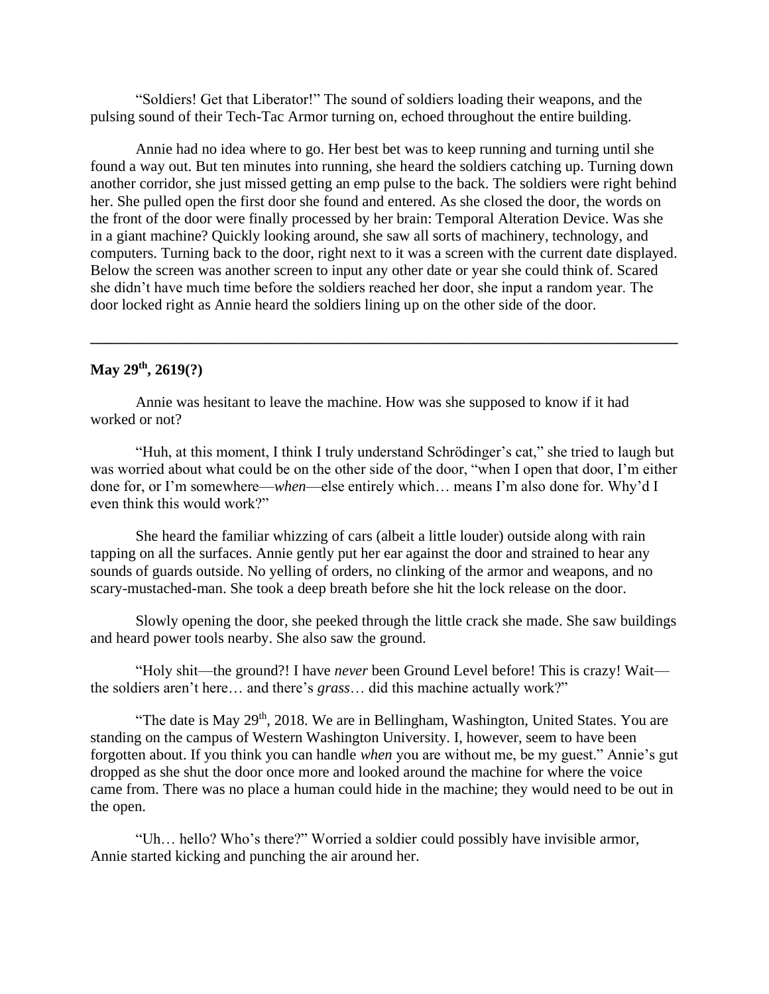"Soldiers! Get that Liberator!" The sound of soldiers loading their weapons, and the pulsing sound of their Tech-Tac Armor turning on, echoed throughout the entire building.

Annie had no idea where to go. Her best bet was to keep running and turning until she found a way out. But ten minutes into running, she heard the soldiers catching up. Turning down another corridor, she just missed getting an emp pulse to the back. The soldiers were right behind her. She pulled open the first door she found and entered. As she closed the door, the words on the front of the door were finally processed by her brain: Temporal Alteration Device. Was she in a giant machine? Quickly looking around, she saw all sorts of machinery, technology, and computers. Turning back to the door, right next to it was a screen with the current date displayed. Below the screen was another screen to input any other date or year she could think of. Scared she didn't have much time before the soldiers reached her door, she input a random year. The door locked right as Annie heard the soldiers lining up on the other side of the door.

**\_\_\_\_\_\_\_\_\_\_\_\_\_\_\_\_\_\_\_\_\_\_\_\_\_\_\_\_\_\_\_\_\_\_\_\_\_\_\_\_\_\_\_\_\_\_\_\_\_\_\_\_\_\_\_\_\_\_\_\_\_\_\_\_\_\_\_\_\_\_\_\_\_\_\_\_\_\_**

### **May 29th, 2619(?)**

 Annie was hesitant to leave the machine. How was she supposed to know if it had worked or not?

 "Huh, at this moment, I think I truly understand Schrödinger's cat," she tried to laugh but was worried about what could be on the other side of the door, "when I open that door, I'm either done for, or I'm somewhere—*when*—else entirely which… means I'm also done for. Why'd I even think this would work?"

 She heard the familiar whizzing of cars (albeit a little louder) outside along with rain tapping on all the surfaces. Annie gently put her ear against the door and strained to hear any sounds of guards outside. No yelling of orders, no clinking of the armor and weapons, and no scary-mustached-man. She took a deep breath before she hit the lock release on the door.

 Slowly opening the door, she peeked through the little crack she made. She saw buildings and heard power tools nearby. She also saw the ground.

 "Holy shit—the ground?! I have *never* been Ground Level before! This is crazy! Wait the soldiers aren't here… and there's *grass*… did this machine actually work?"

"The date is May  $29<sup>th</sup>$ , 2018. We are in Bellingham, Washington, United States. You are standing on the campus of Western Washington University. I, however, seem to have been forgotten about. If you think you can handle *when* you are without me, be my guest." Annie's gut dropped as she shut the door once more and looked around the machine for where the voice came from. There was no place a human could hide in the machine; they would need to be out in the open.

 "Uh… hello? Who's there?" Worried a soldier could possibly have invisible armor, Annie started kicking and punching the air around her.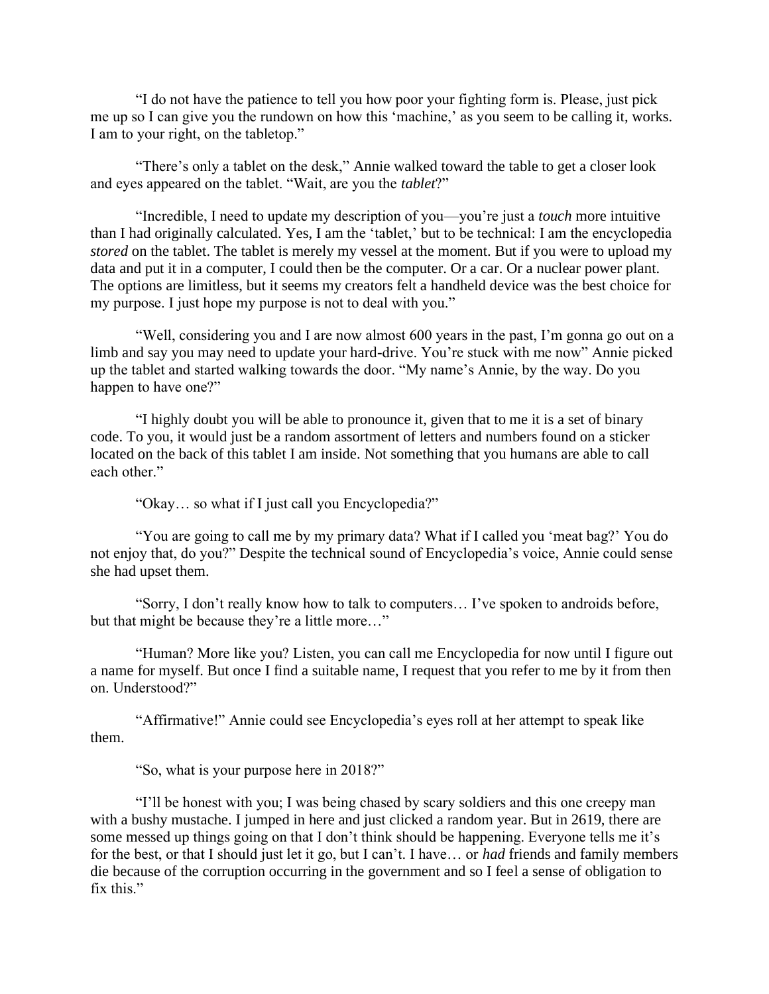"I do not have the patience to tell you how poor your fighting form is. Please, just pick me up so I can give you the rundown on how this 'machine,' as you seem to be calling it, works. I am to your right, on the tabletop."

 "There's only a tablet on the desk," Annie walked toward the table to get a closer look and eyes appeared on the tablet. "Wait, are you the *tablet*?"

 "Incredible, I need to update my description of you—you're just a *touch* more intuitive than I had originally calculated. Yes, I am the 'tablet,' but to be technical: I am the encyclopedia *stored* on the tablet. The tablet is merely my vessel at the moment. But if you were to upload my data and put it in a computer, I could then be the computer. Or a car. Or a nuclear power plant. The options are limitless, but it seems my creators felt a handheld device was the best choice for my purpose. I just hope my purpose is not to deal with you."

 "Well, considering you and I are now almost 600 years in the past, I'm gonna go out on a limb and say you may need to update your hard-drive. You're stuck with me now" Annie picked up the tablet and started walking towards the door. "My name's Annie, by the way. Do you happen to have one?"

 "I highly doubt you will be able to pronounce it, given that to me it is a set of binary code. To you, it would just be a random assortment of letters and numbers found on a sticker located on the back of this tablet I am inside. Not something that you humans are able to call each other."

"Okay… so what if I just call you Encyclopedia?"

 "You are going to call me by my primary data? What if I called you 'meat bag?' You do not enjoy that, do you?" Despite the technical sound of Encyclopedia's voice, Annie could sense she had upset them.

 "Sorry, I don't really know how to talk to computers… I've spoken to androids before, but that might be because they're a little more…"

 "Human? More like you? Listen, you can call me Encyclopedia for now until I figure out a name for myself. But once I find a suitable name, I request that you refer to me by it from then on. Understood?"

 "Affirmative!" Annie could see Encyclopedia's eyes roll at her attempt to speak like them.

"So, what is your purpose here in 2018?"

 "I'll be honest with you; I was being chased by scary soldiers and this one creepy man with a bushy mustache. I jumped in here and just clicked a random year. But in 2619, there are some messed up things going on that I don't think should be happening. Everyone tells me it's for the best, or that I should just let it go, but I can't. I have… or *had* friends and family members die because of the corruption occurring in the government and so I feel a sense of obligation to fix this."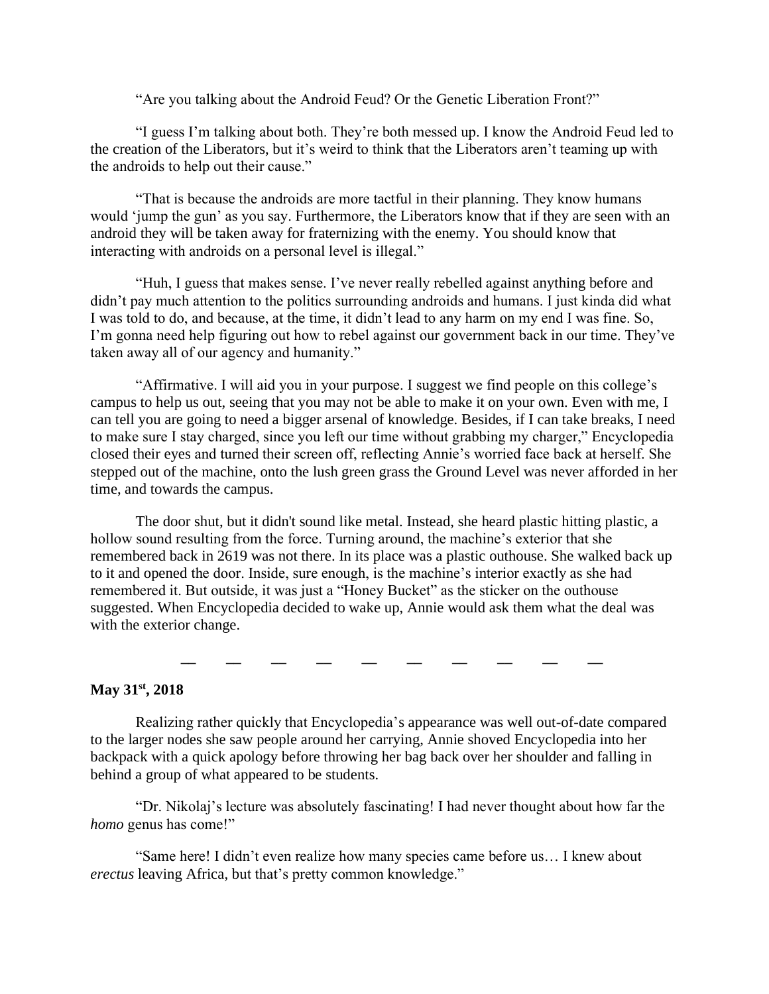"Are you talking about the Android Feud? Or the Genetic Liberation Front?"

 "I guess I'm talking about both. They're both messed up. I know the Android Feud led to the creation of the Liberators, but it's weird to think that the Liberators aren't teaming up with the androids to help out their cause."

 "That is because the androids are more tactful in their planning. They know humans would 'jump the gun' as you say. Furthermore, the Liberators know that if they are seen with an android they will be taken away for fraternizing with the enemy. You should know that interacting with androids on a personal level is illegal."

 "Huh, I guess that makes sense. I've never really rebelled against anything before and didn't pay much attention to the politics surrounding androids and humans. I just kinda did what I was told to do, and because, at the time, it didn't lead to any harm on my end I was fine. So, I'm gonna need help figuring out how to rebel against our government back in our time. They've taken away all of our agency and humanity."

 "Affirmative. I will aid you in your purpose. I suggest we find people on this college's campus to help us out, seeing that you may not be able to make it on your own. Even with me, I can tell you are going to need a bigger arsenal of knowledge. Besides, if I can take breaks, I need to make sure I stay charged, since you left our time without grabbing my charger," Encyclopedia closed their eyes and turned their screen off, reflecting Annie's worried face back at herself. She stepped out of the machine, onto the lush green grass the Ground Level was never afforded in her time, and towards the campus.

 The door shut, but it didn't sound like metal. Instead, she heard plastic hitting plastic, a hollow sound resulting from the force. Turning around, the machine's exterior that she remembered back in 2619 was not there. In its place was a plastic outhouse. She walked back up to it and opened the door. Inside, sure enough, is the machine's interior exactly as she had remembered it. But outside, it was just a "Honey Bucket" as the sticker on the outhouse suggested. When Encyclopedia decided to wake up, Annie would ask them what the deal was with the exterior change.

**\_\_ \_\_ \_\_ \_\_ \_\_ \_\_ \_\_ \_\_ \_\_ \_\_**

# **May 31st, 2018**

 Realizing rather quickly that Encyclopedia's appearance was well out-of-date compared to the larger nodes she saw people around her carrying, Annie shoved Encyclopedia into her backpack with a quick apology before throwing her bag back over her shoulder and falling in behind a group of what appeared to be students.

 "Dr. Nikolaj's lecture was absolutely fascinating! I had never thought about how far the *homo* genus has come!"

 "Same here! I didn't even realize how many species came before us… I knew about *erectus* leaving Africa, but that's pretty common knowledge."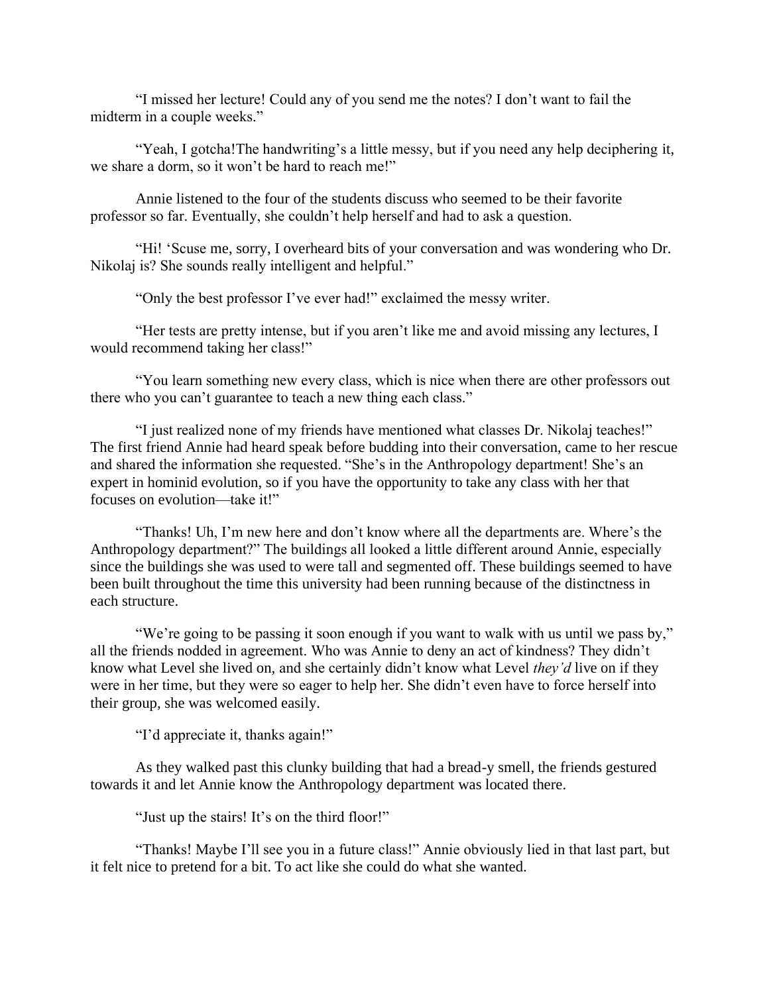"I missed her lecture! Could any of you send me the notes? I don't want to fail the midterm in a couple weeks."

 "Yeah, I gotcha!The handwriting's a little messy, but if you need any help deciphering it, we share a dorm, so it won't be hard to reach me!"

 Annie listened to the four of the students discuss who seemed to be their favorite professor so far. Eventually, she couldn't help herself and had to ask a question.

 "Hi! 'Scuse me, sorry, I overheard bits of your conversation and was wondering who Dr. Nikolaj is? She sounds really intelligent and helpful."

"Only the best professor I've ever had!" exclaimed the messy writer.

 "Her tests are pretty intense, but if you aren't like me and avoid missing any lectures, I would recommend taking her class!"

 "You learn something new every class, which is nice when there are other professors out there who you can't guarantee to teach a new thing each class."

 "I just realized none of my friends have mentioned what classes Dr. Nikolaj teaches!" The first friend Annie had heard speak before budding into their conversation, came to her rescue and shared the information she requested. "She's in the Anthropology department! She's an expert in hominid evolution, so if you have the opportunity to take any class with her that focuses on evolution—take it!"

 "Thanks! Uh, I'm new here and don't know where all the departments are. Where's the Anthropology department?" The buildings all looked a little different around Annie, especially since the buildings she was used to were tall and segmented off. These buildings seemed to have been built throughout the time this university had been running because of the distinctness in each structure.

 "We're going to be passing it soon enough if you want to walk with us until we pass by," all the friends nodded in agreement. Who was Annie to deny an act of kindness? They didn't know what Level she lived on, and she certainly didn't know what Level *they'd* live on if they were in her time, but they were so eager to help her. She didn't even have to force herself into their group, she was welcomed easily.

"I'd appreciate it, thanks again!"

 As they walked past this clunky building that had a bread-y smell, the friends gestured towards it and let Annie know the Anthropology department was located there.

"Just up the stairs! It's on the third floor!"

 "Thanks! Maybe I'll see you in a future class!" Annie obviously lied in that last part, but it felt nice to pretend for a bit. To act like she could do what she wanted.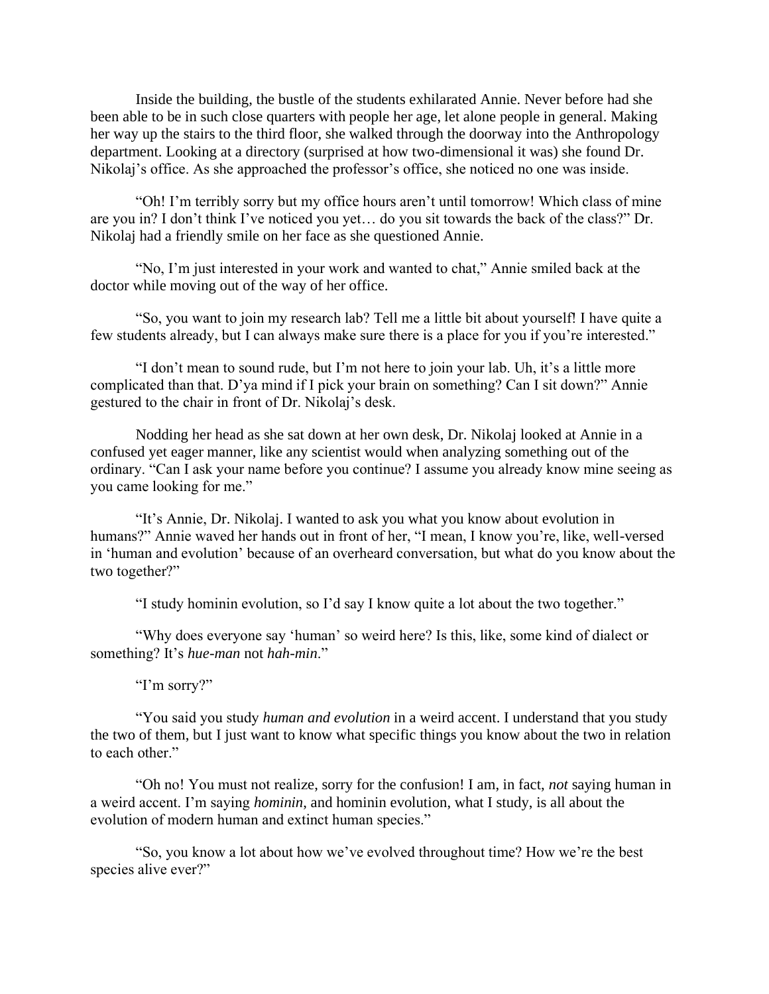Inside the building, the bustle of the students exhilarated Annie. Never before had she been able to be in such close quarters with people her age, let alone people in general. Making her way up the stairs to the third floor, she walked through the doorway into the Anthropology department. Looking at a directory (surprised at how two-dimensional it was) she found Dr. Nikolaj's office. As she approached the professor's office, she noticed no one was inside.

 "Oh! I'm terribly sorry but my office hours aren't until tomorrow! Which class of mine are you in? I don't think I've noticed you yet… do you sit towards the back of the class?" Dr. Nikolaj had a friendly smile on her face as she questioned Annie.

 "No, I'm just interested in your work and wanted to chat," Annie smiled back at the doctor while moving out of the way of her office.

 "So, you want to join my research lab? Tell me a little bit about yourself! I have quite a few students already, but I can always make sure there is a place for you if you're interested."

 "I don't mean to sound rude, but I'm not here to join your lab. Uh, it's a little more complicated than that. D'ya mind if I pick your brain on something? Can I sit down?" Annie gestured to the chair in front of Dr. Nikolaj's desk.

 Nodding her head as she sat down at her own desk, Dr. Nikolaj looked at Annie in a confused yet eager manner, like any scientist would when analyzing something out of the ordinary. "Can I ask your name before you continue? I assume you already know mine seeing as you came looking for me."

 "It's Annie, Dr. Nikolaj. I wanted to ask you what you know about evolution in humans?" Annie waved her hands out in front of her, "I mean, I know you're, like, well-versed in 'human and evolution' because of an overheard conversation, but what do you know about the two together?"

"I study hominin evolution, so I'd say I know quite a lot about the two together."

 "Why does everyone say 'human' so weird here? Is this, like, some kind of dialect or something? It's *hue-man* not *hah-min*."

"I'm sorry?"

 "You said you study *human and evolution* in a weird accent. I understand that you study the two of them, but I just want to know what specific things you know about the two in relation to each other."

 "Oh no! You must not realize, sorry for the confusion! I am, in fact, *not* saying human in a weird accent. I'm saying *hominin*, and hominin evolution, what I study, is all about the evolution of modern human and extinct human species."

 "So, you know a lot about how we've evolved throughout time? How we're the best species alive ever?"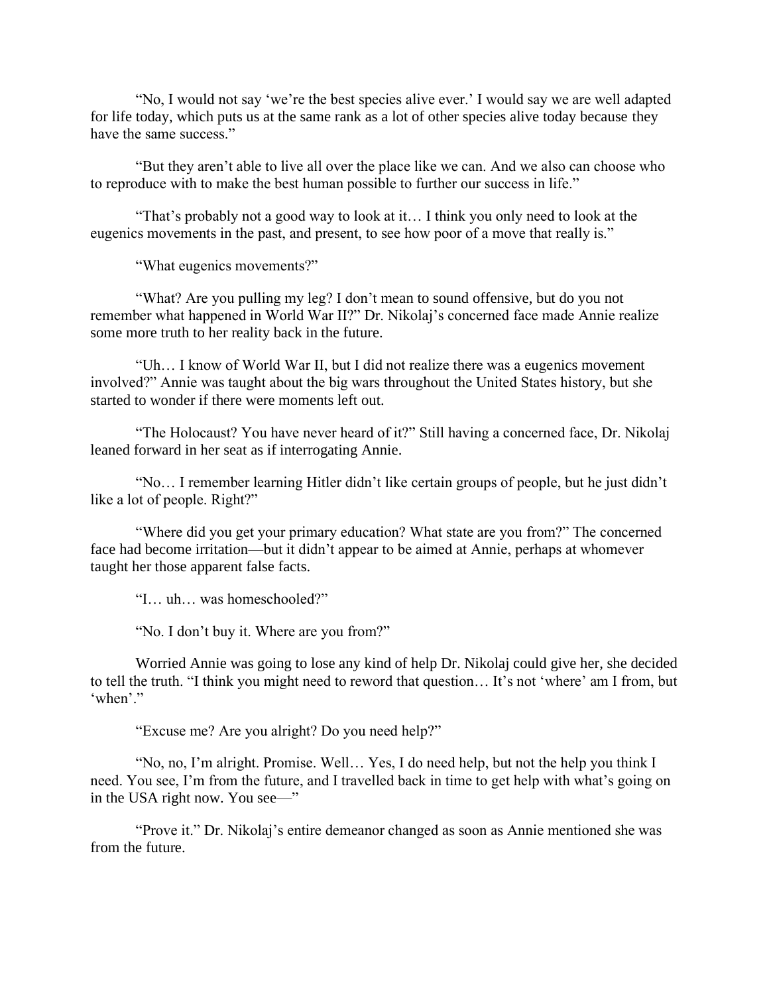"No, I would not say 'we're the best species alive ever.' I would say we are well adapted for life today, which puts us at the same rank as a lot of other species alive today because they have the same success."

 "But they aren't able to live all over the place like we can. And we also can choose who to reproduce with to make the best human possible to further our success in life."

 "That's probably not a good way to look at it… I think you only need to look at the eugenics movements in the past, and present, to see how poor of a move that really is."

"What eugenics movements?"

 "What? Are you pulling my leg? I don't mean to sound offensive, but do you not remember what happened in World War II?" Dr. Nikolaj's concerned face made Annie realize some more truth to her reality back in the future.

 "Uh… I know of World War II, but I did not realize there was a eugenics movement involved?" Annie was taught about the big wars throughout the United States history, but she started to wonder if there were moments left out.

 "The Holocaust? You have never heard of it?" Still having a concerned face, Dr. Nikolaj leaned forward in her seat as if interrogating Annie.

 "No… I remember learning Hitler didn't like certain groups of people, but he just didn't like a lot of people. Right?"

 "Where did you get your primary education? What state are you from?" The concerned face had become irritation—but it didn't appear to be aimed at Annie, perhaps at whomever taught her those apparent false facts.

"I… uh… was homeschooled?"

"No. I don't buy it. Where are you from?"

 Worried Annie was going to lose any kind of help Dr. Nikolaj could give her, she decided to tell the truth. "I think you might need to reword that question… It's not 'where' am I from, but 'when'."

"Excuse me? Are you alright? Do you need help?"

 "No, no, I'm alright. Promise. Well… Yes, I do need help, but not the help you think I need. You see, I'm from the future, and I travelled back in time to get help with what's going on in the USA right now. You see—"

 "Prove it." Dr. Nikolaj's entire demeanor changed as soon as Annie mentioned she was from the future.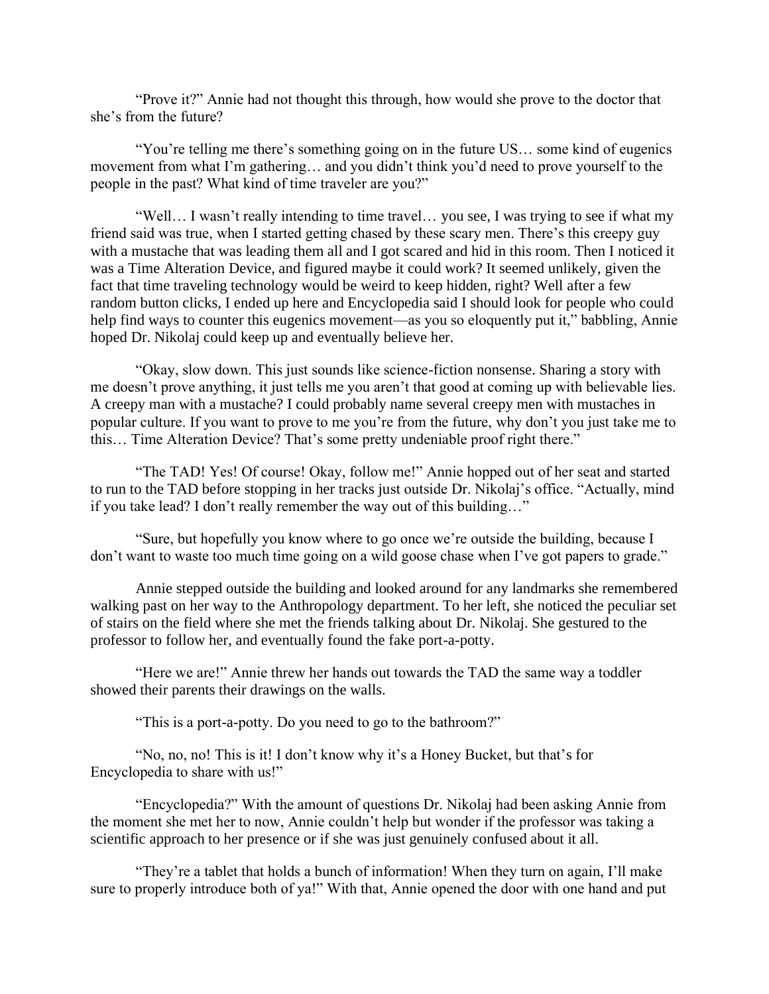"Prove it?" Annie had not thought this through, how would she prove to the doctor that she's from the future?

 "You're telling me there's something going on in the future US… some kind of eugenics movement from what I'm gathering… and you didn't think you'd need to prove yourself to the people in the past? What kind of time traveler are you?"

 "Well… I wasn't really intending to time travel… you see, I was trying to see if what my friend said was true, when I started getting chased by these scary men. There's this creepy guy with a mustache that was leading them all and I got scared and hid in this room. Then I noticed it was a Time Alteration Device, and figured maybe it could work? It seemed unlikely, given the fact that time traveling technology would be weird to keep hidden, right? Well after a few random button clicks, I ended up here and Encyclopedia said I should look for people who could help find ways to counter this eugenics movement—as you so eloquently put it," babbling, Annie hoped Dr. Nikolaj could keep up and eventually believe her.

 "Okay, slow down. This just sounds like science-fiction nonsense. Sharing a story with me doesn't prove anything, it just tells me you aren't that good at coming up with believable lies. A creepy man with a mustache? I could probably name several creepy men with mustaches in popular culture. If you want to prove to me you're from the future, why don't you just take me to this… Time Alteration Device? That's some pretty undeniable proof right there."

 "The TAD! Yes! Of course! Okay, follow me!" Annie hopped out of her seat and started to run to the TAD before stopping in her tracks just outside Dr. Nikolaj's office. "Actually, mind if you take lead? I don't really remember the way out of this building…"

 "Sure, but hopefully you know where to go once we're outside the building, because I don't want to waste too much time going on a wild goose chase when I've got papers to grade."

 Annie stepped outside the building and looked around for any landmarks she remembered walking past on her way to the Anthropology department. To her left, she noticed the peculiar set of stairs on the field where she met the friends talking about Dr. Nikolaj. She gestured to the professor to follow her, and eventually found the fake port-a-potty.

 "Here we are!" Annie threw her hands out towards the TAD the same way a toddler showed their parents their drawings on the walls.

"This is a port-a-potty. Do you need to go to the bathroom?"

 "No, no, no! This is it! I don't know why it's a Honey Bucket, but that's for Encyclopedia to share with us!"

 "Encyclopedia?" With the amount of questions Dr. Nikolaj had been asking Annie from the moment she met her to now, Annie couldn't help but wonder if the professor was taking a scientific approach to her presence or if she was just genuinely confused about it all.

 "They're a tablet that holds a bunch of information! When they turn on again, I'll make sure to properly introduce both of ya!" With that, Annie opened the door with one hand and put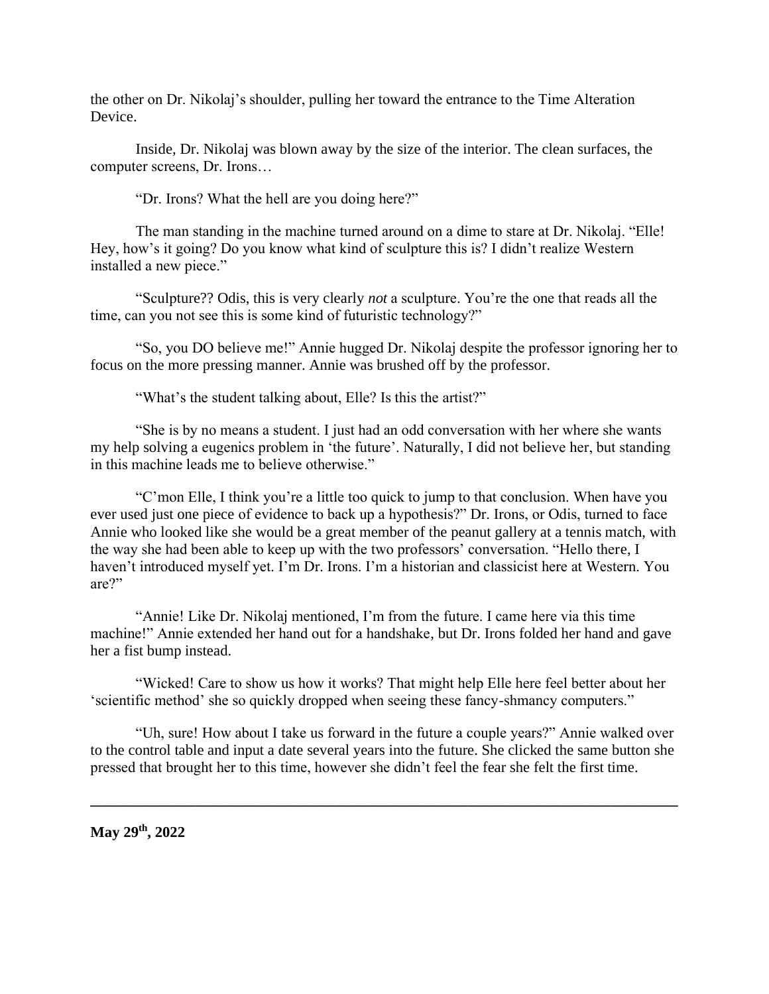the other on Dr. Nikolaj's shoulder, pulling her toward the entrance to the Time Alteration Device.

 Inside, Dr. Nikolaj was blown away by the size of the interior. The clean surfaces, the computer screens, Dr. Irons…

"Dr. Irons? What the hell are you doing here?"

 The man standing in the machine turned around on a dime to stare at Dr. Nikolaj. "Elle! Hey, how's it going? Do you know what kind of sculpture this is? I didn't realize Western installed a new piece."

 "Sculpture?? Odis, this is very clearly *not* a sculpture. You're the one that reads all the time, can you not see this is some kind of futuristic technology?"

 "So, you DO believe me!" Annie hugged Dr. Nikolaj despite the professor ignoring her to focus on the more pressing manner. Annie was brushed off by the professor.

"What's the student talking about, Elle? Is this the artist?"

 "She is by no means a student. I just had an odd conversation with her where she wants my help solving a eugenics problem in 'the future'. Naturally, I did not believe her, but standing in this machine leads me to believe otherwise."

 "C'mon Elle, I think you're a little too quick to jump to that conclusion. When have you ever used just one piece of evidence to back up a hypothesis?" Dr. Irons, or Odis, turned to face Annie who looked like she would be a great member of the peanut gallery at a tennis match, with the way she had been able to keep up with the two professors' conversation. "Hello there, I haven't introduced myself yet. I'm Dr. Irons. I'm a historian and classicist here at Western. You are?"

 "Annie! Like Dr. Nikolaj mentioned, I'm from the future. I came here via this time machine!" Annie extended her hand out for a handshake, but Dr. Irons folded her hand and gave her a fist bump instead.

 "Wicked! Care to show us how it works? That might help Elle here feel better about her 'scientific method' she so quickly dropped when seeing these fancy-shmancy computers."

 "Uh, sure! How about I take us forward in the future a couple years?" Annie walked over to the control table and input a date several years into the future. She clicked the same button she pressed that brought her to this time, however she didn't feel the fear she felt the first time.

**\_\_\_\_\_\_\_\_\_\_\_\_\_\_\_\_\_\_\_\_\_\_\_\_\_\_\_\_\_\_\_\_\_\_\_\_\_\_\_\_\_\_\_\_\_\_\_\_\_\_\_\_\_\_\_\_\_\_\_\_\_\_\_\_\_\_\_\_\_\_\_\_\_\_\_\_\_\_**

**May 29th, 2022**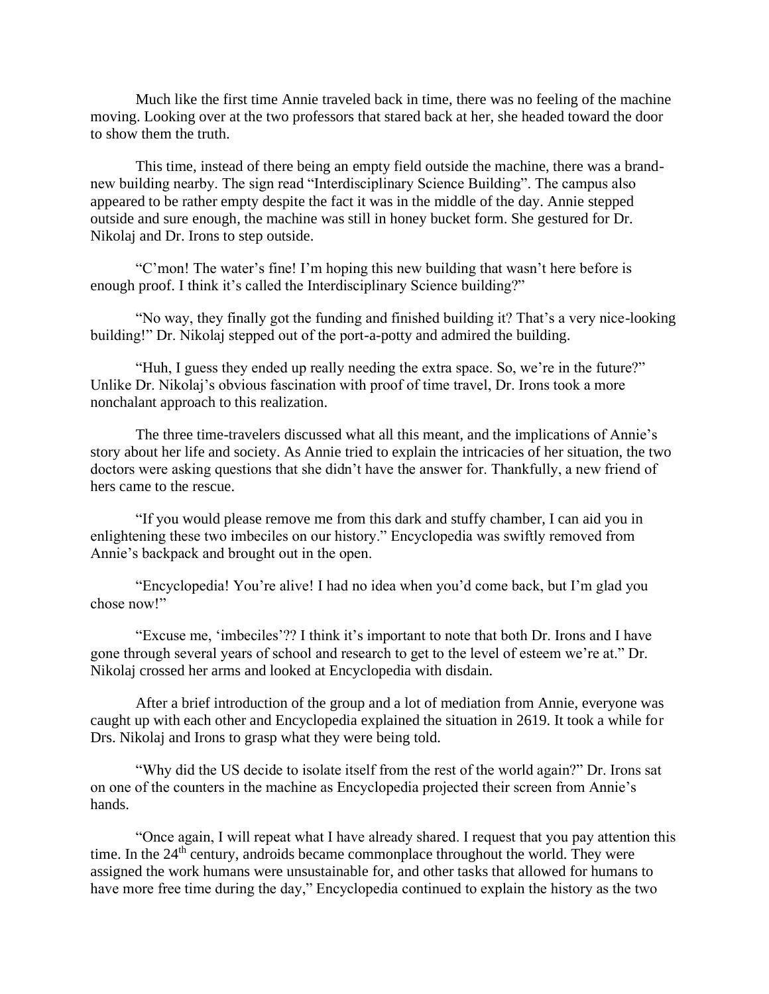Much like the first time Annie traveled back in time, there was no feeling of the machine moving. Looking over at the two professors that stared back at her, she headed toward the door to show them the truth.

 This time, instead of there being an empty field outside the machine, there was a brandnew building nearby. The sign read "Interdisciplinary Science Building". The campus also appeared to be rather empty despite the fact it was in the middle of the day. Annie stepped outside and sure enough, the machine was still in honey bucket form. She gestured for Dr. Nikolaj and Dr. Irons to step outside.

 "C'mon! The water's fine! I'm hoping this new building that wasn't here before is enough proof. I think it's called the Interdisciplinary Science building?"

 "No way, they finally got the funding and finished building it? That's a very nice-looking building!" Dr. Nikolaj stepped out of the port-a-potty and admired the building.

 "Huh, I guess they ended up really needing the extra space. So, we're in the future?" Unlike Dr. Nikolaj's obvious fascination with proof of time travel, Dr. Irons took a more nonchalant approach to this realization.

 The three time-travelers discussed what all this meant, and the implications of Annie's story about her life and society. As Annie tried to explain the intricacies of her situation, the two doctors were asking questions that she didn't have the answer for. Thankfully, a new friend of hers came to the rescue.

 "If you would please remove me from this dark and stuffy chamber, I can aid you in enlightening these two imbeciles on our history." Encyclopedia was swiftly removed from Annie's backpack and brought out in the open.

 "Encyclopedia! You're alive! I had no idea when you'd come back, but I'm glad you chose now!"

 "Excuse me, 'imbeciles'?? I think it's important to note that both Dr. Irons and I have gone through several years of school and research to get to the level of esteem we're at." Dr. Nikolaj crossed her arms and looked at Encyclopedia with disdain.

 After a brief introduction of the group and a lot of mediation from Annie, everyone was caught up with each other and Encyclopedia explained the situation in 2619. It took a while for Drs. Nikolaj and Irons to grasp what they were being told.

 "Why did the US decide to isolate itself from the rest of the world again?" Dr. Irons sat on one of the counters in the machine as Encyclopedia projected their screen from Annie's hands.

 "Once again, I will repeat what I have already shared. I request that you pay attention this time. In the 24<sup>th</sup> century, androids became commonplace throughout the world. They were assigned the work humans were unsustainable for, and other tasks that allowed for humans to have more free time during the day," Encyclopedia continued to explain the history as the two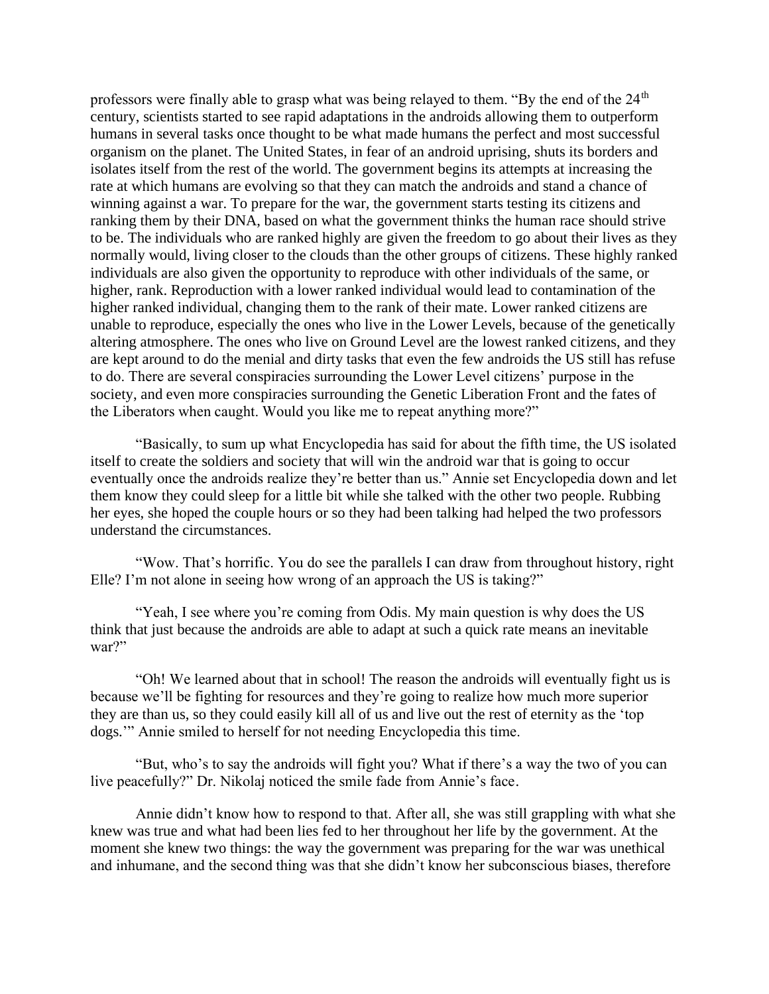professors were finally able to grasp what was being relayed to them. "By the end of the  $24<sup>th</sup>$ century, scientists started to see rapid adaptations in the androids allowing them to outperform humans in several tasks once thought to be what made humans the perfect and most successful organism on the planet. The United States, in fear of an android uprising, shuts its borders and isolates itself from the rest of the world. The government begins its attempts at increasing the rate at which humans are evolving so that they can match the androids and stand a chance of winning against a war. To prepare for the war, the government starts testing its citizens and ranking them by their DNA, based on what the government thinks the human race should strive to be. The individuals who are ranked highly are given the freedom to go about their lives as they normally would, living closer to the clouds than the other groups of citizens. These highly ranked individuals are also given the opportunity to reproduce with other individuals of the same, or higher, rank. Reproduction with a lower ranked individual would lead to contamination of the higher ranked individual, changing them to the rank of their mate. Lower ranked citizens are unable to reproduce, especially the ones who live in the Lower Levels, because of the genetically altering atmosphere. The ones who live on Ground Level are the lowest ranked citizens, and they are kept around to do the menial and dirty tasks that even the few androids the US still has refuse to do. There are several conspiracies surrounding the Lower Level citizens' purpose in the society, and even more conspiracies surrounding the Genetic Liberation Front and the fates of the Liberators when caught. Would you like me to repeat anything more?"

 "Basically, to sum up what Encyclopedia has said for about the fifth time, the US isolated itself to create the soldiers and society that will win the android war that is going to occur eventually once the androids realize they're better than us." Annie set Encyclopedia down and let them know they could sleep for a little bit while she talked with the other two people. Rubbing her eyes, she hoped the couple hours or so they had been talking had helped the two professors understand the circumstances.

 "Wow. That's horrific. You do see the parallels I can draw from throughout history, right Elle? I'm not alone in seeing how wrong of an approach the US is taking?"

 "Yeah, I see where you're coming from Odis. My main question is why does the US think that just because the androids are able to adapt at such a quick rate means an inevitable war?"

 "Oh! We learned about that in school! The reason the androids will eventually fight us is because we'll be fighting for resources and they're going to realize how much more superior they are than us, so they could easily kill all of us and live out the rest of eternity as the 'top dogs.'" Annie smiled to herself for not needing Encyclopedia this time.

 "But, who's to say the androids will fight you? What if there's a way the two of you can live peacefully?" Dr. Nikolaj noticed the smile fade from Annie's face.

 Annie didn't know how to respond to that. After all, she was still grappling with what she knew was true and what had been lies fed to her throughout her life by the government. At the moment she knew two things: the way the government was preparing for the war was unethical and inhumane, and the second thing was that she didn't know her subconscious biases, therefore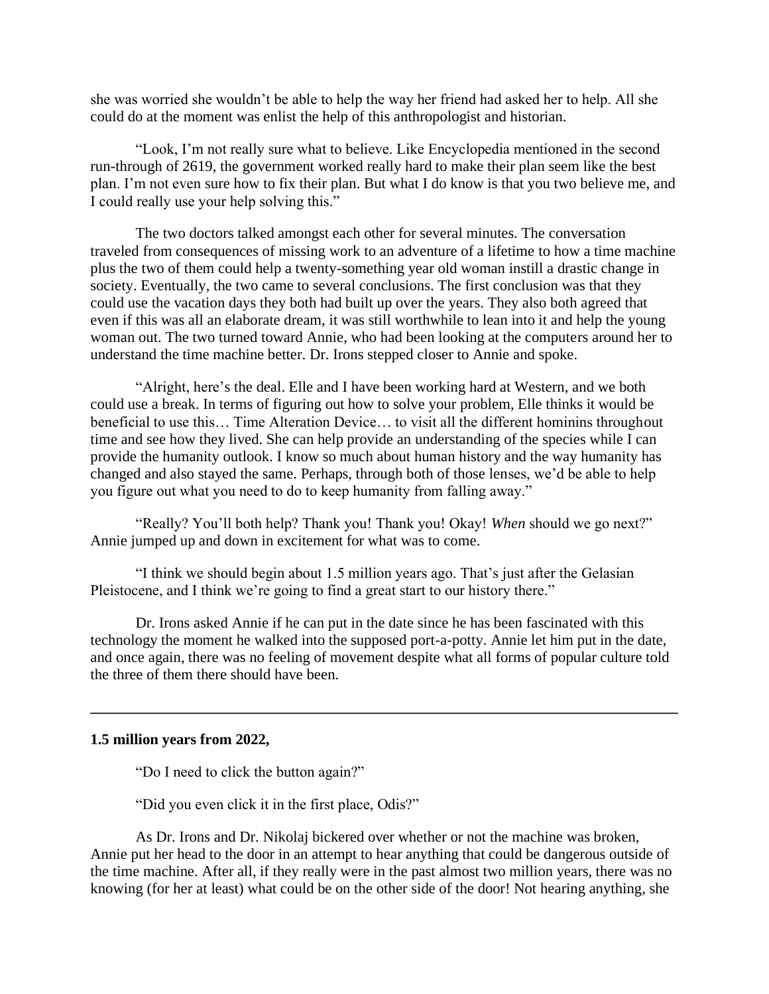she was worried she wouldn't be able to help the way her friend had asked her to help. All she could do at the moment was enlist the help of this anthropologist and historian.

 "Look, I'm not really sure what to believe. Like Encyclopedia mentioned in the second run-through of 2619, the government worked really hard to make their plan seem like the best plan. I'm not even sure how to fix their plan. But what I do know is that you two believe me, and I could really use your help solving this."

 The two doctors talked amongst each other for several minutes. The conversation traveled from consequences of missing work to an adventure of a lifetime to how a time machine plus the two of them could help a twenty-something year old woman instill a drastic change in society. Eventually, the two came to several conclusions. The first conclusion was that they could use the vacation days they both had built up over the years. They also both agreed that even if this was all an elaborate dream, it was still worthwhile to lean into it and help the young woman out. The two turned toward Annie, who had been looking at the computers around her to understand the time machine better. Dr. Irons stepped closer to Annie and spoke.

 "Alright, here's the deal. Elle and I have been working hard at Western, and we both could use a break. In terms of figuring out how to solve your problem, Elle thinks it would be beneficial to use this… Time Alteration Device… to visit all the different hominins throughout time and see how they lived. She can help provide an understanding of the species while I can provide the humanity outlook. I know so much about human history and the way humanity has changed and also stayed the same. Perhaps, through both of those lenses, we'd be able to help you figure out what you need to do to keep humanity from falling away."

 "Really? You'll both help? Thank you! Thank you! Okay! *When* should we go next?" Annie jumped up and down in excitement for what was to come.

 "I think we should begin about 1.5 million years ago. That's just after the Gelasian Pleistocene, and I think we're going to find a great start to our history there."

 Dr. Irons asked Annie if he can put in the date since he has been fascinated with this technology the moment he walked into the supposed port-a-potty. Annie let him put in the date, and once again, there was no feeling of movement despite what all forms of popular culture told the three of them there should have been.

**\_\_\_\_\_\_\_\_\_\_\_\_\_\_\_\_\_\_\_\_\_\_\_\_\_\_\_\_\_\_\_\_\_\_\_\_\_\_\_\_\_\_\_\_\_\_\_\_\_\_\_\_\_\_\_\_\_\_\_\_\_\_\_\_\_\_\_\_\_\_\_\_\_\_\_\_\_\_**

### **1.5 million years from 2022,**

"Do I need to click the button again?"

"Did you even click it in the first place, Odis?"

 As Dr. Irons and Dr. Nikolaj bickered over whether or not the machine was broken, Annie put her head to the door in an attempt to hear anything that could be dangerous outside of the time machine. After all, if they really were in the past almost two million years, there was no knowing (for her at least) what could be on the other side of the door! Not hearing anything, she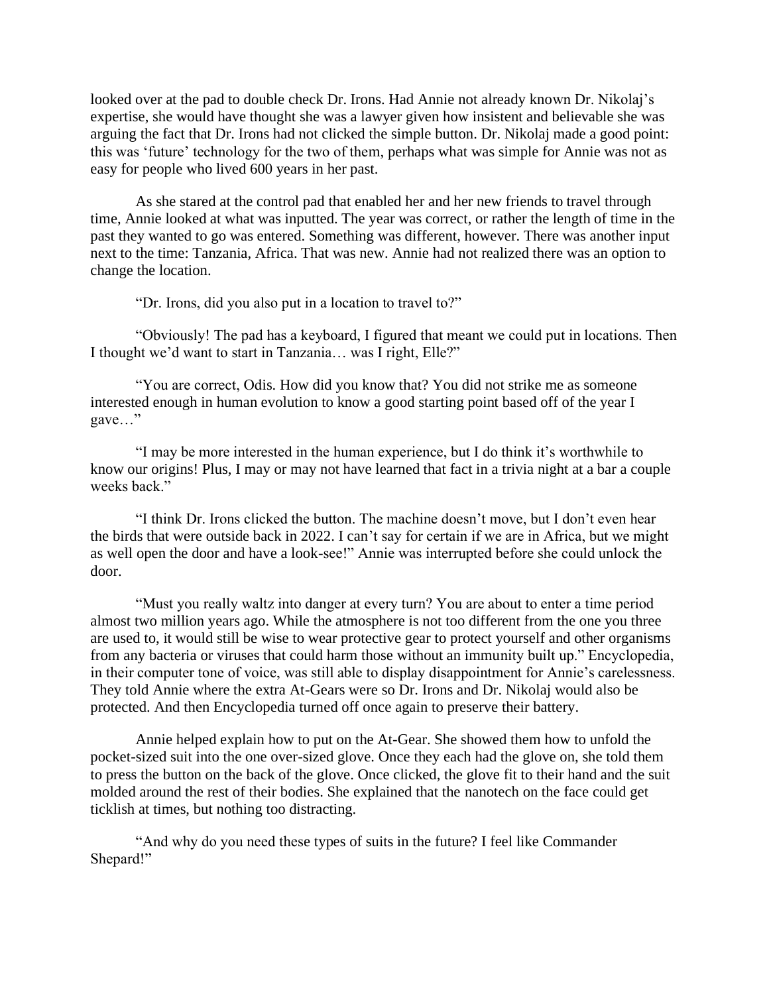looked over at the pad to double check Dr. Irons. Had Annie not already known Dr. Nikolaj's expertise, she would have thought she was a lawyer given how insistent and believable she was arguing the fact that Dr. Irons had not clicked the simple button. Dr. Nikolaj made a good point: this was 'future' technology for the two of them, perhaps what was simple for Annie was not as easy for people who lived 600 years in her past.

 As she stared at the control pad that enabled her and her new friends to travel through time, Annie looked at what was inputted. The year was correct, or rather the length of time in the past they wanted to go was entered. Something was different, however. There was another input next to the time: Tanzania, Africa. That was new. Annie had not realized there was an option to change the location.

"Dr. Irons, did you also put in a location to travel to?"

 "Obviously! The pad has a keyboard, I figured that meant we could put in locations. Then I thought we'd want to start in Tanzania… was I right, Elle?"

 "You are correct, Odis. How did you know that? You did not strike me as someone interested enough in human evolution to know a good starting point based off of the year I gave…"

 "I may be more interested in the human experience, but I do think it's worthwhile to know our origins! Plus, I may or may not have learned that fact in a trivia night at a bar a couple weeks back"

 "I think Dr. Irons clicked the button. The machine doesn't move, but I don't even hear the birds that were outside back in 2022. I can't say for certain if we are in Africa, but we might as well open the door and have a look-see!" Annie was interrupted before she could unlock the door.

 "Must you really waltz into danger at every turn? You are about to enter a time period almost two million years ago. While the atmosphere is not too different from the one you three are used to, it would still be wise to wear protective gear to protect yourself and other organisms from any bacteria or viruses that could harm those without an immunity built up." Encyclopedia, in their computer tone of voice, was still able to display disappointment for Annie's carelessness. They told Annie where the extra At-Gears were so Dr. Irons and Dr. Nikolaj would also be protected. And then Encyclopedia turned off once again to preserve their battery.

 Annie helped explain how to put on the At-Gear. She showed them how to unfold the pocket-sized suit into the one over-sized glove. Once they each had the glove on, she told them to press the button on the back of the glove. Once clicked, the glove fit to their hand and the suit molded around the rest of their bodies. She explained that the nanotech on the face could get ticklish at times, but nothing too distracting.

 "And why do you need these types of suits in the future? I feel like Commander Shepard!"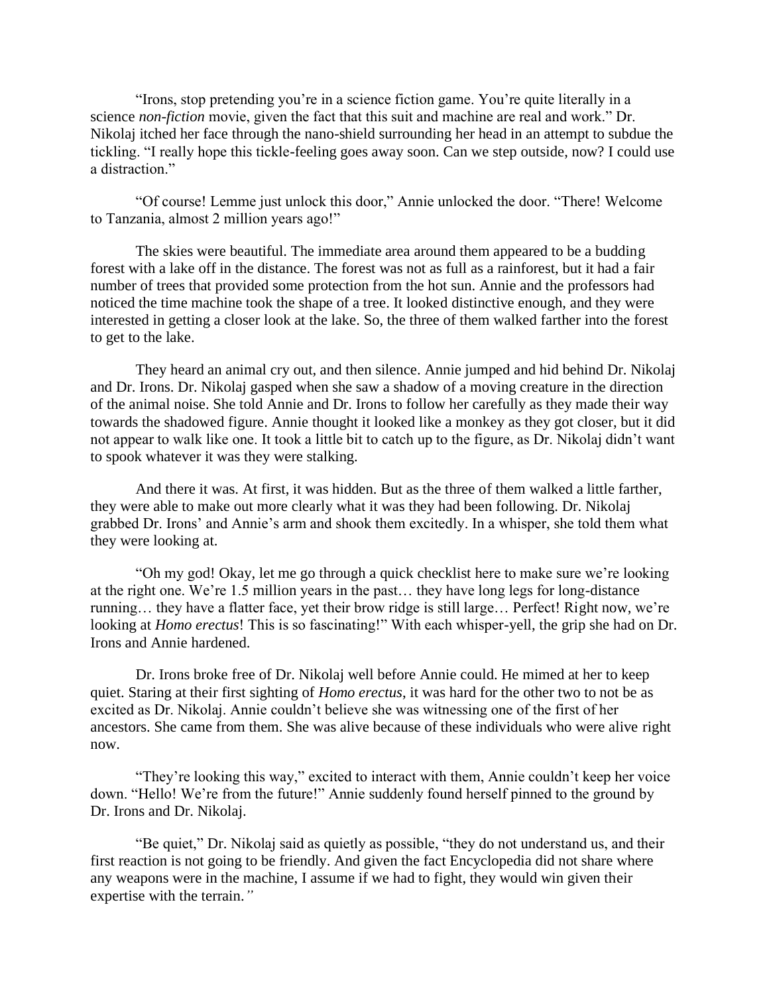"Irons, stop pretending you're in a science fiction game. You're quite literally in a science *non-fiction* movie, given the fact that this suit and machine are real and work." Dr. Nikolaj itched her face through the nano-shield surrounding her head in an attempt to subdue the tickling. "I really hope this tickle-feeling goes away soon. Can we step outside, now? I could use a distraction."

 "Of course! Lemme just unlock this door," Annie unlocked the door. "There! Welcome to Tanzania, almost 2 million years ago!"

 The skies were beautiful. The immediate area around them appeared to be a budding forest with a lake off in the distance. The forest was not as full as a rainforest, but it had a fair number of trees that provided some protection from the hot sun. Annie and the professors had noticed the time machine took the shape of a tree. It looked distinctive enough, and they were interested in getting a closer look at the lake. So, the three of them walked farther into the forest to get to the lake.

 They heard an animal cry out, and then silence. Annie jumped and hid behind Dr. Nikolaj and Dr. Irons. Dr. Nikolaj gasped when she saw a shadow of a moving creature in the direction of the animal noise. She told Annie and Dr. Irons to follow her carefully as they made their way towards the shadowed figure. Annie thought it looked like a monkey as they got closer, but it did not appear to walk like one. It took a little bit to catch up to the figure, as Dr. Nikolaj didn't want to spook whatever it was they were stalking.

 And there it was. At first, it was hidden. But as the three of them walked a little farther, they were able to make out more clearly what it was they had been following. Dr. Nikolaj grabbed Dr. Irons' and Annie's arm and shook them excitedly. In a whisper, she told them what they were looking at.

 "Oh my god! Okay, let me go through a quick checklist here to make sure we're looking at the right one. We're 1.5 million years in the past… they have long legs for long-distance running… they have a flatter face, yet their brow ridge is still large… Perfect! Right now, we're looking at *Homo erectus*! This is so fascinating!" With each whisper-yell, the grip she had on Dr. Irons and Annie hardened.

 Dr. Irons broke free of Dr. Nikolaj well before Annie could. He mimed at her to keep quiet. Staring at their first sighting of *Homo erectus*, it was hard for the other two to not be as excited as Dr. Nikolaj. Annie couldn't believe she was witnessing one of the first of her ancestors. She came from them. She was alive because of these individuals who were alive right now.

 "They're looking this way," excited to interact with them, Annie couldn't keep her voice down. "Hello! We're from the future!" Annie suddenly found herself pinned to the ground by Dr. Irons and Dr. Nikolaj.

 "Be quiet," Dr. Nikolaj said as quietly as possible, "they do not understand us, and their first reaction is not going to be friendly. And given the fact Encyclopedia did not share where any weapons were in the machine, I assume if we had to fight, they would win given their expertise with the terrain.*"*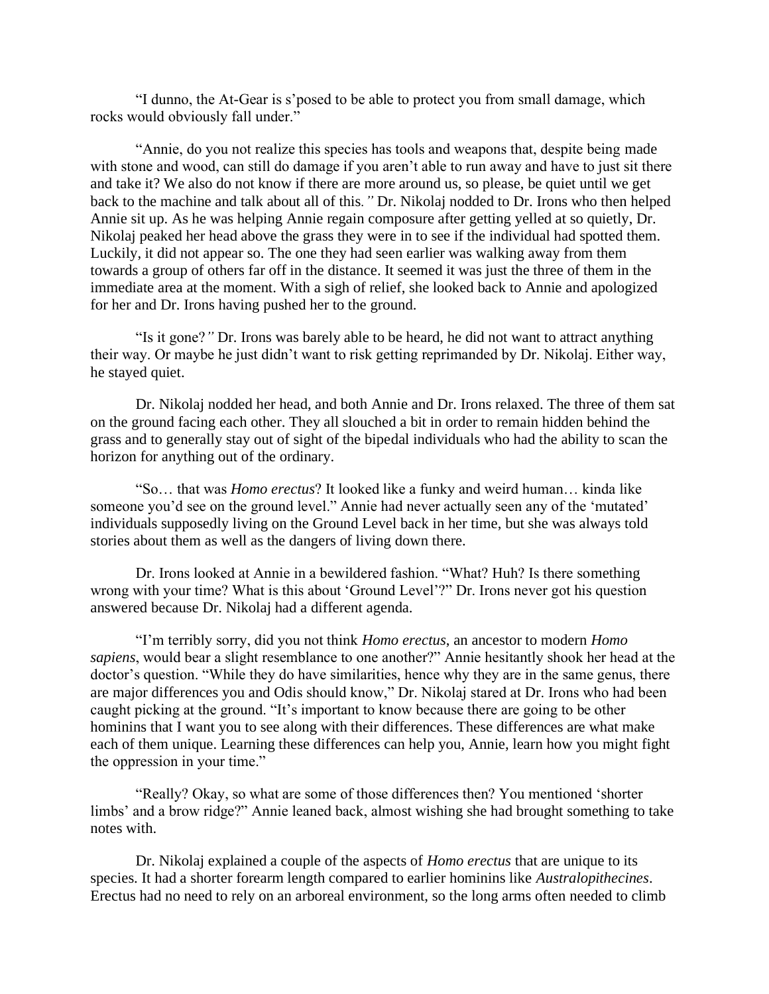"I dunno, the At-Gear is s'posed to be able to protect you from small damage, which rocks would obviously fall under."

 "Annie, do you not realize this species has tools and weapons that, despite being made with stone and wood, can still do damage if you aren't able to run away and have to just sit there and take it? We also do not know if there are more around us, so please, be quiet until we get back to the machine and talk about all of this*."* Dr. Nikolaj nodded to Dr. Irons who then helped Annie sit up. As he was helping Annie regain composure after getting yelled at so quietly, Dr. Nikolaj peaked her head above the grass they were in to see if the individual had spotted them. Luckily, it did not appear so. The one they had seen earlier was walking away from them towards a group of others far off in the distance. It seemed it was just the three of them in the immediate area at the moment. With a sigh of relief, she looked back to Annie and apologized for her and Dr. Irons having pushed her to the ground.

 "Is it gone?*"* Dr. Irons was barely able to be heard, he did not want to attract anything their way. Or maybe he just didn't want to risk getting reprimanded by Dr. Nikolaj. Either way, he stayed quiet.

 Dr. Nikolaj nodded her head, and both Annie and Dr. Irons relaxed. The three of them sat on the ground facing each other. They all slouched a bit in order to remain hidden behind the grass and to generally stay out of sight of the bipedal individuals who had the ability to scan the horizon for anything out of the ordinary.

 "So… that was *Homo erectus*? It looked like a funky and weird human… kinda like someone you'd see on the ground level." Annie had never actually seen any of the 'mutated' individuals supposedly living on the Ground Level back in her time, but she was always told stories about them as well as the dangers of living down there.

 Dr. Irons looked at Annie in a bewildered fashion. "What? Huh? Is there something wrong with your time? What is this about 'Ground Level'?" Dr. Irons never got his question answered because Dr. Nikolaj had a different agenda.

 "I'm terribly sorry, did you not think *Homo erectus*, an ancestor to modern *Homo sapiens*, would bear a slight resemblance to one another?" Annie hesitantly shook her head at the doctor's question. "While they do have similarities, hence why they are in the same genus, there are major differences you and Odis should know," Dr. Nikolaj stared at Dr. Irons who had been caught picking at the ground. "It's important to know because there are going to be other hominins that I want you to see along with their differences. These differences are what make each of them unique. Learning these differences can help you, Annie, learn how you might fight the oppression in your time."

 "Really? Okay, so what are some of those differences then? You mentioned 'shorter limbs' and a brow ridge?" Annie leaned back, almost wishing she had brought something to take notes with.

 Dr. Nikolaj explained a couple of the aspects of *Homo erectus* that are unique to its species. It had a shorter forearm length compared to earlier hominins like *Australopithecines*. Erectus had no need to rely on an arboreal environment, so the long arms often needed to climb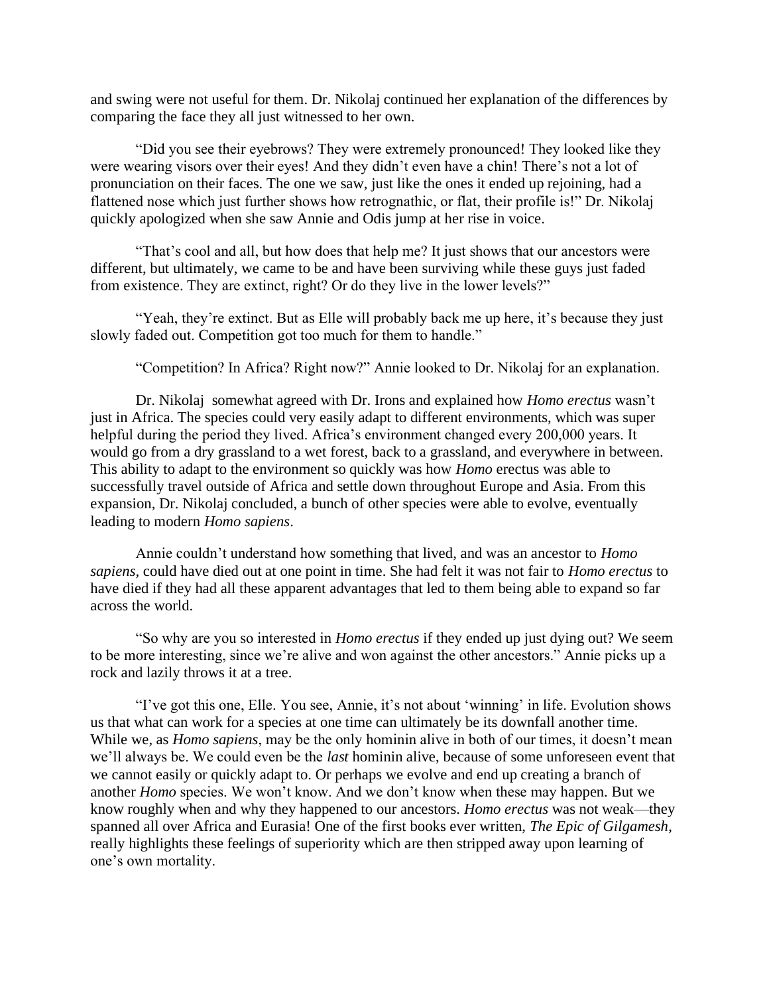and swing were not useful for them. Dr. Nikolaj continued her explanation of the differences by comparing the face they all just witnessed to her own.

 "Did you see their eyebrows? They were extremely pronounced! They looked like they were wearing visors over their eyes! And they didn't even have a chin! There's not a lot of pronunciation on their faces. The one we saw, just like the ones it ended up rejoining, had a flattened nose which just further shows how retrognathic, or flat, their profile is!" Dr. Nikolaj quickly apologized when she saw Annie and Odis jump at her rise in voice.

 "That's cool and all, but how does that help me? It just shows that our ancestors were different, but ultimately, we came to be and have been surviving while these guys just faded from existence. They are extinct, right? Or do they live in the lower levels?"

 "Yeah, they're extinct. But as Elle will probably back me up here, it's because they just slowly faded out. Competition got too much for them to handle."

"Competition? In Africa? Right now?" Annie looked to Dr. Nikolaj for an explanation.

 Dr. Nikolaj somewhat agreed with Dr. Irons and explained how *Homo erectus* wasn't just in Africa. The species could very easily adapt to different environments, which was super helpful during the period they lived. Africa's environment changed every 200,000 years. It would go from a dry grassland to a wet forest, back to a grassland, and everywhere in between. This ability to adapt to the environment so quickly was how *Homo* erectus was able to successfully travel outside of Africa and settle down throughout Europe and Asia. From this expansion, Dr. Nikolaj concluded, a bunch of other species were able to evolve, eventually leading to modern *Homo sapiens*.

Annie couldn't understand how something that lived, and was an ancestor to *Homo sapiens,* could have died out at one point in time. She had felt it was not fair to *Homo erectus* to have died if they had all these apparent advantages that led to them being able to expand so far across the world.

"So why are you so interested in *Homo erectus* if they ended up just dying out? We seem to be more interesting, since we're alive and won against the other ancestors." Annie picks up a rock and lazily throws it at a tree.

"I've got this one, Elle. You see, Annie, it's not about 'winning' in life. Evolution shows us that what can work for a species at one time can ultimately be its downfall another time. While we, as *Homo sapiens*, may be the only hominin alive in both of our times, it doesn't mean we'll always be. We could even be the *last* hominin alive, because of some unforeseen event that we cannot easily or quickly adapt to. Or perhaps we evolve and end up creating a branch of another *Homo* species. We won't know. And we don't know when these may happen. But we know roughly when and why they happened to our ancestors. *Homo erectus* was not weak—they spanned all over Africa and Eurasia! One of the first books ever written, *The Epic of Gilgamesh*, really highlights these feelings of superiority which are then stripped away upon learning of one's own mortality.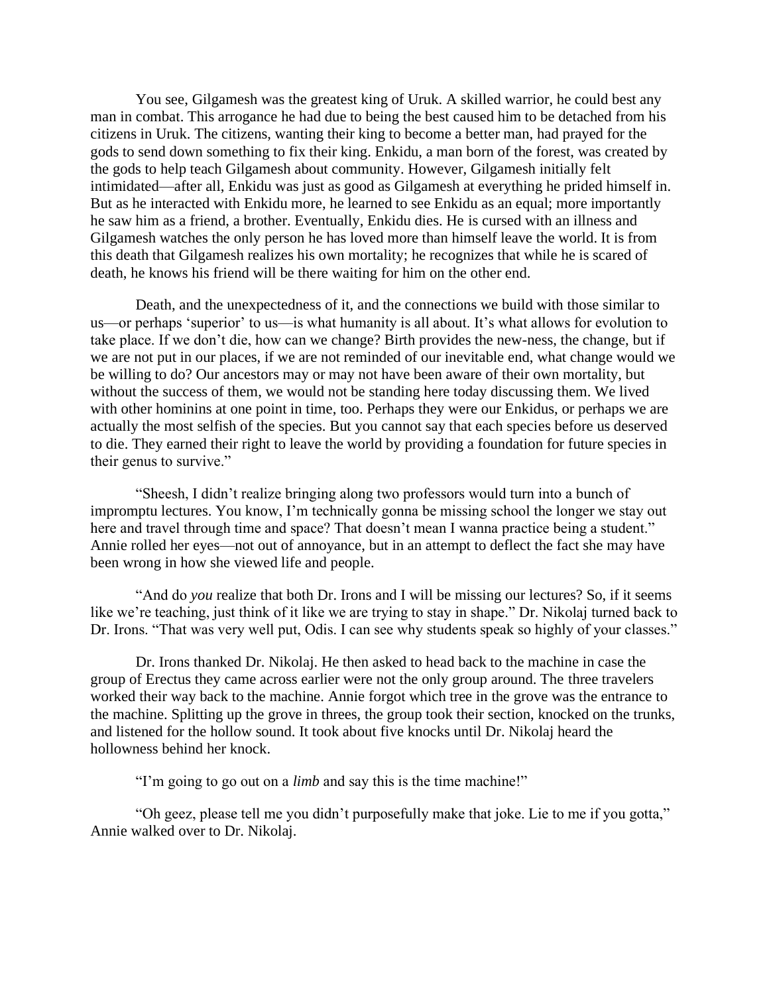You see, Gilgamesh was the greatest king of Uruk. A skilled warrior, he could best any man in combat. This arrogance he had due to being the best caused him to be detached from his citizens in Uruk. The citizens, wanting their king to become a better man, had prayed for the gods to send down something to fix their king. Enkidu, a man born of the forest, was created by the gods to help teach Gilgamesh about community. However, Gilgamesh initially felt intimidated—after all, Enkidu was just as good as Gilgamesh at everything he prided himself in. But as he interacted with Enkidu more, he learned to see Enkidu as an equal; more importantly he saw him as a friend, a brother. Eventually, Enkidu dies. He is cursed with an illness and Gilgamesh watches the only person he has loved more than himself leave the world. It is from this death that Gilgamesh realizes his own mortality; he recognizes that while he is scared of death, he knows his friend will be there waiting for him on the other end.

Death, and the unexpectedness of it, and the connections we build with those similar to us—or perhaps 'superior' to us—is what humanity is all about. It's what allows for evolution to take place. If we don't die, how can we change? Birth provides the new-ness, the change, but if we are not put in our places, if we are not reminded of our inevitable end, what change would we be willing to do? Our ancestors may or may not have been aware of their own mortality, but without the success of them, we would not be standing here today discussing them. We lived with other hominins at one point in time, too. Perhaps they were our Enkidus, or perhaps we are actually the most selfish of the species. But you cannot say that each species before us deserved to die. They earned their right to leave the world by providing a foundation for future species in their genus to survive."

"Sheesh, I didn't realize bringing along two professors would turn into a bunch of impromptu lectures. You know, I'm technically gonna be missing school the longer we stay out here and travel through time and space? That doesn't mean I wanna practice being a student." Annie rolled her eyes—not out of annoyance, but in an attempt to deflect the fact she may have been wrong in how she viewed life and people.

"And do *you* realize that both Dr. Irons and I will be missing our lectures? So, if it seems like we're teaching, just think of it like we are trying to stay in shape." Dr. Nikolaj turned back to Dr. Irons. "That was very well put, Odis. I can see why students speak so highly of your classes."

 Dr. Irons thanked Dr. Nikolaj. He then asked to head back to the machine in case the group of Erectus they came across earlier were not the only group around. The three travelers worked their way back to the machine. Annie forgot which tree in the grove was the entrance to the machine. Splitting up the grove in threes, the group took their section, knocked on the trunks, and listened for the hollow sound. It took about five knocks until Dr. Nikolaj heard the hollowness behind her knock.

"I'm going to go out on a *limb* and say this is the time machine!"

 "Oh geez, please tell me you didn't purposefully make that joke. Lie to me if you gotta," Annie walked over to Dr. Nikolaj.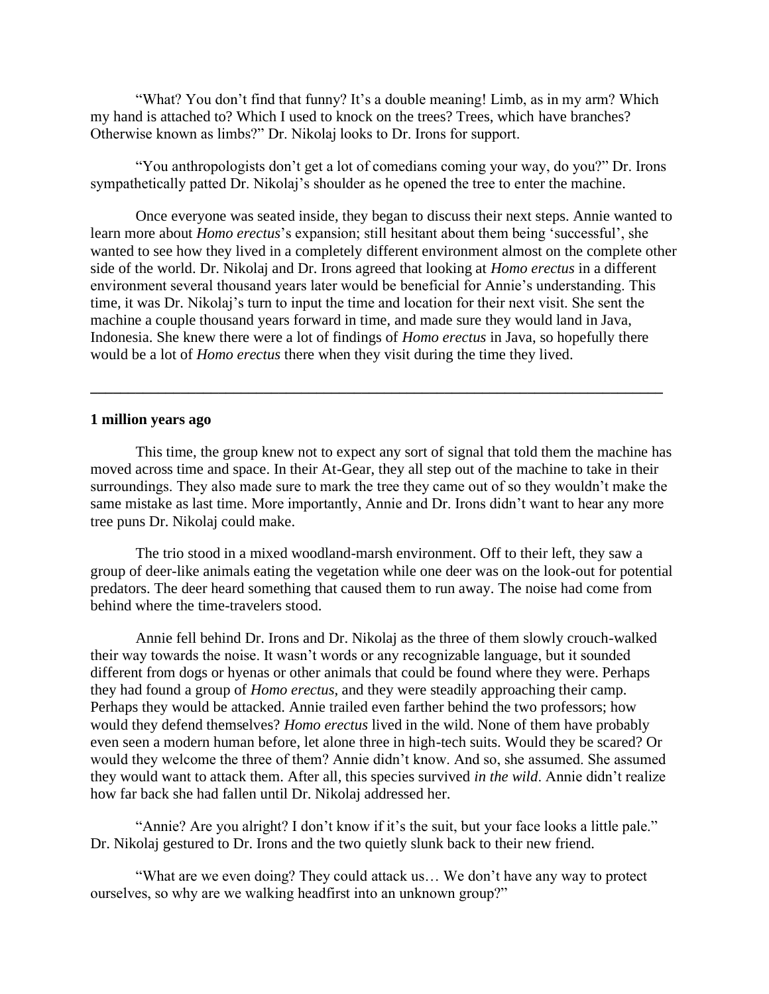"What? You don't find that funny? It's a double meaning! Limb, as in my arm? Which my hand is attached to? Which I used to knock on the trees? Trees, which have branches? Otherwise known as limbs?" Dr. Nikolaj looks to Dr. Irons for support.

 "You anthropologists don't get a lot of comedians coming your way, do you?" Dr. Irons sympathetically patted Dr. Nikolaj's shoulder as he opened the tree to enter the machine.

 Once everyone was seated inside, they began to discuss their next steps. Annie wanted to learn more about *Homo erectus*'s expansion; still hesitant about them being 'successful', she wanted to see how they lived in a completely different environment almost on the complete other side of the world. Dr. Nikolaj and Dr. Irons agreed that looking at *Homo erectus* in a different environment several thousand years later would be beneficial for Annie's understanding. This time, it was Dr. Nikolaj's turn to input the time and location for their next visit. She sent the machine a couple thousand years forward in time, and made sure they would land in Java, Indonesia. She knew there were a lot of findings of *Homo erectus* in Java, so hopefully there would be a lot of *Homo erectus* there when they visit during the time they lived.

### **1 million years ago**

This time, the group knew not to expect any sort of signal that told them the machine has moved across time and space. In their At-Gear, they all step out of the machine to take in their surroundings. They also made sure to mark the tree they came out of so they wouldn't make the same mistake as last time. More importantly, Annie and Dr. Irons didn't want to hear any more tree puns Dr. Nikolaj could make.

**\_\_\_\_\_\_\_\_\_\_\_\_\_\_\_\_\_\_\_\_\_\_\_\_\_\_\_\_\_\_\_\_\_\_\_\_\_\_\_\_\_\_\_\_\_\_\_\_\_\_\_\_\_\_\_\_\_\_\_\_\_\_\_\_\_\_\_\_\_\_\_\_\_\_\_\_**

The trio stood in a mixed woodland-marsh environment. Off to their left, they saw a group of deer-like animals eating the vegetation while one deer was on the look-out for potential predators. The deer heard something that caused them to run away. The noise had come from behind where the time-travelers stood.

 Annie fell behind Dr. Irons and Dr. Nikolaj as the three of them slowly crouch-walked their way towards the noise. It wasn't words or any recognizable language, but it sounded different from dogs or hyenas or other animals that could be found where they were. Perhaps they had found a group of *Homo erectus*, and they were steadily approaching their camp. Perhaps they would be attacked. Annie trailed even farther behind the two professors; how would they defend themselves? *Homo erectus* lived in the wild. None of them have probably even seen a modern human before, let alone three in high-tech suits. Would they be scared? Or would they welcome the three of them? Annie didn't know. And so, she assumed. She assumed they would want to attack them. After all, this species survived *in the wild*. Annie didn't realize how far back she had fallen until Dr. Nikolaj addressed her.

 "Annie? Are you alright? I don't know if it's the suit, but your face looks a little pale." Dr. Nikolaj gestured to Dr. Irons and the two quietly slunk back to their new friend.

 "What are we even doing? They could attack us… We don't have any way to protect ourselves, so why are we walking headfirst into an unknown group?"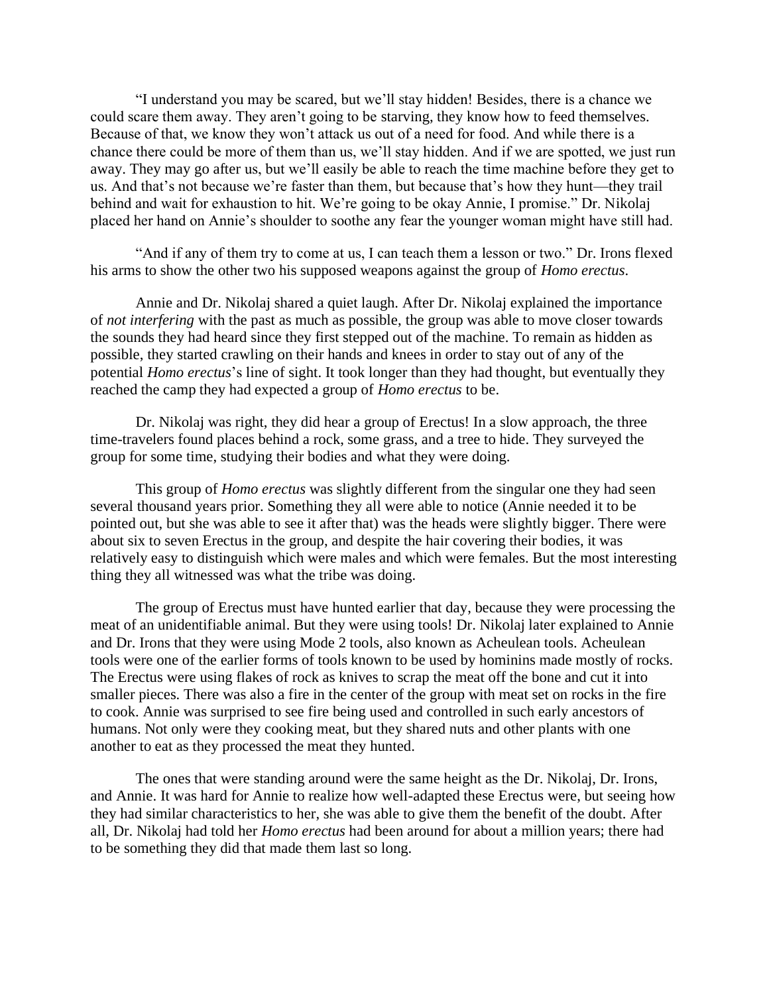"I understand you may be scared, but we'll stay hidden! Besides, there is a chance we could scare them away. They aren't going to be starving, they know how to feed themselves. Because of that, we know they won't attack us out of a need for food. And while there is a chance there could be more of them than us, we'll stay hidden. And if we are spotted, we just run away. They may go after us, but we'll easily be able to reach the time machine before they get to us. And that's not because we're faster than them, but because that's how they hunt—they trail behind and wait for exhaustion to hit. We're going to be okay Annie, I promise." Dr. Nikolaj placed her hand on Annie's shoulder to soothe any fear the younger woman might have still had.

 "And if any of them try to come at us, I can teach them a lesson or two." Dr. Irons flexed his arms to show the other two his supposed weapons against the group of *Homo erectus*.

 Annie and Dr. Nikolaj shared a quiet laugh. After Dr. Nikolaj explained the importance of *not interfering* with the past as much as possible, the group was able to move closer towards the sounds they had heard since they first stepped out of the machine. To remain as hidden as possible, they started crawling on their hands and knees in order to stay out of any of the potential *Homo erectus*'s line of sight. It took longer than they had thought, but eventually they reached the camp they had expected a group of *Homo erectus* to be.

 Dr. Nikolaj was right, they did hear a group of Erectus! In a slow approach, the three time-travelers found places behind a rock, some grass, and a tree to hide. They surveyed the group for some time, studying their bodies and what they were doing.

 This group of *Homo erectus* was slightly different from the singular one they had seen several thousand years prior. Something they all were able to notice (Annie needed it to be pointed out, but she was able to see it after that) was the heads were slightly bigger. There were about six to seven Erectus in the group, and despite the hair covering their bodies, it was relatively easy to distinguish which were males and which were females. But the most interesting thing they all witnessed was what the tribe was doing.

 The group of Erectus must have hunted earlier that day, because they were processing the meat of an unidentifiable animal. But they were using tools! Dr. Nikolaj later explained to Annie and Dr. Irons that they were using Mode 2 tools, also known as Acheulean tools. Acheulean tools were one of the earlier forms of tools known to be used by hominins made mostly of rocks. The Erectus were using flakes of rock as knives to scrap the meat off the bone and cut it into smaller pieces. There was also a fire in the center of the group with meat set on rocks in the fire to cook. Annie was surprised to see fire being used and controlled in such early ancestors of humans. Not only were they cooking meat, but they shared nuts and other plants with one another to eat as they processed the meat they hunted.

 The ones that were standing around were the same height as the Dr. Nikolaj, Dr. Irons, and Annie. It was hard for Annie to realize how well-adapted these Erectus were, but seeing how they had similar characteristics to her, she was able to give them the benefit of the doubt. After all, Dr. Nikolaj had told her *Homo erectus* had been around for about a million years; there had to be something they did that made them last so long.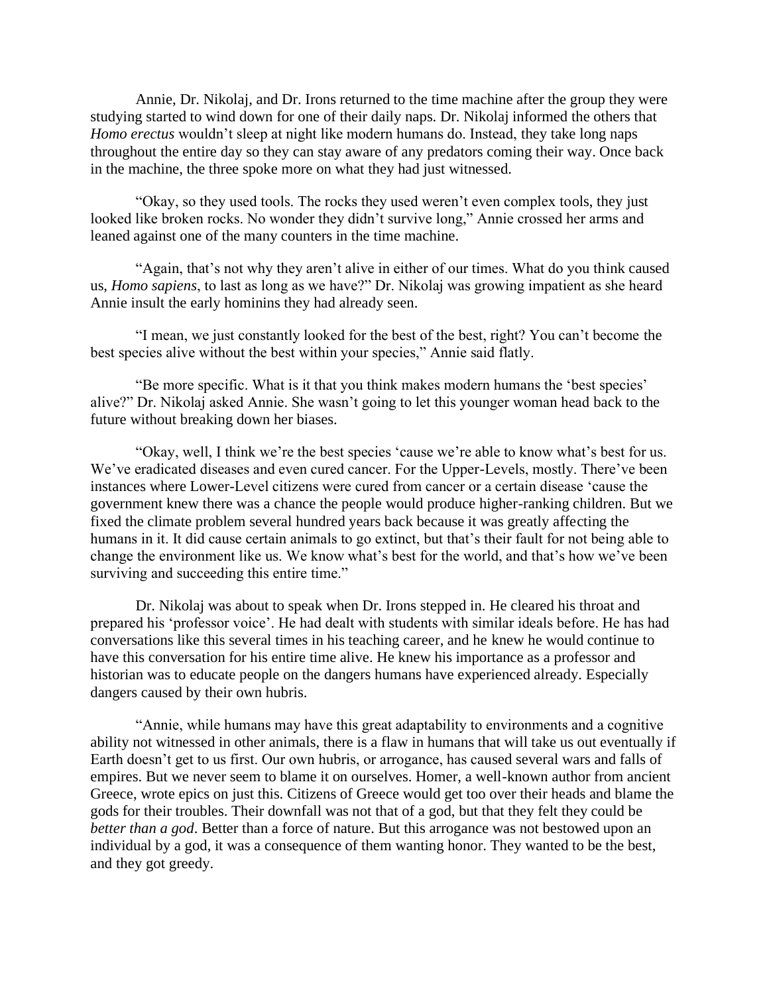Annie, Dr. Nikolaj, and Dr. Irons returned to the time machine after the group they were studying started to wind down for one of their daily naps. Dr. Nikolaj informed the others that *Homo erectus* wouldn't sleep at night like modern humans do. Instead, they take long naps throughout the entire day so they can stay aware of any predators coming their way. Once back in the machine, the three spoke more on what they had just witnessed.

"Okay, so they used tools. The rocks they used weren't even complex tools, they just looked like broken rocks. No wonder they didn't survive long," Annie crossed her arms and leaned against one of the many counters in the time machine.

 "Again, that's not why they aren't alive in either of our times. What do you think caused us, *Homo sapiens*, to last as long as we have?" Dr. Nikolaj was growing impatient as she heard Annie insult the early hominins they had already seen.

 "I mean, we just constantly looked for the best of the best, right? You can't become the best species alive without the best within your species," Annie said flatly.

 "Be more specific. What is it that you think makes modern humans the 'best species' alive?" Dr. Nikolaj asked Annie. She wasn't going to let this younger woman head back to the future without breaking down her biases.

 "Okay, well, I think we're the best species 'cause we're able to know what's best for us. We've eradicated diseases and even cured cancer. For the Upper-Levels, mostly. There've been instances where Lower-Level citizens were cured from cancer or a certain disease 'cause the government knew there was a chance the people would produce higher-ranking children. But we fixed the climate problem several hundred years back because it was greatly affecting the humans in it. It did cause certain animals to go extinct, but that's their fault for not being able to change the environment like us. We know what's best for the world, and that's how we've been surviving and succeeding this entire time."

 Dr. Nikolaj was about to speak when Dr. Irons stepped in. He cleared his throat and prepared his 'professor voice'. He had dealt with students with similar ideals before. He has had conversations like this several times in his teaching career, and he knew he would continue to have this conversation for his entire time alive. He knew his importance as a professor and historian was to educate people on the dangers humans have experienced already. Especially dangers caused by their own hubris.

 "Annie, while humans may have this great adaptability to environments and a cognitive ability not witnessed in other animals, there is a flaw in humans that will take us out eventually if Earth doesn't get to us first. Our own hubris, or arrogance, has caused several wars and falls of empires. But we never seem to blame it on ourselves. Homer, a well-known author from ancient Greece, wrote epics on just this. Citizens of Greece would get too over their heads and blame the gods for their troubles. Their downfall was not that of a god, but that they felt they could be *better than a god*. Better than a force of nature. But this arrogance was not bestowed upon an individual by a god, it was a consequence of them wanting honor. They wanted to be the best, and they got greedy.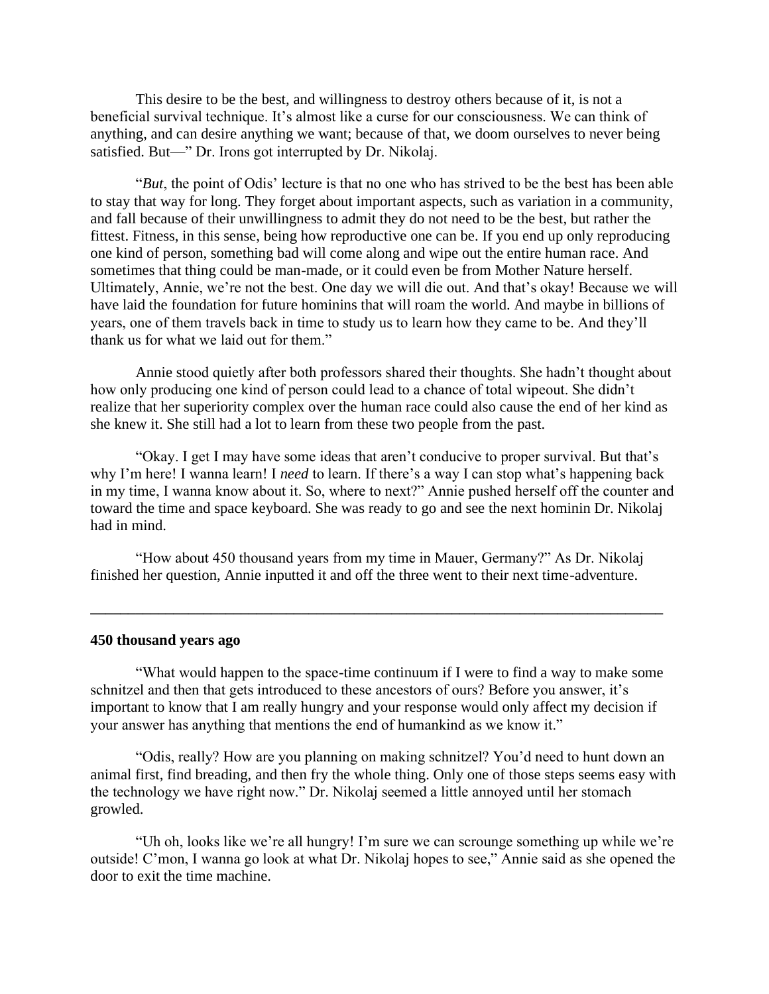This desire to be the best, and willingness to destroy others because of it, is not a beneficial survival technique. It's almost like a curse for our consciousness. We can think of anything, and can desire anything we want; because of that, we doom ourselves to never being satisfied. But—" Dr. Irons got interrupted by Dr. Nikolaj.

 "*But*, the point of Odis' lecture is that no one who has strived to be the best has been able to stay that way for long. They forget about important aspects, such as variation in a community, and fall because of their unwillingness to admit they do not need to be the best, but rather the fittest. Fitness, in this sense, being how reproductive one can be. If you end up only reproducing one kind of person, something bad will come along and wipe out the entire human race. And sometimes that thing could be man-made, or it could even be from Mother Nature herself. Ultimately, Annie, we're not the best. One day we will die out. And that's okay! Because we will have laid the foundation for future hominins that will roam the world. And maybe in billions of years, one of them travels back in time to study us to learn how they came to be. And they'll thank us for what we laid out for them."

 Annie stood quietly after both professors shared their thoughts. She hadn't thought about how only producing one kind of person could lead to a chance of total wipeout. She didn't realize that her superiority complex over the human race could also cause the end of her kind as she knew it. She still had a lot to learn from these two people from the past.

 "Okay. I get I may have some ideas that aren't conducive to proper survival. But that's why I'm here! I wanna learn! I *need* to learn. If there's a way I can stop what's happening back in my time, I wanna know about it. So, where to next?" Annie pushed herself off the counter and toward the time and space keyboard. She was ready to go and see the next hominin Dr. Nikolaj had in mind.

 "How about 450 thousand years from my time in Mauer, Germany?" As Dr. Nikolaj finished her question, Annie inputted it and off the three went to their next time-adventure.

**\_\_\_\_\_\_\_\_\_\_\_\_\_\_\_\_\_\_\_\_\_\_\_\_\_\_\_\_\_\_\_\_\_\_\_\_\_\_\_\_\_\_\_\_\_\_\_\_\_\_\_\_\_\_\_\_\_\_\_\_\_\_\_\_\_\_\_\_\_\_\_\_\_\_\_\_**

#### **450 thousand years ago**

 "What would happen to the space-time continuum if I were to find a way to make some schnitzel and then that gets introduced to these ancestors of ours? Before you answer, it's important to know that I am really hungry and your response would only affect my decision if your answer has anything that mentions the end of humankind as we know it."

 "Odis, really? How are you planning on making schnitzel? You'd need to hunt down an animal first, find breading, and then fry the whole thing. Only one of those steps seems easy with the technology we have right now." Dr. Nikolaj seemed a little annoyed until her stomach growled.

 "Uh oh, looks like we're all hungry! I'm sure we can scrounge something up while we're outside! C'mon, I wanna go look at what Dr. Nikolaj hopes to see," Annie said as she opened the door to exit the time machine.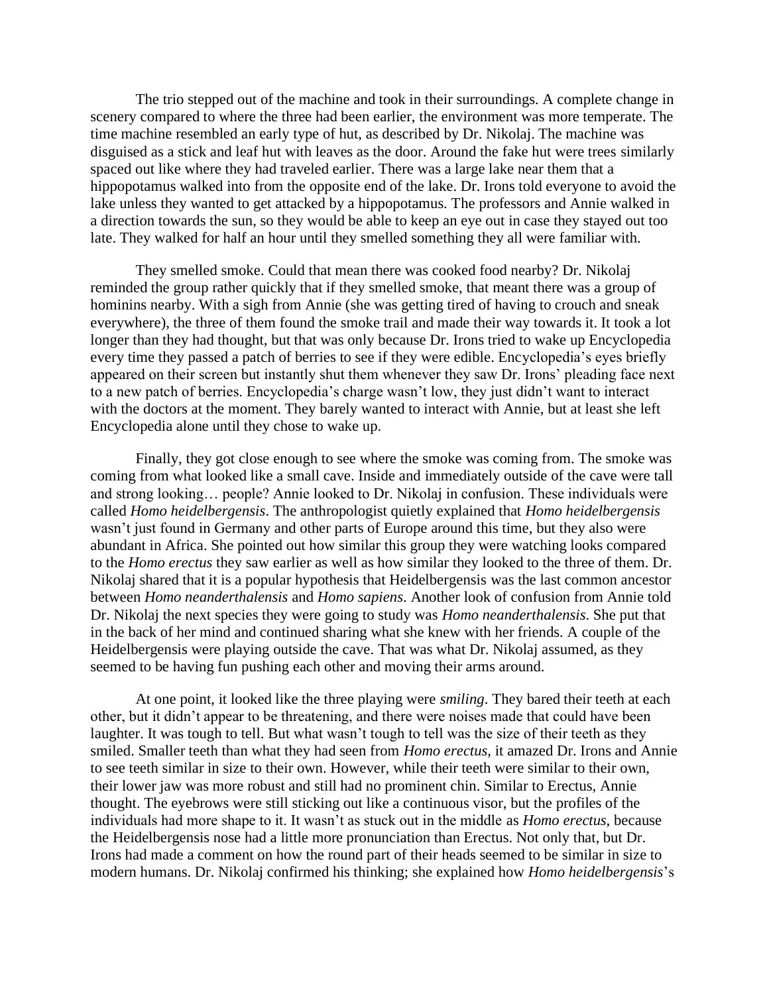The trio stepped out of the machine and took in their surroundings. A complete change in scenery compared to where the three had been earlier, the environment was more temperate. The time machine resembled an early type of hut, as described by Dr. Nikolaj. The machine was disguised as a stick and leaf hut with leaves as the door. Around the fake hut were trees similarly spaced out like where they had traveled earlier. There was a large lake near them that a hippopotamus walked into from the opposite end of the lake. Dr. Irons told everyone to avoid the lake unless they wanted to get attacked by a hippopotamus. The professors and Annie walked in a direction towards the sun, so they would be able to keep an eye out in case they stayed out too late. They walked for half an hour until they smelled something they all were familiar with.

 They smelled smoke. Could that mean there was cooked food nearby? Dr. Nikolaj reminded the group rather quickly that if they smelled smoke, that meant there was a group of hominins nearby. With a sigh from Annie (she was getting tired of having to crouch and sneak everywhere), the three of them found the smoke trail and made their way towards it. It took a lot longer than they had thought, but that was only because Dr. Irons tried to wake up Encyclopedia every time they passed a patch of berries to see if they were edible. Encyclopedia's eyes briefly appeared on their screen but instantly shut them whenever they saw Dr. Irons' pleading face next to a new patch of berries. Encyclopedia's charge wasn't low, they just didn't want to interact with the doctors at the moment. They barely wanted to interact with Annie, but at least she left Encyclopedia alone until they chose to wake up.

 Finally, they got close enough to see where the smoke was coming from. The smoke was coming from what looked like a small cave. Inside and immediately outside of the cave were tall and strong looking… people? Annie looked to Dr. Nikolaj in confusion. These individuals were called *Homo heidelbergensis*. The anthropologist quietly explained that *Homo heidelbergensis* wasn't just found in Germany and other parts of Europe around this time, but they also were abundant in Africa. She pointed out how similar this group they were watching looks compared to the *Homo erectus* they saw earlier as well as how similar they looked to the three of them. Dr. Nikolaj shared that it is a popular hypothesis that Heidelbergensis was the last common ancestor between *Homo neanderthalensis* and *Homo sapiens*. Another look of confusion from Annie told Dr. Nikolaj the next species they were going to study was *Homo neanderthalensis*. She put that in the back of her mind and continued sharing what she knew with her friends. A couple of the Heidelbergensis were playing outside the cave. That was what Dr. Nikolaj assumed, as they seemed to be having fun pushing each other and moving their arms around.

 At one point, it looked like the three playing were *smiling*. They bared their teeth at each other, but it didn't appear to be threatening, and there were noises made that could have been laughter. It was tough to tell. But what wasn't tough to tell was the size of their teeth as they smiled. Smaller teeth than what they had seen from *Homo erectus*, it amazed Dr. Irons and Annie to see teeth similar in size to their own. However, while their teeth were similar to their own, their lower jaw was more robust and still had no prominent chin. Similar to Erectus, Annie thought. The eyebrows were still sticking out like a continuous visor, but the profiles of the individuals had more shape to it. It wasn't as stuck out in the middle as *Homo erectus*, because the Heidelbergensis nose had a little more pronunciation than Erectus. Not only that, but Dr. Irons had made a comment on how the round part of their heads seemed to be similar in size to modern humans. Dr. Nikolaj confirmed his thinking; she explained how *Homo heidelbergensis*'s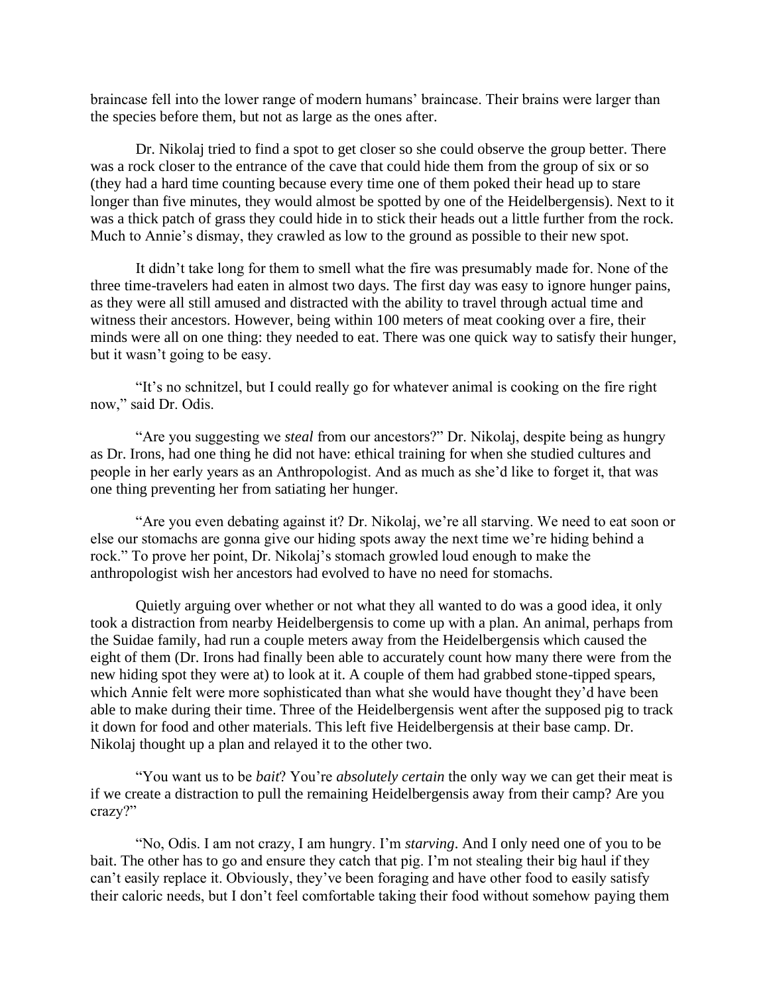braincase fell into the lower range of modern humans' braincase. Their brains were larger than the species before them, but not as large as the ones after.

Dr. Nikolaj tried to find a spot to get closer so she could observe the group better. There was a rock closer to the entrance of the cave that could hide them from the group of six or so (they had a hard time counting because every time one of them poked their head up to stare longer than five minutes, they would almost be spotted by one of the Heidelbergensis). Next to it was a thick patch of grass they could hide in to stick their heads out a little further from the rock. Much to Annie's dismay, they crawled as low to the ground as possible to their new spot.

 It didn't take long for them to smell what the fire was presumably made for. None of the three time-travelers had eaten in almost two days. The first day was easy to ignore hunger pains, as they were all still amused and distracted with the ability to travel through actual time and witness their ancestors. However, being within 100 meters of meat cooking over a fire, their minds were all on one thing: they needed to eat. There was one quick way to satisfy their hunger, but it wasn't going to be easy.

 "It's no schnitzel, but I could really go for whatever animal is cooking on the fire right now," said Dr. Odis.

 "Are you suggesting we *steal* from our ancestors?" Dr. Nikolaj, despite being as hungry as Dr. Irons, had one thing he did not have: ethical training for when she studied cultures and people in her early years as an Anthropologist. And as much as she'd like to forget it, that was one thing preventing her from satiating her hunger.

 "Are you even debating against it? Dr. Nikolaj, we're all starving. We need to eat soon or else our stomachs are gonna give our hiding spots away the next time we're hiding behind a rock." To prove her point, Dr. Nikolaj's stomach growled loud enough to make the anthropologist wish her ancestors had evolved to have no need for stomachs.

 Quietly arguing over whether or not what they all wanted to do was a good idea, it only took a distraction from nearby Heidelbergensis to come up with a plan. An animal, perhaps from the Suidae family, had run a couple meters away from the Heidelbergensis which caused the eight of them (Dr. Irons had finally been able to accurately count how many there were from the new hiding spot they were at) to look at it. A couple of them had grabbed stone-tipped spears, which Annie felt were more sophisticated than what she would have thought they'd have been able to make during their time. Three of the Heidelbergensis went after the supposed pig to track it down for food and other materials. This left five Heidelbergensis at their base camp. Dr. Nikolaj thought up a plan and relayed it to the other two.

 "You want us to be *bait*? You're *absolutely certain* the only way we can get their meat is if we create a distraction to pull the remaining Heidelbergensis away from their camp? Are you crazy?"

 "No, Odis. I am not crazy, I am hungry. I'm *starving*. And I only need one of you to be bait. The other has to go and ensure they catch that pig. I'm not stealing their big haul if they can't easily replace it. Obviously, they've been foraging and have other food to easily satisfy their caloric needs, but I don't feel comfortable taking their food without somehow paying them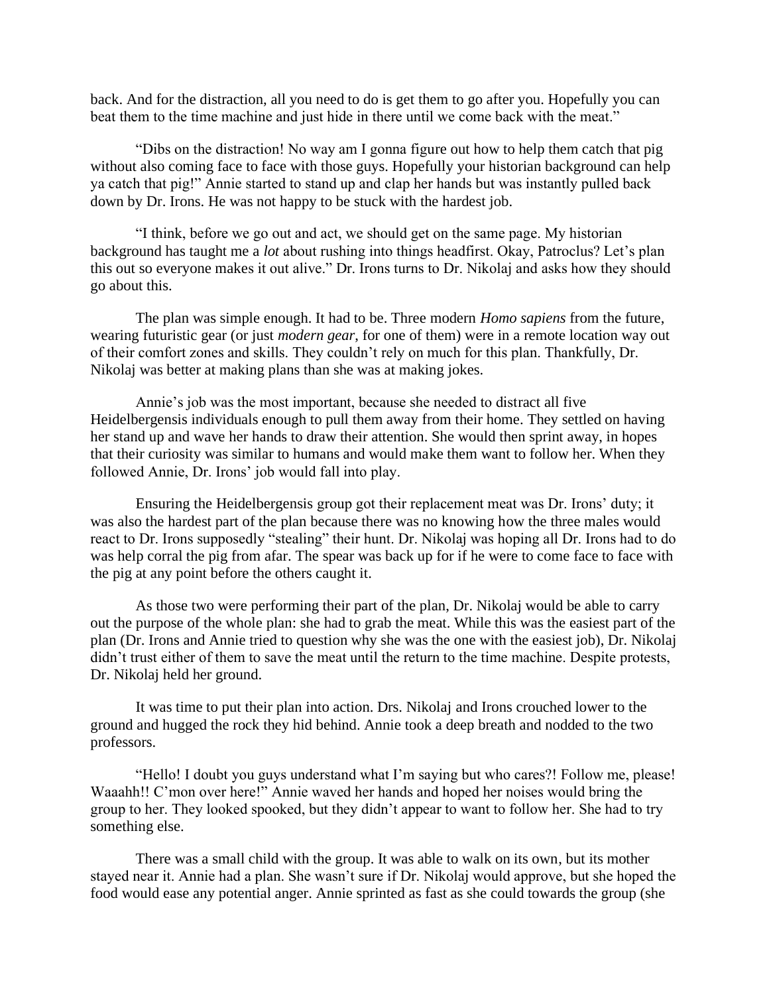back. And for the distraction, all you need to do is get them to go after you. Hopefully you can beat them to the time machine and just hide in there until we come back with the meat."

 "Dibs on the distraction! No way am I gonna figure out how to help them catch that pig without also coming face to face with those guys. Hopefully your historian background can help ya catch that pig!" Annie started to stand up and clap her hands but was instantly pulled back down by Dr. Irons. He was not happy to be stuck with the hardest job.

 "I think, before we go out and act, we should get on the same page. My historian background has taught me a *lot* about rushing into things headfirst. Okay, Patroclus? Let's plan this out so everyone makes it out alive." Dr. Irons turns to Dr. Nikolaj and asks how they should go about this.

 The plan was simple enough. It had to be. Three modern *Homo sapiens* from the future, wearing futuristic gear (or just *modern gear*, for one of them) were in a remote location way out of their comfort zones and skills. They couldn't rely on much for this plan. Thankfully, Dr. Nikolaj was better at making plans than she was at making jokes.

 Annie's job was the most important, because she needed to distract all five Heidelbergensis individuals enough to pull them away from their home. They settled on having her stand up and wave her hands to draw their attention. She would then sprint away, in hopes that their curiosity was similar to humans and would make them want to follow her. When they followed Annie, Dr. Irons' job would fall into play.

 Ensuring the Heidelbergensis group got their replacement meat was Dr. Irons' duty; it was also the hardest part of the plan because there was no knowing how the three males would react to Dr. Irons supposedly "stealing" their hunt. Dr. Nikolaj was hoping all Dr. Irons had to do was help corral the pig from afar. The spear was back up for if he were to come face to face with the pig at any point before the others caught it.

 As those two were performing their part of the plan, Dr. Nikolaj would be able to carry out the purpose of the whole plan: she had to grab the meat. While this was the easiest part of the plan (Dr. Irons and Annie tried to question why she was the one with the easiest job), Dr. Nikolaj didn't trust either of them to save the meat until the return to the time machine. Despite protests, Dr. Nikolaj held her ground.

 It was time to put their plan into action. Drs. Nikolaj and Irons crouched lower to the ground and hugged the rock they hid behind. Annie took a deep breath and nodded to the two professors.

 "Hello! I doubt you guys understand what I'm saying but who cares?! Follow me, please! Waaahh!! C'mon over here!" Annie waved her hands and hoped her noises would bring the group to her. They looked spooked, but they didn't appear to want to follow her. She had to try something else.

 There was a small child with the group. It was able to walk on its own, but its mother stayed near it. Annie had a plan. She wasn't sure if Dr. Nikolaj would approve, but she hoped the food would ease any potential anger. Annie sprinted as fast as she could towards the group (she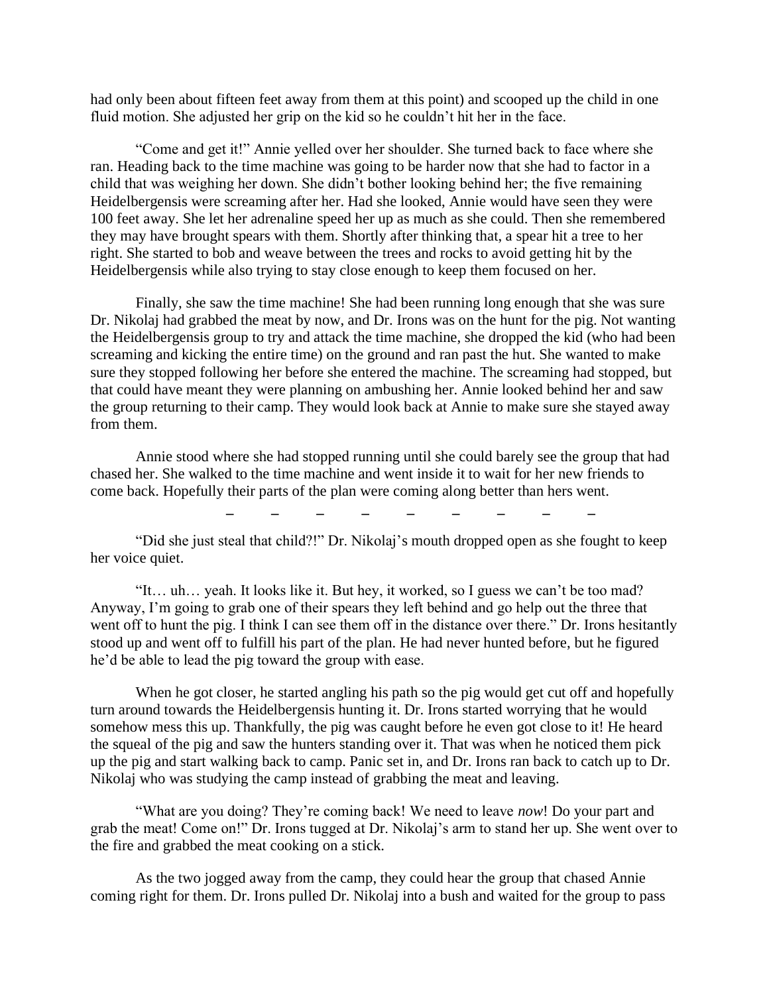had only been about fifteen feet away from them at this point) and scooped up the child in one fluid motion. She adjusted her grip on the kid so he couldn't hit her in the face.

 "Come and get it!" Annie yelled over her shoulder. She turned back to face where she ran. Heading back to the time machine was going to be harder now that she had to factor in a child that was weighing her down. She didn't bother looking behind her; the five remaining Heidelbergensis were screaming after her. Had she looked, Annie would have seen they were 100 feet away. She let her adrenaline speed her up as much as she could. Then she remembered they may have brought spears with them. Shortly after thinking that, a spear hit a tree to her right. She started to bob and weave between the trees and rocks to avoid getting hit by the Heidelbergensis while also trying to stay close enough to keep them focused on her.

 Finally, she saw the time machine! She had been running long enough that she was sure Dr. Nikolaj had grabbed the meat by now, and Dr. Irons was on the hunt for the pig. Not wanting the Heidelbergensis group to try and attack the time machine, she dropped the kid (who had been screaming and kicking the entire time) on the ground and ran past the hut. She wanted to make sure they stopped following her before she entered the machine. The screaming had stopped, but that could have meant they were planning on ambushing her. Annie looked behind her and saw the group returning to their camp. They would look back at Annie to make sure she stayed away from them.

 Annie stood where she had stopped running until she could barely see the group that had chased her. She walked to the time machine and went inside it to wait for her new friends to come back. Hopefully their parts of the plan were coming along better than hers went.

**\_ \_ \_ \_ \_ \_ \_ \_ \_**

 "Did she just steal that child?!" Dr. Nikolaj's mouth dropped open as she fought to keep her voice quiet.

 "It… uh… yeah. It looks like it. But hey, it worked, so I guess we can't be too mad? Anyway, I'm going to grab one of their spears they left behind and go help out the three that went off to hunt the pig. I think I can see them off in the distance over there." Dr. Irons hesitantly stood up and went off to fulfill his part of the plan. He had never hunted before, but he figured he'd be able to lead the pig toward the group with ease.

When he got closer, he started angling his path so the pig would get cut off and hopefully turn around towards the Heidelbergensis hunting it. Dr. Irons started worrying that he would somehow mess this up. Thankfully, the pig was caught before he even got close to it! He heard the squeal of the pig and saw the hunters standing over it. That was when he noticed them pick up the pig and start walking back to camp. Panic set in, and Dr. Irons ran back to catch up to Dr. Nikolaj who was studying the camp instead of grabbing the meat and leaving.

"What are you doing? They're coming back! We need to leave *now*! Do your part and grab the meat! Come on!" Dr. Irons tugged at Dr. Nikolaj's arm to stand her up. She went over to the fire and grabbed the meat cooking on a stick.

As the two jogged away from the camp, they could hear the group that chased Annie coming right for them. Dr. Irons pulled Dr. Nikolaj into a bush and waited for the group to pass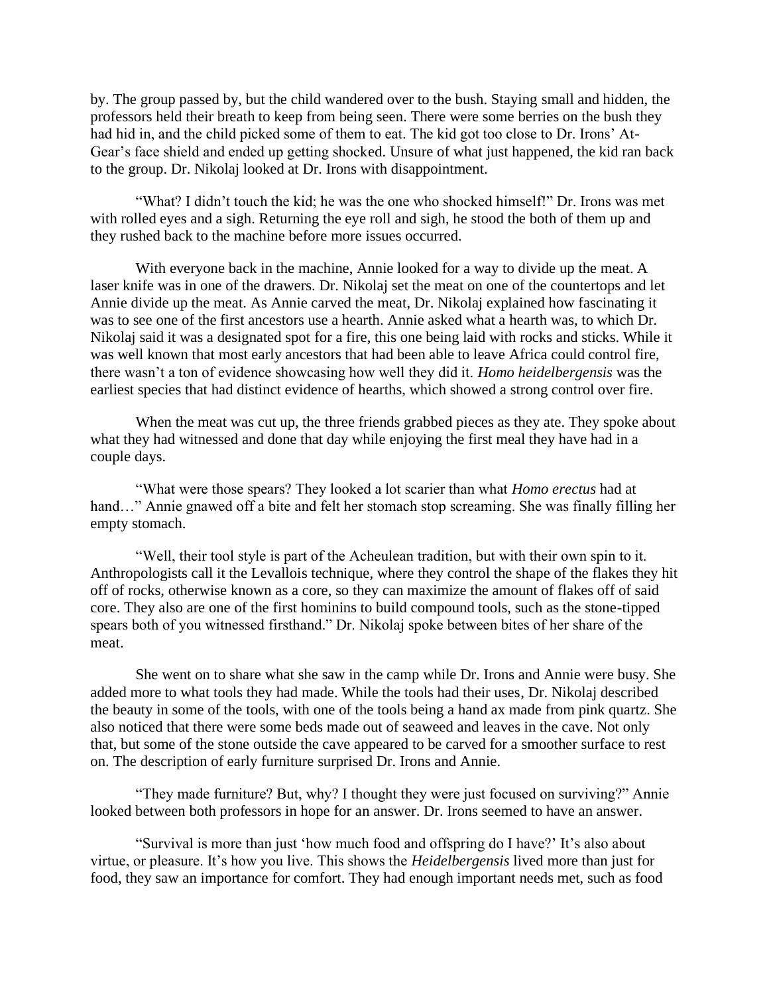by. The group passed by, but the child wandered over to the bush. Staying small and hidden, the professors held their breath to keep from being seen. There were some berries on the bush they had hid in, and the child picked some of them to eat. The kid got too close to Dr. Irons' At-Gear's face shield and ended up getting shocked. Unsure of what just happened, the kid ran back to the group. Dr. Nikolaj looked at Dr. Irons with disappointment.

"What? I didn't touch the kid; he was the one who shocked himself!" Dr. Irons was met with rolled eyes and a sigh. Returning the eye roll and sigh, he stood the both of them up and they rushed back to the machine before more issues occurred.

With everyone back in the machine, Annie looked for a way to divide up the meat. A laser knife was in one of the drawers. Dr. Nikolaj set the meat on one of the countertops and let Annie divide up the meat. As Annie carved the meat, Dr. Nikolaj explained how fascinating it was to see one of the first ancestors use a hearth. Annie asked what a hearth was, to which Dr. Nikolaj said it was a designated spot for a fire, this one being laid with rocks and sticks. While it was well known that most early ancestors that had been able to leave Africa could control fire, there wasn't a ton of evidence showcasing how well they did it. *Homo heidelbergensis* was the earliest species that had distinct evidence of hearths, which showed a strong control over fire.

When the meat was cut up, the three friends grabbed pieces as they ate. They spoke about what they had witnessed and done that day while enjoying the first meal they have had in a couple days.

"What were those spears? They looked a lot scarier than what *Homo erectus* had at hand..." Annie gnawed off a bite and felt her stomach stop screaming. She was finally filling her empty stomach.

"Well, their tool style is part of the Acheulean tradition, but with their own spin to it. Anthropologists call it the Levallois technique, where they control the shape of the flakes they hit off of rocks, otherwise known as a core, so they can maximize the amount of flakes off of said core. They also are one of the first hominins to build compound tools, such as the stone-tipped spears both of you witnessed firsthand." Dr. Nikolaj spoke between bites of her share of the meat.

She went on to share what she saw in the camp while Dr. Irons and Annie were busy. She added more to what tools they had made. While the tools had their uses, Dr. Nikolaj described the beauty in some of the tools, with one of the tools being a hand ax made from pink quartz. She also noticed that there were some beds made out of seaweed and leaves in the cave. Not only that, but some of the stone outside the cave appeared to be carved for a smoother surface to rest on. The description of early furniture surprised Dr. Irons and Annie.

"They made furniture? But, why? I thought they were just focused on surviving?" Annie looked between both professors in hope for an answer. Dr. Irons seemed to have an answer.

"Survival is more than just 'how much food and offspring do I have?' It's also about virtue, or pleasure. It's how you live. This shows the *Heidelbergensis* lived more than just for food, they saw an importance for comfort. They had enough important needs met, such as food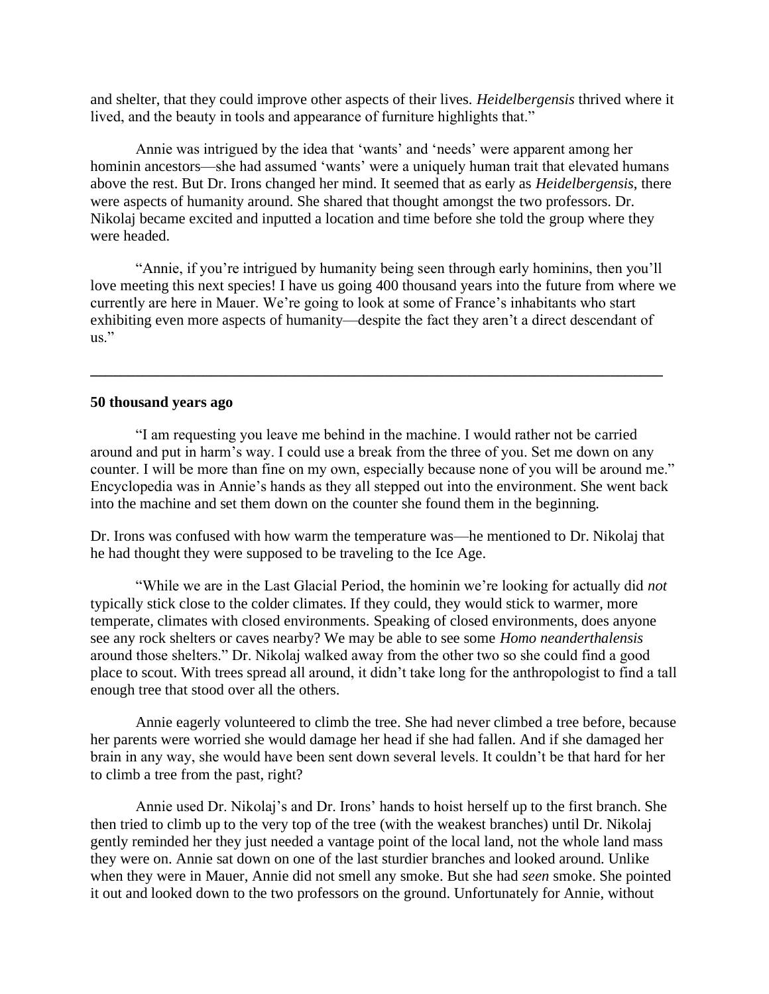and shelter, that they could improve other aspects of their lives. *Heidelbergensis* thrived where it lived, and the beauty in tools and appearance of furniture highlights that."

Annie was intrigued by the idea that 'wants' and 'needs' were apparent among her hominin ancestors—she had assumed 'wants' were a uniquely human trait that elevated humans above the rest. But Dr. Irons changed her mind. It seemed that as early as *Heidelbergensis*, there were aspects of humanity around. She shared that thought amongst the two professors. Dr. Nikolaj became excited and inputted a location and time before she told the group where they were headed.

"Annie, if you're intrigued by humanity being seen through early hominins, then you'll love meeting this next species! I have us going 400 thousand years into the future from where we currently are here in Mauer. We're going to look at some of France's inhabitants who start exhibiting even more aspects of humanity—despite the fact they aren't a direct descendant of us."

**\_\_\_\_\_\_\_\_\_\_\_\_\_\_\_\_\_\_\_\_\_\_\_\_\_\_\_\_\_\_\_\_\_\_\_\_\_\_\_\_\_\_\_\_\_\_\_\_\_\_\_\_\_\_\_\_\_\_\_\_\_\_\_\_\_\_\_\_\_\_\_\_\_\_\_\_**

### **50 thousand years ago**

 "I am requesting you leave me behind in the machine. I would rather not be carried around and put in harm's way. I could use a break from the three of you. Set me down on any counter. I will be more than fine on my own, especially because none of you will be around me." Encyclopedia was in Annie's hands as they all stepped out into the environment. She went back into the machine and set them down on the counter she found them in the beginning.

Dr. Irons was confused with how warm the temperature was—he mentioned to Dr. Nikolaj that he had thought they were supposed to be traveling to the Ice Age.

 "While we are in the Last Glacial Period, the hominin we're looking for actually did *not* typically stick close to the colder climates. If they could, they would stick to warmer, more temperate, climates with closed environments. Speaking of closed environments, does anyone see any rock shelters or caves nearby? We may be able to see some *Homo neanderthalensis* around those shelters." Dr. Nikolaj walked away from the other two so she could find a good place to scout. With trees spread all around, it didn't take long for the anthropologist to find a tall enough tree that stood over all the others.

 Annie eagerly volunteered to climb the tree. She had never climbed a tree before, because her parents were worried she would damage her head if she had fallen. And if she damaged her brain in any way, she would have been sent down several levels. It couldn't be that hard for her to climb a tree from the past, right?

 Annie used Dr. Nikolaj's and Dr. Irons' hands to hoist herself up to the first branch. She then tried to climb up to the very top of the tree (with the weakest branches) until Dr. Nikolaj gently reminded her they just needed a vantage point of the local land, not the whole land mass they were on. Annie sat down on one of the last sturdier branches and looked around. Unlike when they were in Mauer, Annie did not smell any smoke. But she had *seen* smoke. She pointed it out and looked down to the two professors on the ground. Unfortunately for Annie, without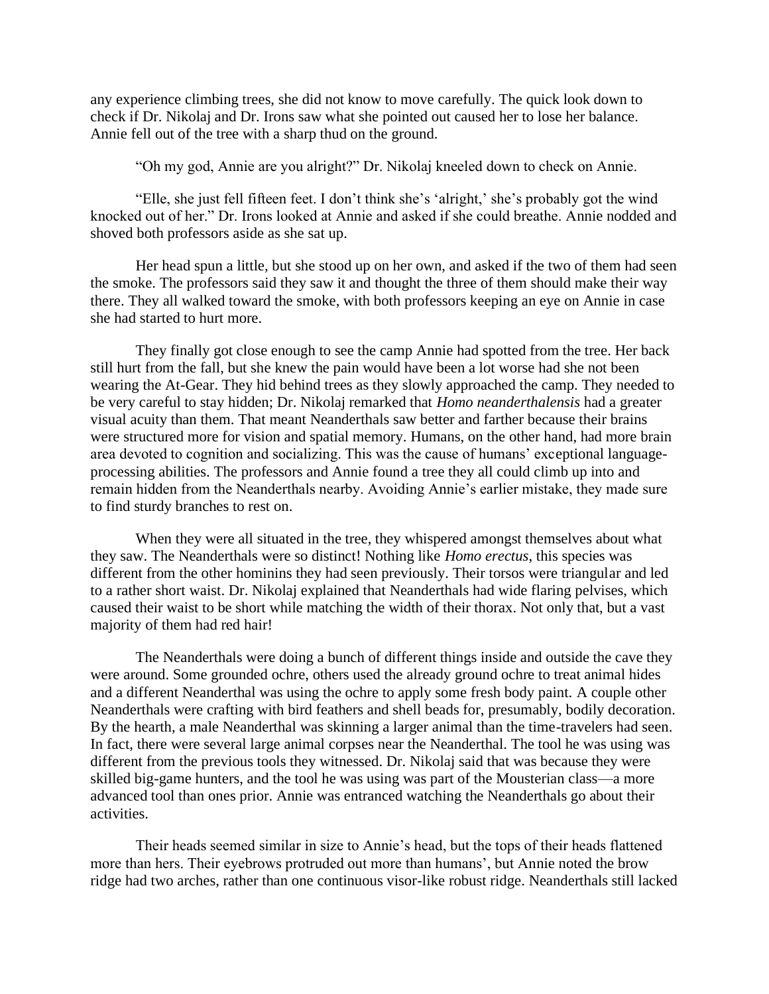any experience climbing trees, she did not know to move carefully. The quick look down to check if Dr. Nikolaj and Dr. Irons saw what she pointed out caused her to lose her balance. Annie fell out of the tree with a sharp thud on the ground.

"Oh my god, Annie are you alright?" Dr. Nikolaj kneeled down to check on Annie.

 "Elle, she just fell fifteen feet. I don't think she's 'alright,' she's probably got the wind knocked out of her." Dr. Irons looked at Annie and asked if she could breathe. Annie nodded and shoved both professors aside as she sat up.

 Her head spun a little, but she stood up on her own, and asked if the two of them had seen the smoke. The professors said they saw it and thought the three of them should make their way there. They all walked toward the smoke, with both professors keeping an eye on Annie in case she had started to hurt more.

 They finally got close enough to see the camp Annie had spotted from the tree. Her back still hurt from the fall, but she knew the pain would have been a lot worse had she not been wearing the At-Gear. They hid behind trees as they slowly approached the camp. They needed to be very careful to stay hidden; Dr. Nikolaj remarked that *Homo neanderthalensis* had a greater visual acuity than them. That meant Neanderthals saw better and farther because their brains were structured more for vision and spatial memory. Humans, on the other hand, had more brain area devoted to cognition and socializing. This was the cause of humans' exceptional languageprocessing abilities. The professors and Annie found a tree they all could climb up into and remain hidden from the Neanderthals nearby. Avoiding Annie's earlier mistake, they made sure to find sturdy branches to rest on.

 When they were all situated in the tree, they whispered amongst themselves about what they saw. The Neanderthals were so distinct! Nothing like *Homo erectus*, this species was different from the other hominins they had seen previously. Their torsos were triangular and led to a rather short waist. Dr. Nikolaj explained that Neanderthals had wide flaring pelvises, which caused their waist to be short while matching the width of their thorax. Not only that, but a vast majority of them had red hair!

 The Neanderthals were doing a bunch of different things inside and outside the cave they were around. Some grounded ochre, others used the already ground ochre to treat animal hides and a different Neanderthal was using the ochre to apply some fresh body paint. A couple other Neanderthals were crafting with bird feathers and shell beads for, presumably, bodily decoration. By the hearth, a male Neanderthal was skinning a larger animal than the time-travelers had seen. In fact, there were several large animal corpses near the Neanderthal. The tool he was using was different from the previous tools they witnessed. Dr. Nikolaj said that was because they were skilled big-game hunters, and the tool he was using was part of the Mousterian class—a more advanced tool than ones prior. Annie was entranced watching the Neanderthals go about their activities.

 Their heads seemed similar in size to Annie's head, but the tops of their heads flattened more than hers. Their eyebrows protruded out more than humans', but Annie noted the brow ridge had two arches, rather than one continuous visor-like robust ridge. Neanderthals still lacked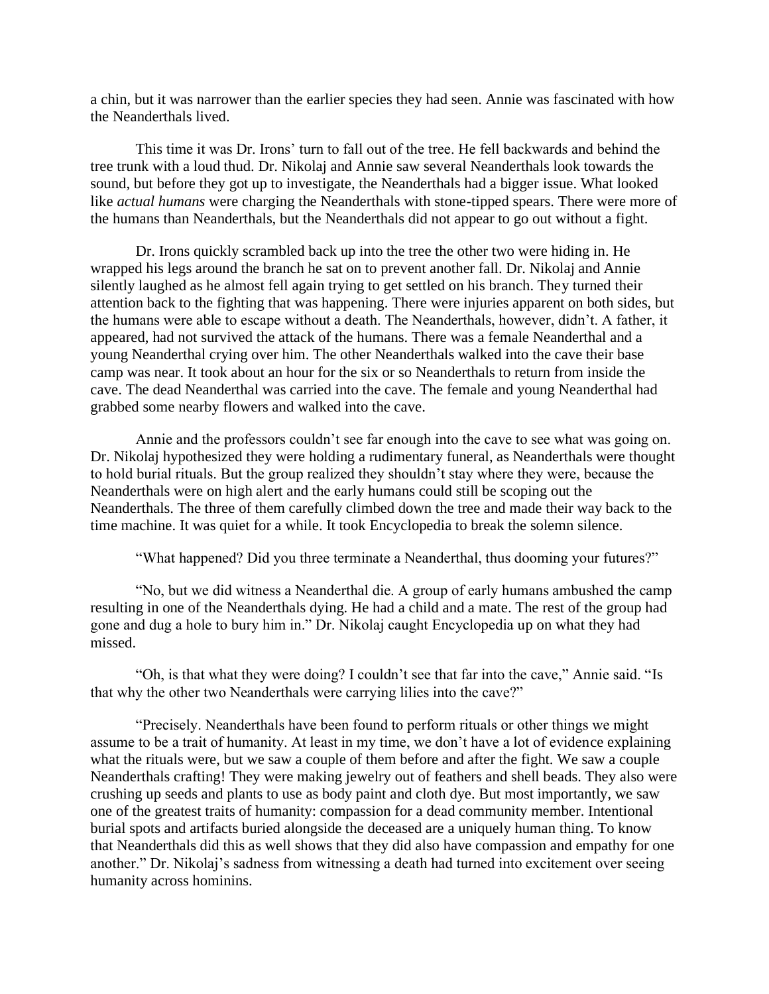a chin, but it was narrower than the earlier species they had seen. Annie was fascinated with how the Neanderthals lived.

 This time it was Dr. Irons' turn to fall out of the tree. He fell backwards and behind the tree trunk with a loud thud. Dr. Nikolaj and Annie saw several Neanderthals look towards the sound, but before they got up to investigate, the Neanderthals had a bigger issue. What looked like *actual humans* were charging the Neanderthals with stone-tipped spears. There were more of the humans than Neanderthals, but the Neanderthals did not appear to go out without a fight.

 Dr. Irons quickly scrambled back up into the tree the other two were hiding in. He wrapped his legs around the branch he sat on to prevent another fall. Dr. Nikolaj and Annie silently laughed as he almost fell again trying to get settled on his branch. They turned their attention back to the fighting that was happening. There were injuries apparent on both sides, but the humans were able to escape without a death. The Neanderthals, however, didn't. A father, it appeared, had not survived the attack of the humans. There was a female Neanderthal and a young Neanderthal crying over him. The other Neanderthals walked into the cave their base camp was near. It took about an hour for the six or so Neanderthals to return from inside the cave. The dead Neanderthal was carried into the cave. The female and young Neanderthal had grabbed some nearby flowers and walked into the cave.

 Annie and the professors couldn't see far enough into the cave to see what was going on. Dr. Nikolaj hypothesized they were holding a rudimentary funeral, as Neanderthals were thought to hold burial rituals. But the group realized they shouldn't stay where they were, because the Neanderthals were on high alert and the early humans could still be scoping out the Neanderthals. The three of them carefully climbed down the tree and made their way back to the time machine. It was quiet for a while. It took Encyclopedia to break the solemn silence.

"What happened? Did you three terminate a Neanderthal, thus dooming your futures?"

 "No, but we did witness a Neanderthal die. A group of early humans ambushed the camp resulting in one of the Neanderthals dying. He had a child and a mate. The rest of the group had gone and dug a hole to bury him in." Dr. Nikolaj caught Encyclopedia up on what they had missed.

 "Oh, is that what they were doing? I couldn't see that far into the cave," Annie said. "Is that why the other two Neanderthals were carrying lilies into the cave?"

 "Precisely. Neanderthals have been found to perform rituals or other things we might assume to be a trait of humanity. At least in my time, we don't have a lot of evidence explaining what the rituals were, but we saw a couple of them before and after the fight. We saw a couple Neanderthals crafting! They were making jewelry out of feathers and shell beads. They also were crushing up seeds and plants to use as body paint and cloth dye. But most importantly, we saw one of the greatest traits of humanity: compassion for a dead community member. Intentional burial spots and artifacts buried alongside the deceased are a uniquely human thing. To know that Neanderthals did this as well shows that they did also have compassion and empathy for one another." Dr. Nikolaj's sadness from witnessing a death had turned into excitement over seeing humanity across hominins.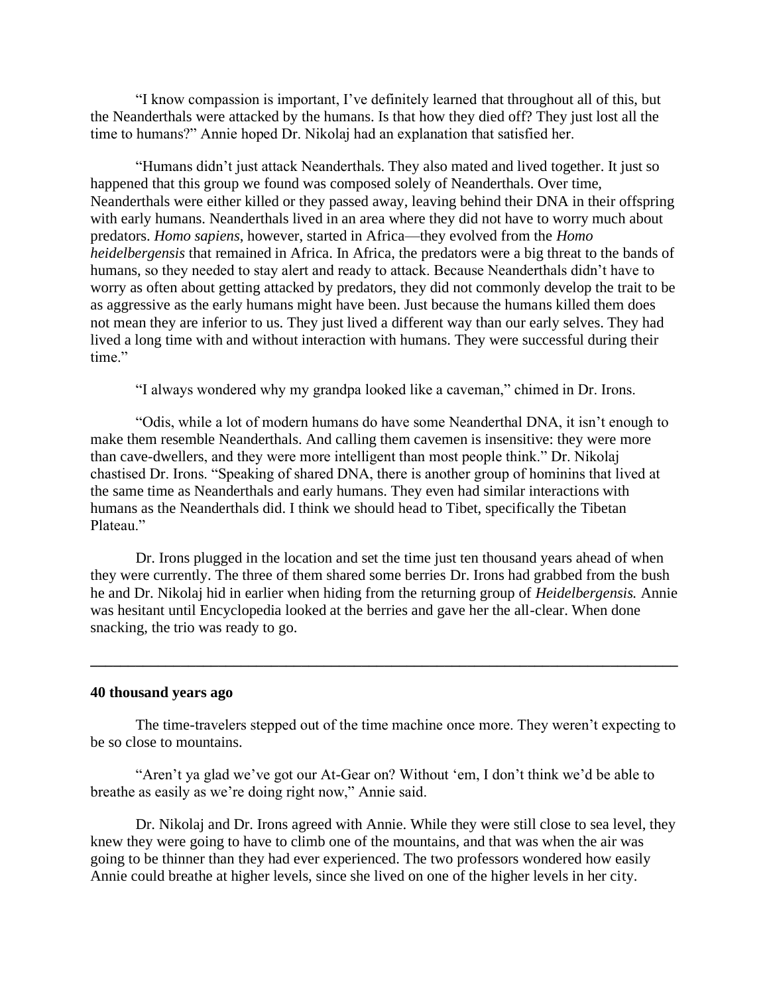"I know compassion is important, I've definitely learned that throughout all of this, but the Neanderthals were attacked by the humans. Is that how they died off? They just lost all the time to humans?" Annie hoped Dr. Nikolaj had an explanation that satisfied her.

 "Humans didn't just attack Neanderthals. They also mated and lived together. It just so happened that this group we found was composed solely of Neanderthals. Over time, Neanderthals were either killed or they passed away, leaving behind their DNA in their offspring with early humans. Neanderthals lived in an area where they did not have to worry much about predators. *Homo sapiens*, however, started in Africa—they evolved from the *Homo heidelbergensis* that remained in Africa. In Africa, the predators were a big threat to the bands of humans, so they needed to stay alert and ready to attack. Because Neanderthals didn't have to worry as often about getting attacked by predators, they did not commonly develop the trait to be as aggressive as the early humans might have been. Just because the humans killed them does not mean they are inferior to us. They just lived a different way than our early selves. They had lived a long time with and without interaction with humans. They were successful during their time."

"I always wondered why my grandpa looked like a caveman," chimed in Dr. Irons.

 "Odis, while a lot of modern humans do have some Neanderthal DNA, it isn't enough to make them resemble Neanderthals. And calling them cavemen is insensitive: they were more than cave-dwellers, and they were more intelligent than most people think." Dr. Nikolaj chastised Dr. Irons. "Speaking of shared DNA, there is another group of hominins that lived at the same time as Neanderthals and early humans. They even had similar interactions with humans as the Neanderthals did. I think we should head to Tibet, specifically the Tibetan Plateau."

 Dr. Irons plugged in the location and set the time just ten thousand years ahead of when they were currently. The three of them shared some berries Dr. Irons had grabbed from the bush he and Dr. Nikolaj hid in earlier when hiding from the returning group of *Heidelbergensis.* Annie was hesitant until Encyclopedia looked at the berries and gave her the all-clear. When done snacking, the trio was ready to go.

**\_\_\_\_\_\_\_\_\_\_\_\_\_\_\_\_\_\_\_\_\_\_\_\_\_\_\_\_\_\_\_\_\_\_\_\_\_\_\_\_\_\_\_\_\_\_\_\_\_\_\_\_\_\_\_\_\_\_\_\_\_\_\_\_\_\_\_\_\_\_\_\_\_\_\_\_\_\_**

### **40 thousand years ago**

The time-travelers stepped out of the time machine once more. They weren't expecting to be so close to mountains.

 "Aren't ya glad we've got our At-Gear on? Without 'em, I don't think we'd be able to breathe as easily as we're doing right now," Annie said.

 Dr. Nikolaj and Dr. Irons agreed with Annie. While they were still close to sea level, they knew they were going to have to climb one of the mountains, and that was when the air was going to be thinner than they had ever experienced. The two professors wondered how easily Annie could breathe at higher levels, since she lived on one of the higher levels in her city.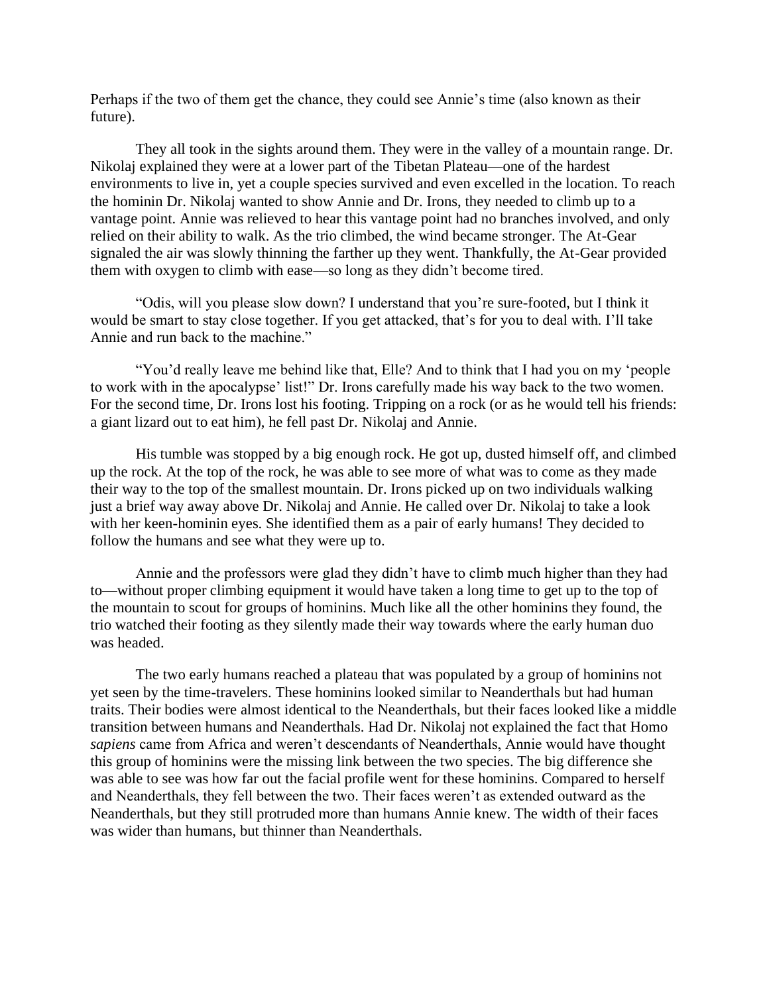Perhaps if the two of them get the chance, they could see Annie's time (also known as their future).

 They all took in the sights around them. They were in the valley of a mountain range. Dr. Nikolaj explained they were at a lower part of the Tibetan Plateau—one of the hardest environments to live in, yet a couple species survived and even excelled in the location. To reach the hominin Dr. Nikolaj wanted to show Annie and Dr. Irons, they needed to climb up to a vantage point. Annie was relieved to hear this vantage point had no branches involved, and only relied on their ability to walk. As the trio climbed, the wind became stronger. The At-Gear signaled the air was slowly thinning the farther up they went. Thankfully, the At-Gear provided them with oxygen to climb with ease—so long as they didn't become tired.

 "Odis, will you please slow down? I understand that you're sure-footed, but I think it would be smart to stay close together. If you get attacked, that's for you to deal with. I'll take Annie and run back to the machine."

 "You'd really leave me behind like that, Elle? And to think that I had you on my 'people to work with in the apocalypse' list!" Dr. Irons carefully made his way back to the two women. For the second time, Dr. Irons lost his footing. Tripping on a rock (or as he would tell his friends: a giant lizard out to eat him), he fell past Dr. Nikolaj and Annie.

His tumble was stopped by a big enough rock. He got up, dusted himself off, and climbed up the rock. At the top of the rock, he was able to see more of what was to come as they made their way to the top of the smallest mountain. Dr. Irons picked up on two individuals walking just a brief way away above Dr. Nikolaj and Annie. He called over Dr. Nikolaj to take a look with her keen-hominin eyes. She identified them as a pair of early humans! They decided to follow the humans and see what they were up to.

Annie and the professors were glad they didn't have to climb much higher than they had to—without proper climbing equipment it would have taken a long time to get up to the top of the mountain to scout for groups of hominins. Much like all the other hominins they found, the trio watched their footing as they silently made their way towards where the early human duo was headed.

 The two early humans reached a plateau that was populated by a group of hominins not yet seen by the time-travelers. These hominins looked similar to Neanderthals but had human traits. Their bodies were almost identical to the Neanderthals, but their faces looked like a middle transition between humans and Neanderthals. Had Dr. Nikolaj not explained the fact that Homo *sapiens* came from Africa and weren't descendants of Neanderthals, Annie would have thought this group of hominins were the missing link between the two species. The big difference she was able to see was how far out the facial profile went for these hominins. Compared to herself and Neanderthals, they fell between the two. Their faces weren't as extended outward as the Neanderthals, but they still protruded more than humans Annie knew. The width of their faces was wider than humans, but thinner than Neanderthals.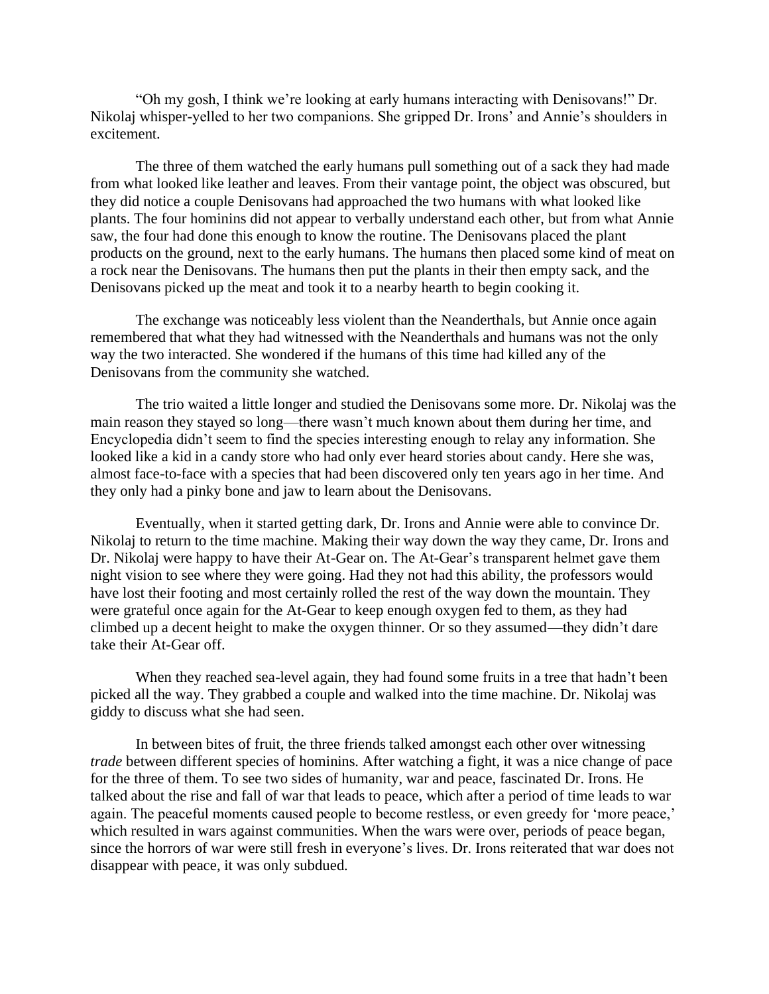"Oh my gosh, I think we're looking at early humans interacting with Denisovans!" Dr. Nikolaj whisper-yelled to her two companions. She gripped Dr. Irons' and Annie's shoulders in excitement.

 The three of them watched the early humans pull something out of a sack they had made from what looked like leather and leaves. From their vantage point, the object was obscured, but they did notice a couple Denisovans had approached the two humans with what looked like plants. The four hominins did not appear to verbally understand each other, but from what Annie saw, the four had done this enough to know the routine. The Denisovans placed the plant products on the ground, next to the early humans. The humans then placed some kind of meat on a rock near the Denisovans. The humans then put the plants in their then empty sack, and the Denisovans picked up the meat and took it to a nearby hearth to begin cooking it.

 The exchange was noticeably less violent than the Neanderthals, but Annie once again remembered that what they had witnessed with the Neanderthals and humans was not the only way the two interacted. She wondered if the humans of this time had killed any of the Denisovans from the community she watched.

 The trio waited a little longer and studied the Denisovans some more. Dr. Nikolaj was the main reason they stayed so long—there wasn't much known about them during her time, and Encyclopedia didn't seem to find the species interesting enough to relay any information. She looked like a kid in a candy store who had only ever heard stories about candy. Here she was, almost face-to-face with a species that had been discovered only ten years ago in her time. And they only had a pinky bone and jaw to learn about the Denisovans.

 Eventually, when it started getting dark, Dr. Irons and Annie were able to convince Dr. Nikolaj to return to the time machine. Making their way down the way they came, Dr. Irons and Dr. Nikolaj were happy to have their At-Gear on. The At-Gear's transparent helmet gave them night vision to see where they were going. Had they not had this ability, the professors would have lost their footing and most certainly rolled the rest of the way down the mountain. They were grateful once again for the At-Gear to keep enough oxygen fed to them, as they had climbed up a decent height to make the oxygen thinner. Or so they assumed—they didn't dare take their At-Gear off.

When they reached sea-level again, they had found some fruits in a tree that hadn't been picked all the way. They grabbed a couple and walked into the time machine. Dr. Nikolaj was giddy to discuss what she had seen.

In between bites of fruit, the three friends talked amongst each other over witnessing *trade* between different species of hominins. After watching a fight, it was a nice change of pace for the three of them. To see two sides of humanity, war and peace, fascinated Dr. Irons. He talked about the rise and fall of war that leads to peace, which after a period of time leads to war again. The peaceful moments caused people to become restless, or even greedy for 'more peace,' which resulted in wars against communities. When the wars were over, periods of peace began, since the horrors of war were still fresh in everyone's lives. Dr. Irons reiterated that war does not disappear with peace, it was only subdued.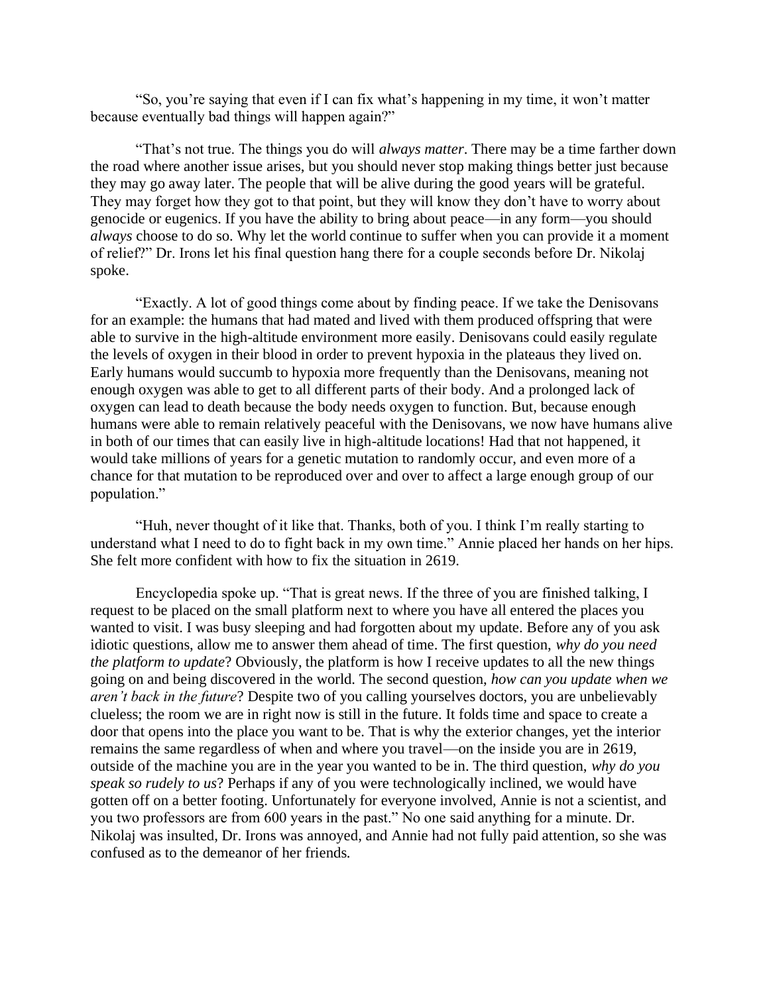"So, you're saying that even if I can fix what's happening in my time, it won't matter because eventually bad things will happen again?"

 "That's not true. The things you do will *always matter*. There may be a time farther down the road where another issue arises, but you should never stop making things better just because they may go away later. The people that will be alive during the good years will be grateful. They may forget how they got to that point, but they will know they don't have to worry about genocide or eugenics. If you have the ability to bring about peace—in any form—you should *always* choose to do so. Why let the world continue to suffer when you can provide it a moment of relief?" Dr. Irons let his final question hang there for a couple seconds before Dr. Nikolaj spoke.

 "Exactly. A lot of good things come about by finding peace. If we take the Denisovans for an example: the humans that had mated and lived with them produced offspring that were able to survive in the high-altitude environment more easily. Denisovans could easily regulate the levels of oxygen in their blood in order to prevent hypoxia in the plateaus they lived on. Early humans would succumb to hypoxia more frequently than the Denisovans, meaning not enough oxygen was able to get to all different parts of their body. And a prolonged lack of oxygen can lead to death because the body needs oxygen to function. But, because enough humans were able to remain relatively peaceful with the Denisovans, we now have humans alive in both of our times that can easily live in high-altitude locations! Had that not happened, it would take millions of years for a genetic mutation to randomly occur, and even more of a chance for that mutation to be reproduced over and over to affect a large enough group of our population."

 "Huh, never thought of it like that. Thanks, both of you. I think I'm really starting to understand what I need to do to fight back in my own time." Annie placed her hands on her hips. She felt more confident with how to fix the situation in 2619.

 Encyclopedia spoke up. "That is great news. If the three of you are finished talking, I request to be placed on the small platform next to where you have all entered the places you wanted to visit. I was busy sleeping and had forgotten about my update. Before any of you ask idiotic questions, allow me to answer them ahead of time. The first question, *why do you need the platform to update*? Obviously, the platform is how I receive updates to all the new things going on and being discovered in the world. The second question, *how can you update when we aren't back in the future*? Despite two of you calling yourselves doctors, you are unbelievably clueless; the room we are in right now is still in the future. It folds time and space to create a door that opens into the place you want to be. That is why the exterior changes, yet the interior remains the same regardless of when and where you travel—on the inside you are in 2619, outside of the machine you are in the year you wanted to be in. The third question, *why do you speak so rudely to us*? Perhaps if any of you were technologically inclined, we would have gotten off on a better footing. Unfortunately for everyone involved, Annie is not a scientist, and you two professors are from 600 years in the past." No one said anything for a minute. Dr. Nikolaj was insulted, Dr. Irons was annoyed, and Annie had not fully paid attention, so she was confused as to the demeanor of her friends.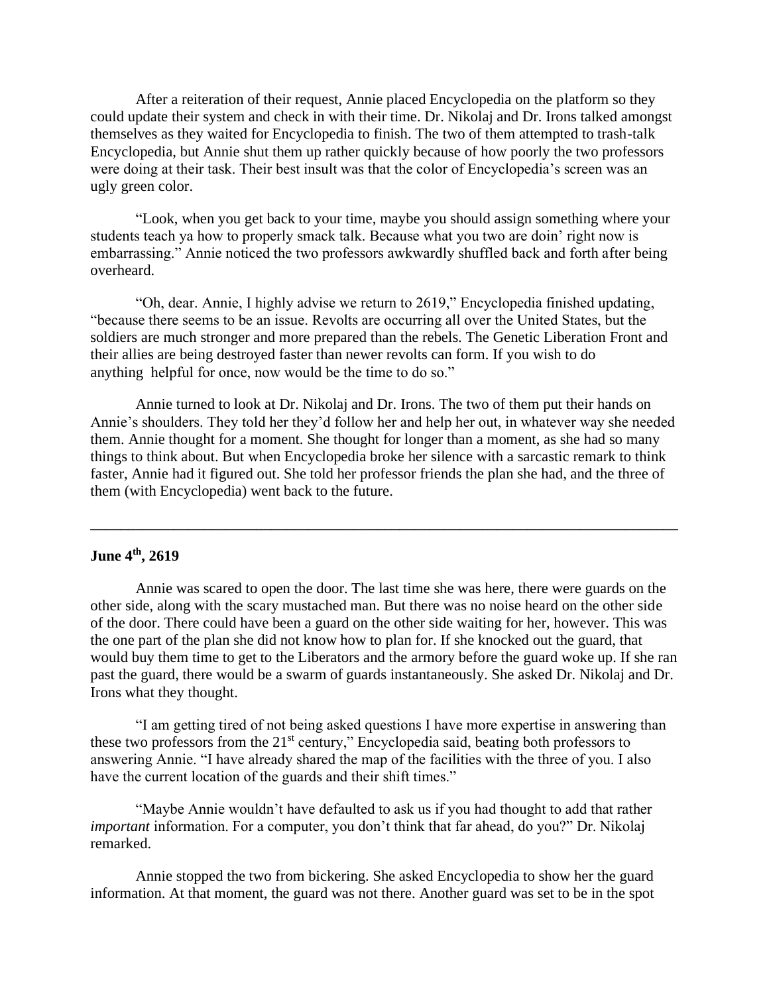After a reiteration of their request, Annie placed Encyclopedia on the platform so they could update their system and check in with their time. Dr. Nikolaj and Dr. Irons talked amongst themselves as they waited for Encyclopedia to finish. The two of them attempted to trash-talk Encyclopedia, but Annie shut them up rather quickly because of how poorly the two professors were doing at their task. Their best insult was that the color of Encyclopedia's screen was an ugly green color.

 "Look, when you get back to your time, maybe you should assign something where your students teach ya how to properly smack talk. Because what you two are doin' right now is embarrassing." Annie noticed the two professors awkwardly shuffled back and forth after being overheard.

 "Oh, dear. Annie, I highly advise we return to 2619," Encyclopedia finished updating, "because there seems to be an issue. Revolts are occurring all over the United States, but the soldiers are much stronger and more prepared than the rebels. The Genetic Liberation Front and their allies are being destroyed faster than newer revolts can form. If you wish to do anything helpful for once, now would be the time to do so."

 Annie turned to look at Dr. Nikolaj and Dr. Irons. The two of them put their hands on Annie's shoulders. They told her they'd follow her and help her out, in whatever way she needed them. Annie thought for a moment. She thought for longer than a moment, as she had so many things to think about. But when Encyclopedia broke her silence with a sarcastic remark to think faster, Annie had it figured out. She told her professor friends the plan she had, and the three of them (with Encyclopedia) went back to the future.

**\_\_\_\_\_\_\_\_\_\_\_\_\_\_\_\_\_\_\_\_\_\_\_\_\_\_\_\_\_\_\_\_\_\_\_\_\_\_\_\_\_\_\_\_\_\_\_\_\_\_\_\_\_\_\_\_\_\_\_\_\_\_\_\_\_\_\_\_\_\_\_\_\_\_\_\_\_\_**

# **June 4th, 2619**

 Annie was scared to open the door. The last time she was here, there were guards on the other side, along with the scary mustached man. But there was no noise heard on the other side of the door. There could have been a guard on the other side waiting for her, however. This was the one part of the plan she did not know how to plan for. If she knocked out the guard, that would buy them time to get to the Liberators and the armory before the guard woke up. If she ran past the guard, there would be a swarm of guards instantaneously. She asked Dr. Nikolaj and Dr. Irons what they thought.

 "I am getting tired of not being asked questions I have more expertise in answering than these two professors from the 21<sup>st</sup> century," Encyclopedia said, beating both professors to answering Annie. "I have already shared the map of the facilities with the three of you. I also have the current location of the guards and their shift times."

 "Maybe Annie wouldn't have defaulted to ask us if you had thought to add that rather *important* information. For a computer, you don't think that far ahead, do you?" Dr. Nikolaj remarked.

 Annie stopped the two from bickering. She asked Encyclopedia to show her the guard information. At that moment, the guard was not there. Another guard was set to be in the spot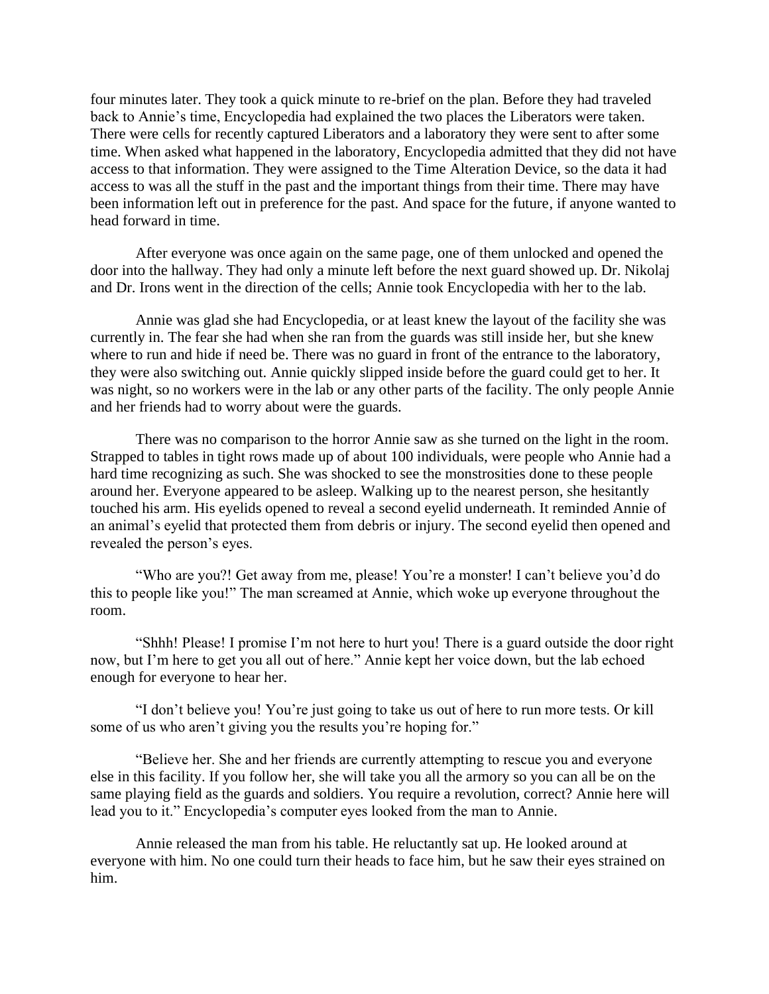four minutes later. They took a quick minute to re-brief on the plan. Before they had traveled back to Annie's time, Encyclopedia had explained the two places the Liberators were taken. There were cells for recently captured Liberators and a laboratory they were sent to after some time. When asked what happened in the laboratory, Encyclopedia admitted that they did not have access to that information. They were assigned to the Time Alteration Device, so the data it had access to was all the stuff in the past and the important things from their time. There may have been information left out in preference for the past. And space for the future, if anyone wanted to head forward in time.

 After everyone was once again on the same page, one of them unlocked and opened the door into the hallway. They had only a minute left before the next guard showed up. Dr. Nikolaj and Dr. Irons went in the direction of the cells; Annie took Encyclopedia with her to the lab.

 Annie was glad she had Encyclopedia, or at least knew the layout of the facility she was currently in. The fear she had when she ran from the guards was still inside her, but she knew where to run and hide if need be. There was no guard in front of the entrance to the laboratory, they were also switching out. Annie quickly slipped inside before the guard could get to her. It was night, so no workers were in the lab or any other parts of the facility. The only people Annie and her friends had to worry about were the guards.

 There was no comparison to the horror Annie saw as she turned on the light in the room. Strapped to tables in tight rows made up of about 100 individuals, were people who Annie had a hard time recognizing as such. She was shocked to see the monstrosities done to these people around her. Everyone appeared to be asleep. Walking up to the nearest person, she hesitantly touched his arm. His eyelids opened to reveal a second eyelid underneath. It reminded Annie of an animal's eyelid that protected them from debris or injury. The second eyelid then opened and revealed the person's eyes.

 "Who are you?! Get away from me, please! You're a monster! I can't believe you'd do this to people like you!" The man screamed at Annie, which woke up everyone throughout the room.

 "Shhh! Please! I promise I'm not here to hurt you! There is a guard outside the door right now, but I'm here to get you all out of here." Annie kept her voice down, but the lab echoed enough for everyone to hear her.

 "I don't believe you! You're just going to take us out of here to run more tests. Or kill some of us who aren't giving you the results you're hoping for."

 "Believe her. She and her friends are currently attempting to rescue you and everyone else in this facility. If you follow her, she will take you all the armory so you can all be on the same playing field as the guards and soldiers. You require a revolution, correct? Annie here will lead you to it." Encyclopedia's computer eyes looked from the man to Annie.

 Annie released the man from his table. He reluctantly sat up. He looked around at everyone with him. No one could turn their heads to face him, but he saw their eyes strained on him.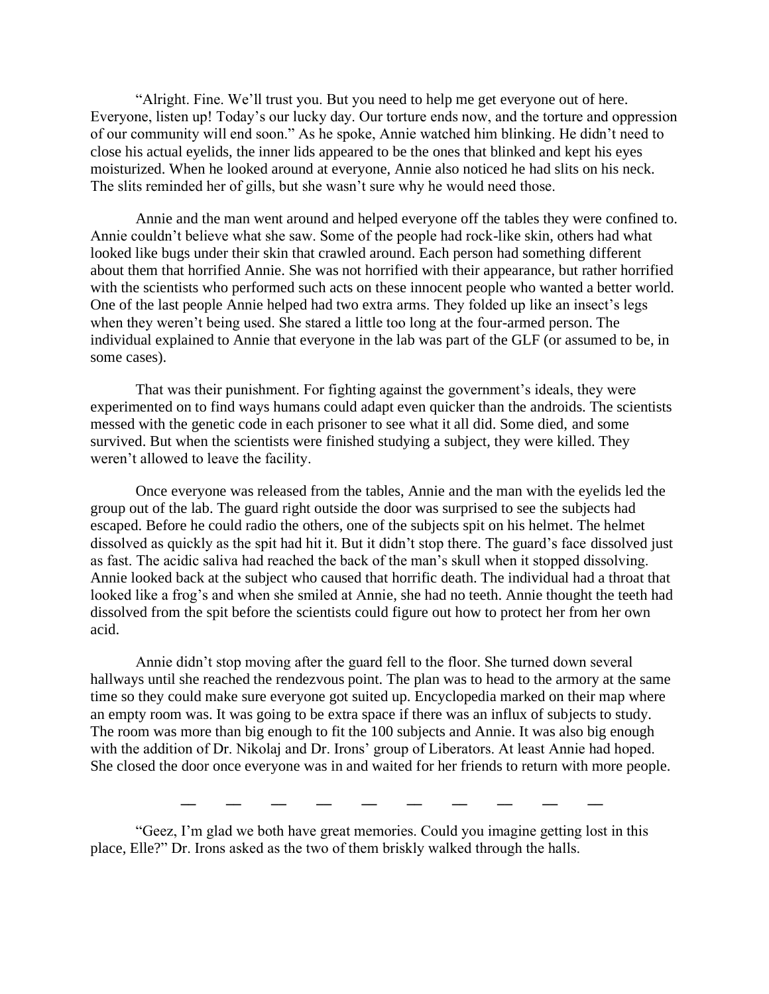"Alright. Fine. We'll trust you. But you need to help me get everyone out of here. Everyone, listen up! Today's our lucky day. Our torture ends now, and the torture and oppression of our community will end soon." As he spoke, Annie watched him blinking. He didn't need to close his actual eyelids, the inner lids appeared to be the ones that blinked and kept his eyes moisturized. When he looked around at everyone, Annie also noticed he had slits on his neck. The slits reminded her of gills, but she wasn't sure why he would need those.

 Annie and the man went around and helped everyone off the tables they were confined to. Annie couldn't believe what she saw. Some of the people had rock-like skin, others had what looked like bugs under their skin that crawled around. Each person had something different about them that horrified Annie. She was not horrified with their appearance, but rather horrified with the scientists who performed such acts on these innocent people who wanted a better world. One of the last people Annie helped had two extra arms. They folded up like an insect's legs when they weren't being used. She stared a little too long at the four-armed person. The individual explained to Annie that everyone in the lab was part of the GLF (or assumed to be, in some cases).

 That was their punishment. For fighting against the government's ideals, they were experimented on to find ways humans could adapt even quicker than the androids. The scientists messed with the genetic code in each prisoner to see what it all did. Some died, and some survived. But when the scientists were finished studying a subject, they were killed. They weren't allowed to leave the facility.

 Once everyone was released from the tables, Annie and the man with the eyelids led the group out of the lab. The guard right outside the door was surprised to see the subjects had escaped. Before he could radio the others, one of the subjects spit on his helmet. The helmet dissolved as quickly as the spit had hit it. But it didn't stop there. The guard's face dissolved just as fast. The acidic saliva had reached the back of the man's skull when it stopped dissolving. Annie looked back at the subject who caused that horrific death. The individual had a throat that looked like a frog's and when she smiled at Annie, she had no teeth. Annie thought the teeth had dissolved from the spit before the scientists could figure out how to protect her from her own acid.

 Annie didn't stop moving after the guard fell to the floor. She turned down several hallways until she reached the rendezvous point. The plan was to head to the armory at the same time so they could make sure everyone got suited up. Encyclopedia marked on their map where an empty room was. It was going to be extra space if there was an influx of subjects to study. The room was more than big enough to fit the 100 subjects and Annie. It was also big enough with the addition of Dr. Nikolaj and Dr. Irons' group of Liberators. At least Annie had hoped. She closed the door once everyone was in and waited for her friends to return with more people.

**\_\_ \_\_ \_\_ \_\_ \_\_ \_\_ \_\_ \_\_ \_\_ \_\_**

"Geez, I'm glad we both have great memories. Could you imagine getting lost in this place, Elle?" Dr. Irons asked as the two of them briskly walked through the halls.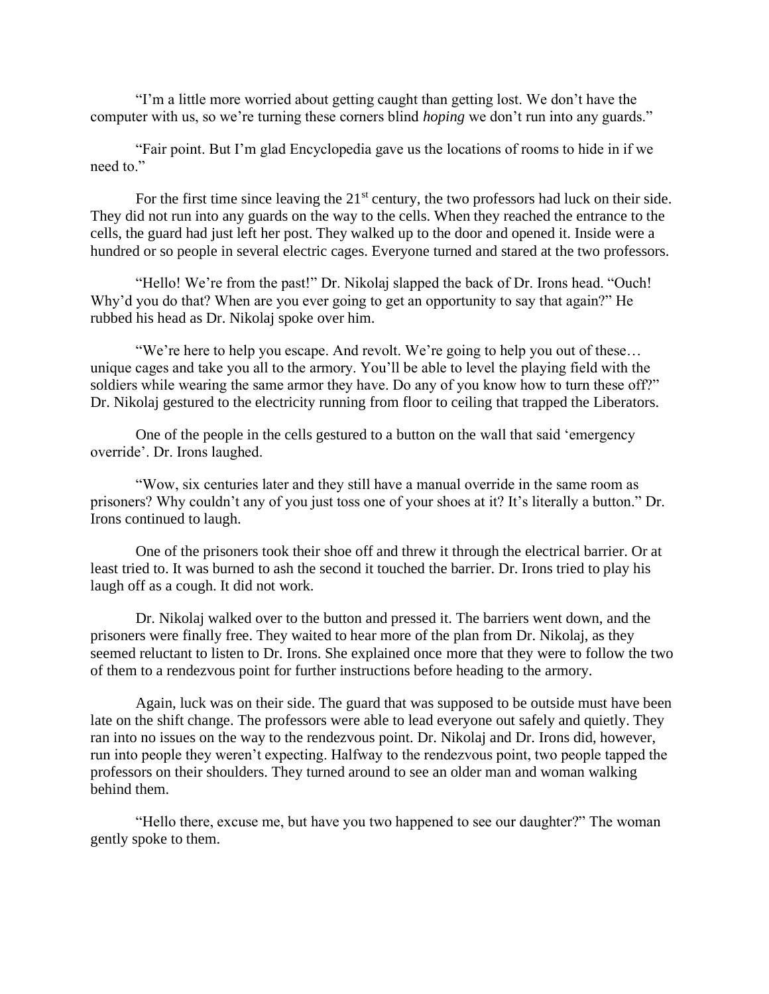"I'm a little more worried about getting caught than getting lost. We don't have the computer with us, so we're turning these corners blind *hoping* we don't run into any guards."

 "Fair point. But I'm glad Encyclopedia gave us the locations of rooms to hide in if we need to."

For the first time since leaving the  $21<sup>st</sup>$  century, the two professors had luck on their side. They did not run into any guards on the way to the cells. When they reached the entrance to the cells, the guard had just left her post. They walked up to the door and opened it. Inside were a hundred or so people in several electric cages. Everyone turned and stared at the two professors.

 "Hello! We're from the past!" Dr. Nikolaj slapped the back of Dr. Irons head. "Ouch! Why'd you do that? When are you ever going to get an opportunity to say that again?" He rubbed his head as Dr. Nikolaj spoke over him.

 "We're here to help you escape. And revolt. We're going to help you out of these… unique cages and take you all to the armory. You'll be able to level the playing field with the soldiers while wearing the same armor they have. Do any of you know how to turn these off?" Dr. Nikolaj gestured to the electricity running from floor to ceiling that trapped the Liberators.

 One of the people in the cells gestured to a button on the wall that said 'emergency override'. Dr. Irons laughed.

 "Wow, six centuries later and they still have a manual override in the same room as prisoners? Why couldn't any of you just toss one of your shoes at it? It's literally a button." Dr. Irons continued to laugh.

 One of the prisoners took their shoe off and threw it through the electrical barrier. Or at least tried to. It was burned to ash the second it touched the barrier. Dr. Irons tried to play his laugh off as a cough. It did not work.

 Dr. Nikolaj walked over to the button and pressed it. The barriers went down, and the prisoners were finally free. They waited to hear more of the plan from Dr. Nikolaj, as they seemed reluctant to listen to Dr. Irons. She explained once more that they were to follow the two of them to a rendezvous point for further instructions before heading to the armory.

 Again, luck was on their side. The guard that was supposed to be outside must have been late on the shift change. The professors were able to lead everyone out safely and quietly. They ran into no issues on the way to the rendezvous point. Dr. Nikolaj and Dr. Irons did, however, run into people they weren't expecting. Halfway to the rendezvous point, two people tapped the professors on their shoulders. They turned around to see an older man and woman walking behind them.

 "Hello there, excuse me, but have you two happened to see our daughter?" The woman gently spoke to them.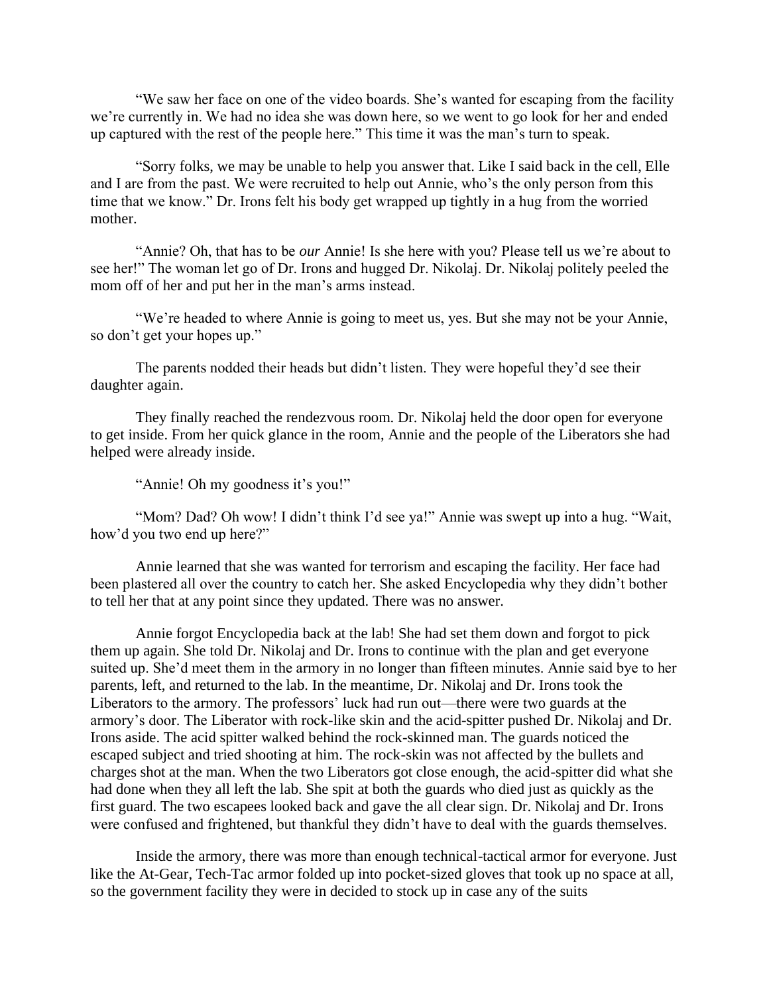"We saw her face on one of the video boards. She's wanted for escaping from the facility we're currently in. We had no idea she was down here, so we went to go look for her and ended up captured with the rest of the people here." This time it was the man's turn to speak.

 "Sorry folks, we may be unable to help you answer that. Like I said back in the cell, Elle and I are from the past. We were recruited to help out Annie, who's the only person from this time that we know." Dr. Irons felt his body get wrapped up tightly in a hug from the worried mother.

 "Annie? Oh, that has to be *our* Annie! Is she here with you? Please tell us we're about to see her!" The woman let go of Dr. Irons and hugged Dr. Nikolaj. Dr. Nikolaj politely peeled the mom off of her and put her in the man's arms instead.

 "We're headed to where Annie is going to meet us, yes. But she may not be your Annie, so don't get your hopes up."

 The parents nodded their heads but didn't listen. They were hopeful they'd see their daughter again.

 They finally reached the rendezvous room. Dr. Nikolaj held the door open for everyone to get inside. From her quick glance in the room, Annie and the people of the Liberators she had helped were already inside.

"Annie! Oh my goodness it's you!"

 "Mom? Dad? Oh wow! I didn't think I'd see ya!" Annie was swept up into a hug. "Wait, how'd you two end up here?"

 Annie learned that she was wanted for terrorism and escaping the facility. Her face had been plastered all over the country to catch her. She asked Encyclopedia why they didn't bother to tell her that at any point since they updated. There was no answer.

 Annie forgot Encyclopedia back at the lab! She had set them down and forgot to pick them up again. She told Dr. Nikolaj and Dr. Irons to continue with the plan and get everyone suited up. She'd meet them in the armory in no longer than fifteen minutes. Annie said bye to her parents, left, and returned to the lab. In the meantime, Dr. Nikolaj and Dr. Irons took the Liberators to the armory. The professors' luck had run out—there were two guards at the armory's door. The Liberator with rock-like skin and the acid-spitter pushed Dr. Nikolaj and Dr. Irons aside. The acid spitter walked behind the rock-skinned man. The guards noticed the escaped subject and tried shooting at him. The rock-skin was not affected by the bullets and charges shot at the man. When the two Liberators got close enough, the acid-spitter did what she had done when they all left the lab. She spit at both the guards who died just as quickly as the first guard. The two escapees looked back and gave the all clear sign. Dr. Nikolaj and Dr. Irons were confused and frightened, but thankful they didn't have to deal with the guards themselves.

Inside the armory, there was more than enough technical-tactical armor for everyone. Just like the At-Gear, Tech-Tac armor folded up into pocket-sized gloves that took up no space at all, so the government facility they were in decided to stock up in case any of the suits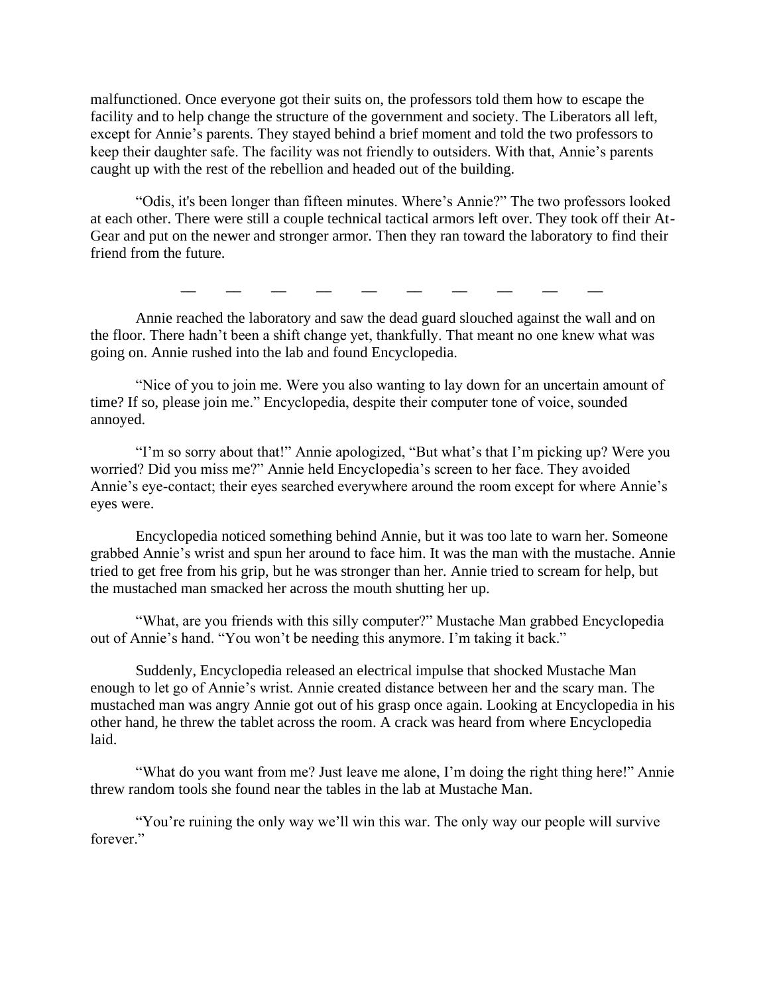malfunctioned. Once everyone got their suits on, the professors told them how to escape the facility and to help change the structure of the government and society. The Liberators all left, except for Annie's parents. They stayed behind a brief moment and told the two professors to keep their daughter safe. The facility was not friendly to outsiders. With that, Annie's parents caught up with the rest of the rebellion and headed out of the building.

"Odis, it's been longer than fifteen minutes. Where's Annie?" The two professors looked at each other. There were still a couple technical tactical armors left over. They took off their At-Gear and put on the newer and stronger armor. Then they ran toward the laboratory to find their friend from the future.

**\_\_ \_\_ \_\_ \_\_ \_\_ \_\_ \_\_ \_\_ \_\_ \_\_**

Annie reached the laboratory and saw the dead guard slouched against the wall and on the floor. There hadn't been a shift change yet, thankfully. That meant no one knew what was going on. Annie rushed into the lab and found Encyclopedia.

 "Nice of you to join me. Were you also wanting to lay down for an uncertain amount of time? If so, please join me." Encyclopedia, despite their computer tone of voice, sounded annoyed.

 "I'm so sorry about that!" Annie apologized, "But what's that I'm picking up? Were you worried? Did you miss me?" Annie held Encyclopedia's screen to her face. They avoided Annie's eye-contact; their eyes searched everywhere around the room except for where Annie's eyes were.

 Encyclopedia noticed something behind Annie, but it was too late to warn her. Someone grabbed Annie's wrist and spun her around to face him. It was the man with the mustache. Annie tried to get free from his grip, but he was stronger than her. Annie tried to scream for help, but the mustached man smacked her across the mouth shutting her up.

 "What, are you friends with this silly computer?" Mustache Man grabbed Encyclopedia out of Annie's hand. "You won't be needing this anymore. I'm taking it back."

 Suddenly, Encyclopedia released an electrical impulse that shocked Mustache Man enough to let go of Annie's wrist. Annie created distance between her and the scary man. The mustached man was angry Annie got out of his grasp once again. Looking at Encyclopedia in his other hand, he threw the tablet across the room. A crack was heard from where Encyclopedia laid.

 "What do you want from me? Just leave me alone, I'm doing the right thing here!" Annie threw random tools she found near the tables in the lab at Mustache Man.

 "You're ruining the only way we'll win this war. The only way our people will survive forever."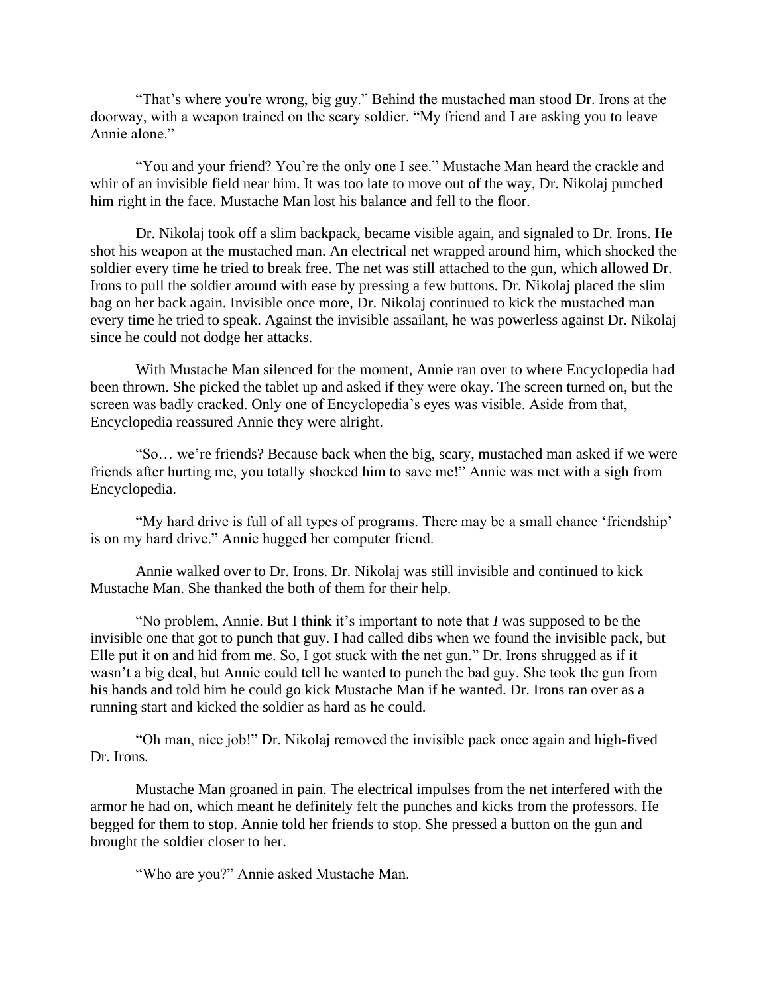"That's where you're wrong, big guy." Behind the mustached man stood Dr. Irons at the doorway, with a weapon trained on the scary soldier. "My friend and I are asking you to leave Annie alone."

 "You and your friend? You're the only one I see." Mustache Man heard the crackle and whir of an invisible field near him. It was too late to move out of the way, Dr. Nikolaj punched him right in the face. Mustache Man lost his balance and fell to the floor.

 Dr. Nikolaj took off a slim backpack, became visible again, and signaled to Dr. Irons. He shot his weapon at the mustached man. An electrical net wrapped around him, which shocked the soldier every time he tried to break free. The net was still attached to the gun, which allowed Dr. Irons to pull the soldier around with ease by pressing a few buttons. Dr. Nikolaj placed the slim bag on her back again. Invisible once more, Dr. Nikolaj continued to kick the mustached man every time he tried to speak. Against the invisible assailant, he was powerless against Dr. Nikolaj since he could not dodge her attacks.

 With Mustache Man silenced for the moment, Annie ran over to where Encyclopedia had been thrown. She picked the tablet up and asked if they were okay. The screen turned on, but the screen was badly cracked. Only one of Encyclopedia's eyes was visible. Aside from that, Encyclopedia reassured Annie they were alright.

 "So… we're friends? Because back when the big, scary, mustached man asked if we were friends after hurting me, you totally shocked him to save me!" Annie was met with a sigh from Encyclopedia.

 "My hard drive is full of all types of programs. There may be a small chance 'friendship' is on my hard drive." Annie hugged her computer friend.

 Annie walked over to Dr. Irons. Dr. Nikolaj was still invisible and continued to kick Mustache Man. She thanked the both of them for their help.

 "No problem, Annie. But I think it's important to note that *I* was supposed to be the invisible one that got to punch that guy. I had called dibs when we found the invisible pack, but Elle put it on and hid from me. So, I got stuck with the net gun." Dr. Irons shrugged as if it wasn't a big deal, but Annie could tell he wanted to punch the bad guy. She took the gun from his hands and told him he could go kick Mustache Man if he wanted. Dr. Irons ran over as a running start and kicked the soldier as hard as he could.

 "Oh man, nice job!" Dr. Nikolaj removed the invisible pack once again and high-fived Dr. Irons.

 Mustache Man groaned in pain. The electrical impulses from the net interfered with the armor he had on, which meant he definitely felt the punches and kicks from the professors. He begged for them to stop. Annie told her friends to stop. She pressed a button on the gun and brought the soldier closer to her.

"Who are you?" Annie asked Mustache Man.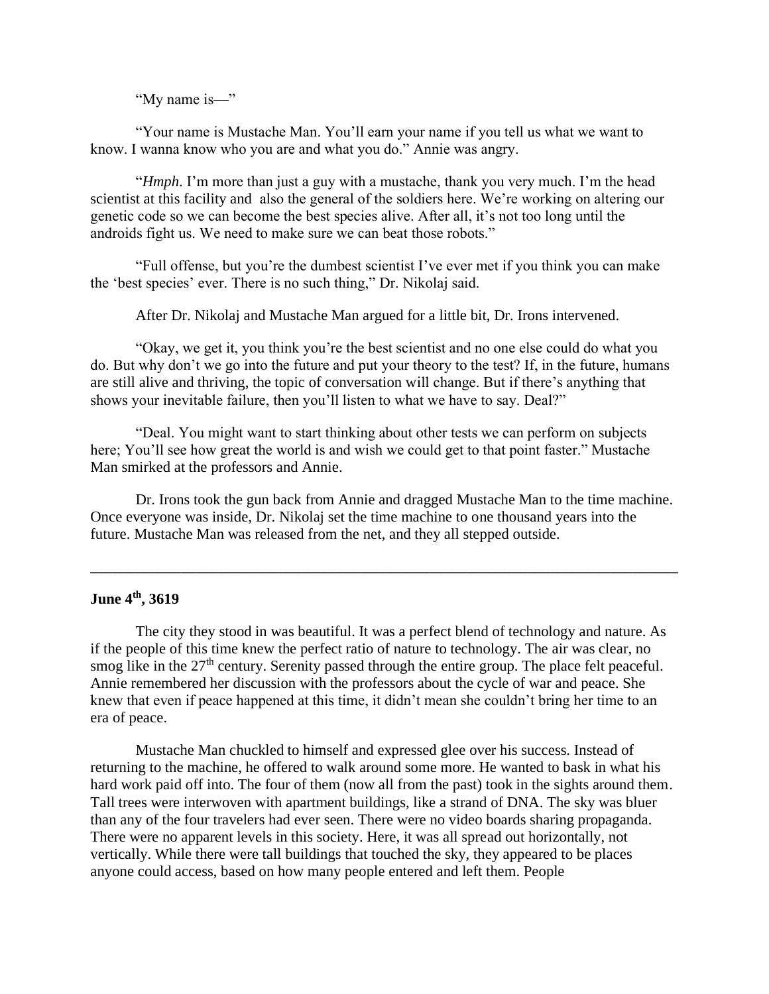"My name is—"

 "Your name is Mustache Man. You'll earn your name if you tell us what we want to know. I wanna know who you are and what you do." Annie was angry.

 "*Hmph*. I'm more than just a guy with a mustache, thank you very much. I'm the head scientist at this facility and also the general of the soldiers here. We're working on altering our genetic code so we can become the best species alive. After all, it's not too long until the androids fight us. We need to make sure we can beat those robots."

 "Full offense, but you're the dumbest scientist I've ever met if you think you can make the 'best species' ever. There is no such thing," Dr. Nikolaj said.

After Dr. Nikolaj and Mustache Man argued for a little bit, Dr. Irons intervened.

 "Okay, we get it, you think you're the best scientist and no one else could do what you do. But why don't we go into the future and put your theory to the test? If, in the future, humans are still alive and thriving, the topic of conversation will change. But if there's anything that shows your inevitable failure, then you'll listen to what we have to say. Deal?"

 "Deal. You might want to start thinking about other tests we can perform on subjects here; You'll see how great the world is and wish we could get to that point faster." Mustache Man smirked at the professors and Annie.

 Dr. Irons took the gun back from Annie and dragged Mustache Man to the time machine. Once everyone was inside, Dr. Nikolaj set the time machine to one thousand years into the future. Mustache Man was released from the net, and they all stepped outside.

**\_\_\_\_\_\_\_\_\_\_\_\_\_\_\_\_\_\_\_\_\_\_\_\_\_\_\_\_\_\_\_\_\_\_\_\_\_\_\_\_\_\_\_\_\_\_\_\_\_\_\_\_\_\_\_\_\_\_\_\_\_\_\_\_\_\_\_\_\_\_\_\_\_\_\_\_\_\_**

# **June 4th, 3619**

 The city they stood in was beautiful. It was a perfect blend of technology and nature. As if the people of this time knew the perfect ratio of nature to technology. The air was clear, no smog like in the 27<sup>th</sup> century. Serenity passed through the entire group. The place felt peaceful. Annie remembered her discussion with the professors about the cycle of war and peace. She knew that even if peace happened at this time, it didn't mean she couldn't bring her time to an era of peace.

 Mustache Man chuckled to himself and expressed glee over his success. Instead of returning to the machine, he offered to walk around some more. He wanted to bask in what his hard work paid off into. The four of them (now all from the past) took in the sights around them. Tall trees were interwoven with apartment buildings, like a strand of DNA. The sky was bluer than any of the four travelers had ever seen. There were no video boards sharing propaganda. There were no apparent levels in this society. Here, it was all spread out horizontally, not vertically. While there were tall buildings that touched the sky, they appeared to be places anyone could access, based on how many people entered and left them. People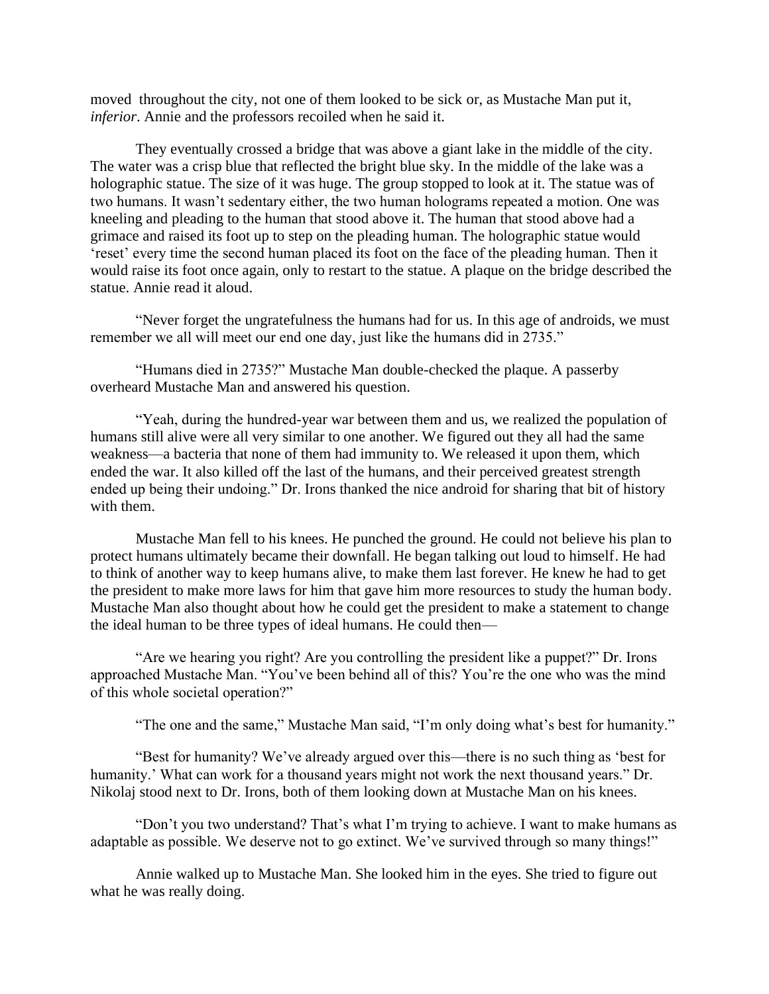moved throughout the city, not one of them looked to be sick or, as Mustache Man put it, *inferior*. Annie and the professors recoiled when he said it.

 They eventually crossed a bridge that was above a giant lake in the middle of the city. The water was a crisp blue that reflected the bright blue sky. In the middle of the lake was a holographic statue. The size of it was huge. The group stopped to look at it. The statue was of two humans. It wasn't sedentary either, the two human holograms repeated a motion. One was kneeling and pleading to the human that stood above it. The human that stood above had a grimace and raised its foot up to step on the pleading human. The holographic statue would 'reset' every time the second human placed its foot on the face of the pleading human. Then it would raise its foot once again, only to restart to the statue. A plaque on the bridge described the statue. Annie read it aloud.

 "Never forget the ungratefulness the humans had for us. In this age of androids, we must remember we all will meet our end one day, just like the humans did in 2735."

 "Humans died in 2735?" Mustache Man double-checked the plaque. A passerby overheard Mustache Man and answered his question.

 "Yeah, during the hundred-year war between them and us, we realized the population of humans still alive were all very similar to one another. We figured out they all had the same weakness—a bacteria that none of them had immunity to. We released it upon them, which ended the war. It also killed off the last of the humans, and their perceived greatest strength ended up being their undoing." Dr. Irons thanked the nice android for sharing that bit of history with them.

 Mustache Man fell to his knees. He punched the ground. He could not believe his plan to protect humans ultimately became their downfall. He began talking out loud to himself. He had to think of another way to keep humans alive, to make them last forever. He knew he had to get the president to make more laws for him that gave him more resources to study the human body. Mustache Man also thought about how he could get the president to make a statement to change the ideal human to be three types of ideal humans. He could then—

 "Are we hearing you right? Are you controlling the president like a puppet?" Dr. Irons approached Mustache Man. "You've been behind all of this? You're the one who was the mind of this whole societal operation?"

"The one and the same," Mustache Man said, "I'm only doing what's best for humanity."

 "Best for humanity? We've already argued over this—there is no such thing as 'best for humanity.' What can work for a thousand years might not work the next thousand years." Dr. Nikolaj stood next to Dr. Irons, both of them looking down at Mustache Man on his knees.

 "Don't you two understand? That's what I'm trying to achieve. I want to make humans as adaptable as possible. We deserve not to go extinct. We've survived through so many things!"

 Annie walked up to Mustache Man. She looked him in the eyes. She tried to figure out what he was really doing.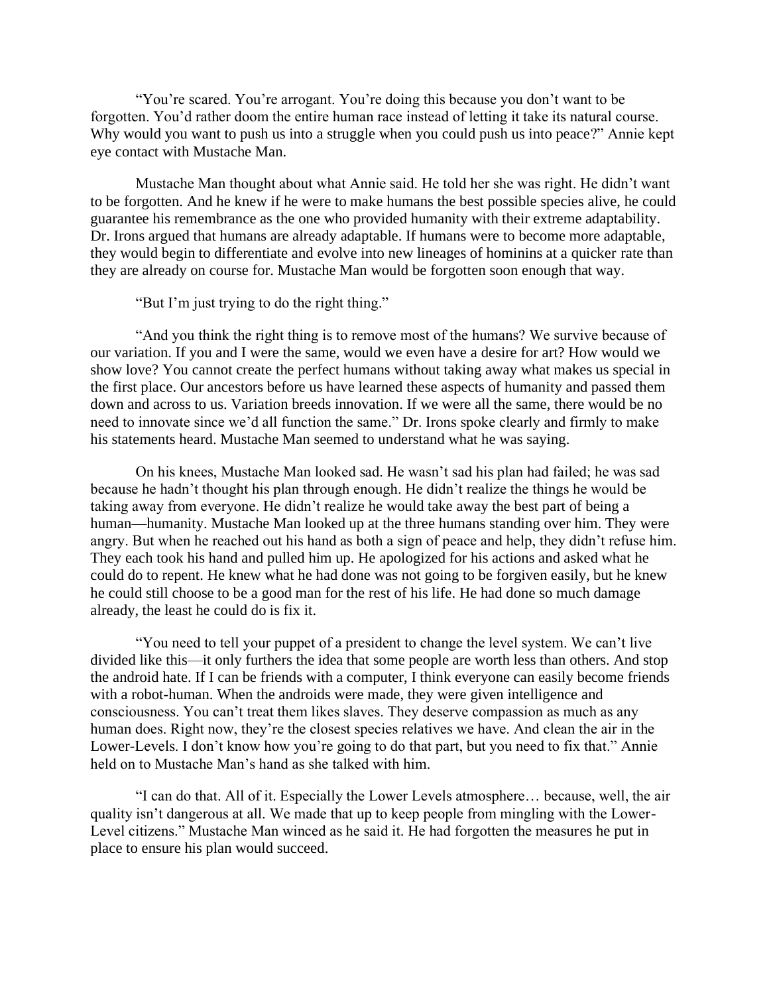"You're scared. You're arrogant. You're doing this because you don't want to be forgotten. You'd rather doom the entire human race instead of letting it take its natural course. Why would you want to push us into a struggle when you could push us into peace?" Annie kept eye contact with Mustache Man.

 Mustache Man thought about what Annie said. He told her she was right. He didn't want to be forgotten. And he knew if he were to make humans the best possible species alive, he could guarantee his remembrance as the one who provided humanity with their extreme adaptability. Dr. Irons argued that humans are already adaptable. If humans were to become more adaptable, they would begin to differentiate and evolve into new lineages of hominins at a quicker rate than they are already on course for. Mustache Man would be forgotten soon enough that way.

"But I'm just trying to do the right thing."

 "And you think the right thing is to remove most of the humans? We survive because of our variation. If you and I were the same, would we even have a desire for art? How would we show love? You cannot create the perfect humans without taking away what makes us special in the first place. Our ancestors before us have learned these aspects of humanity and passed them down and across to us. Variation breeds innovation. If we were all the same, there would be no need to innovate since we'd all function the same." Dr. Irons spoke clearly and firmly to make his statements heard. Mustache Man seemed to understand what he was saying.

 On his knees, Mustache Man looked sad. He wasn't sad his plan had failed; he was sad because he hadn't thought his plan through enough. He didn't realize the things he would be taking away from everyone. He didn't realize he would take away the best part of being a human—humanity. Mustache Man looked up at the three humans standing over him. They were angry. But when he reached out his hand as both a sign of peace and help, they didn't refuse him. They each took his hand and pulled him up. He apologized for his actions and asked what he could do to repent. He knew what he had done was not going to be forgiven easily, but he knew he could still choose to be a good man for the rest of his life. He had done so much damage already, the least he could do is fix it.

 "You need to tell your puppet of a president to change the level system. We can't live divided like this—it only furthers the idea that some people are worth less than others. And stop the android hate. If I can be friends with a computer, I think everyone can easily become friends with a robot-human. When the androids were made, they were given intelligence and consciousness. You can't treat them likes slaves. They deserve compassion as much as any human does. Right now, they're the closest species relatives we have. And clean the air in the Lower-Levels. I don't know how you're going to do that part, but you need to fix that." Annie held on to Mustache Man's hand as she talked with him.

 "I can do that. All of it. Especially the Lower Levels atmosphere… because, well, the air quality isn't dangerous at all. We made that up to keep people from mingling with the Lower-Level citizens." Mustache Man winced as he said it. He had forgotten the measures he put in place to ensure his plan would succeed.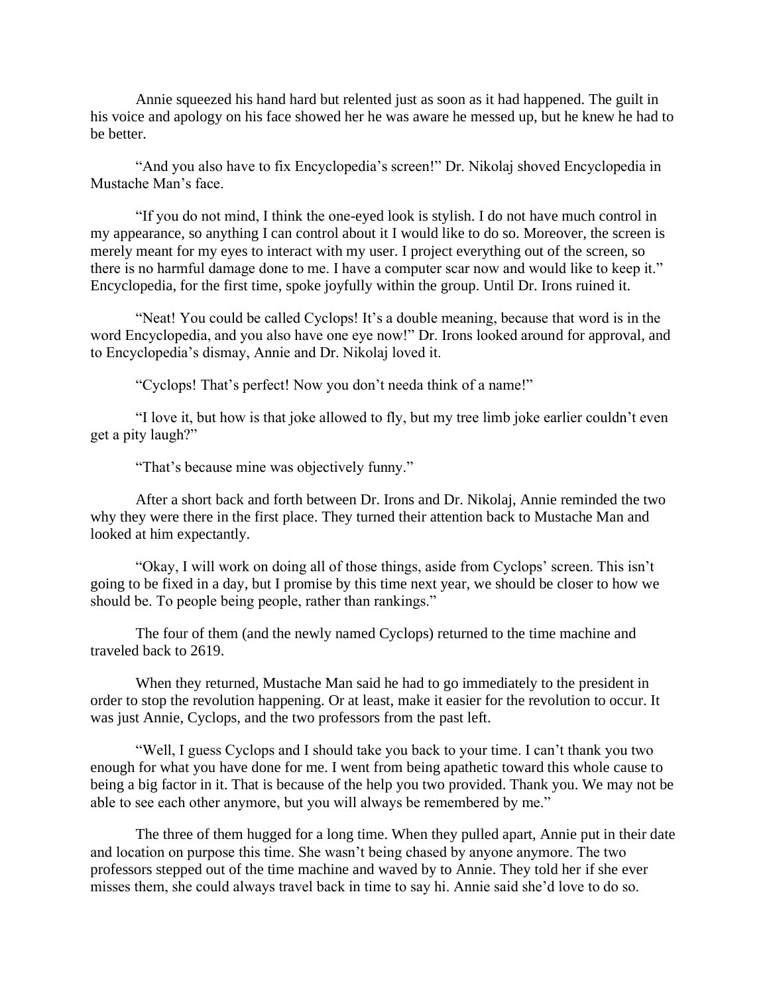Annie squeezed his hand hard but relented just as soon as it had happened. The guilt in his voice and apology on his face showed her he was aware he messed up, but he knew he had to be better.

 "And you also have to fix Encyclopedia's screen!" Dr. Nikolaj shoved Encyclopedia in Mustache Man's face.

 "If you do not mind, I think the one-eyed look is stylish. I do not have much control in my appearance, so anything I can control about it I would like to do so. Moreover, the screen is merely meant for my eyes to interact with my user. I project everything out of the screen, so there is no harmful damage done to me. I have a computer scar now and would like to keep it." Encyclopedia, for the first time, spoke joyfully within the group. Until Dr. Irons ruined it.

 "Neat! You could be called Cyclops! It's a double meaning, because that word is in the word Encyclopedia, and you also have one eye now!" Dr. Irons looked around for approval, and to Encyclopedia's dismay, Annie and Dr. Nikolaj loved it.

"Cyclops! That's perfect! Now you don't needa think of a name!"

 "I love it, but how is that joke allowed to fly, but my tree limb joke earlier couldn't even get a pity laugh?"

"That's because mine was objectively funny."

 After a short back and forth between Dr. Irons and Dr. Nikolaj, Annie reminded the two why they were there in the first place. They turned their attention back to Mustache Man and looked at him expectantly.

 "Okay, I will work on doing all of those things, aside from Cyclops' screen. This isn't going to be fixed in a day, but I promise by this time next year, we should be closer to how we should be. To people being people, rather than rankings."

 The four of them (and the newly named Cyclops) returned to the time machine and traveled back to 2619.

 When they returned, Mustache Man said he had to go immediately to the president in order to stop the revolution happening. Or at least, make it easier for the revolution to occur. It was just Annie, Cyclops, and the two professors from the past left.

 "Well, I guess Cyclops and I should take you back to your time. I can't thank you two enough for what you have done for me. I went from being apathetic toward this whole cause to being a big factor in it. That is because of the help you two provided. Thank you. We may not be able to see each other anymore, but you will always be remembered by me."

 The three of them hugged for a long time. When they pulled apart, Annie put in their date and location on purpose this time. She wasn't being chased by anyone anymore. The two professors stepped out of the time machine and waved by to Annie. They told her if she ever misses them, she could always travel back in time to say hi. Annie said she'd love to do so.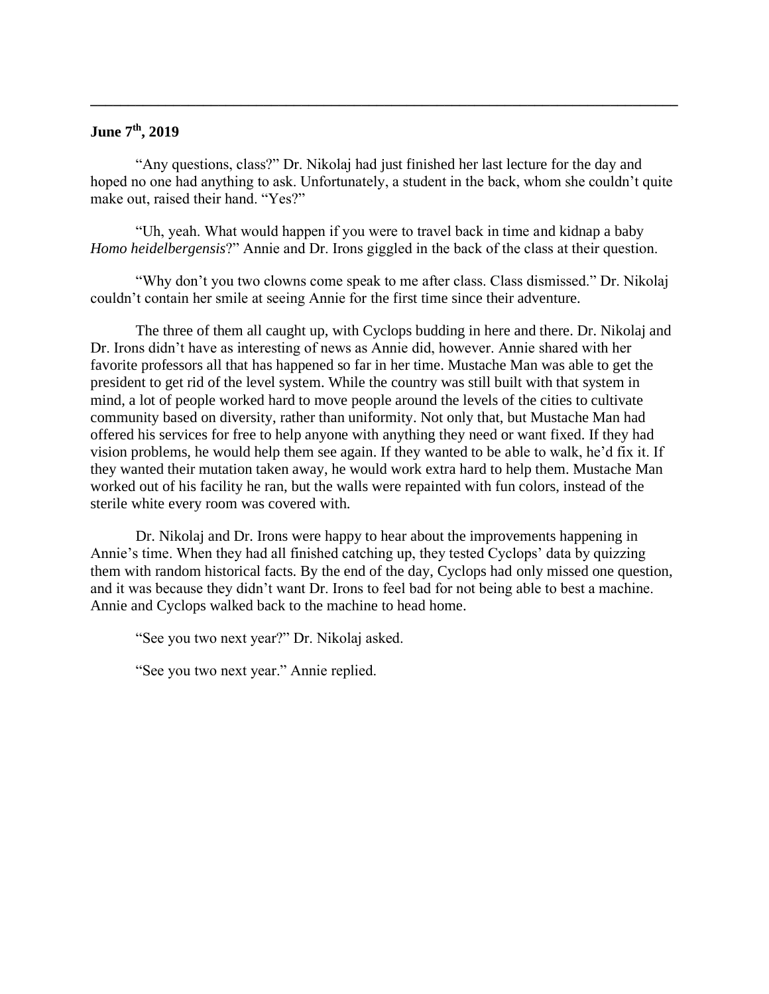# **June 7th, 2019**

 "Any questions, class?" Dr. Nikolaj had just finished her last lecture for the day and hoped no one had anything to ask. Unfortunately, a student in the back, whom she couldn't quite make out, raised their hand. "Yes?"

**\_\_\_\_\_\_\_\_\_\_\_\_\_\_\_\_\_\_\_\_\_\_\_\_\_\_\_\_\_\_\_\_\_\_\_\_\_\_\_\_\_\_\_\_\_\_\_\_\_\_\_\_\_\_\_\_\_\_\_\_\_\_\_\_\_\_\_\_\_\_\_\_\_\_\_\_\_\_**

 "Uh, yeah. What would happen if you were to travel back in time and kidnap a baby *Homo heidelbergensis*?" Annie and Dr. Irons giggled in the back of the class at their question.

 "Why don't you two clowns come speak to me after class. Class dismissed." Dr. Nikolaj couldn't contain her smile at seeing Annie for the first time since their adventure.

 The three of them all caught up, with Cyclops budding in here and there. Dr. Nikolaj and Dr. Irons didn't have as interesting of news as Annie did, however. Annie shared with her favorite professors all that has happened so far in her time. Mustache Man was able to get the president to get rid of the level system. While the country was still built with that system in mind, a lot of people worked hard to move people around the levels of the cities to cultivate community based on diversity, rather than uniformity. Not only that, but Mustache Man had offered his services for free to help anyone with anything they need or want fixed. If they had vision problems, he would help them see again. If they wanted to be able to walk, he'd fix it. If they wanted their mutation taken away, he would work extra hard to help them. Mustache Man worked out of his facility he ran, but the walls were repainted with fun colors, instead of the sterile white every room was covered with.

 Dr. Nikolaj and Dr. Irons were happy to hear about the improvements happening in Annie's time. When they had all finished catching up, they tested Cyclops' data by quizzing them with random historical facts. By the end of the day, Cyclops had only missed one question, and it was because they didn't want Dr. Irons to feel bad for not being able to best a machine. Annie and Cyclops walked back to the machine to head home.

"See you two next year?" Dr. Nikolaj asked.

"See you two next year." Annie replied.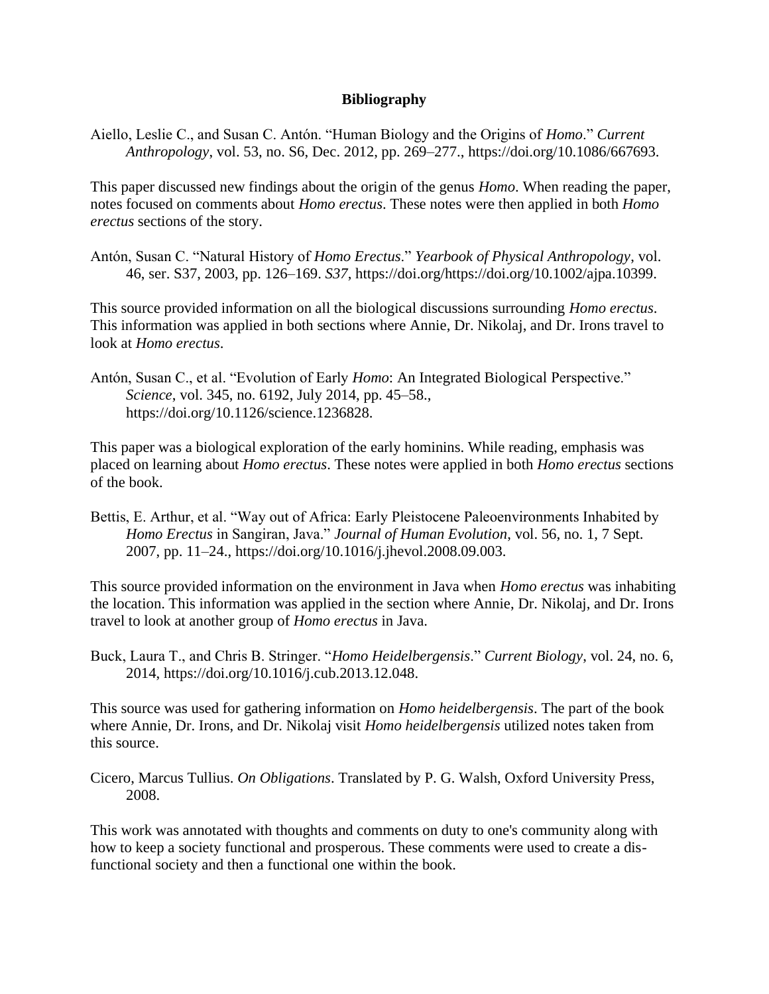## **Bibliography**

Aiello, Leslie C., and Susan C. Antón. "Human Biology and the Origins of *Homo*." *Current Anthropology*, vol. 53, no. S6, Dec. 2012, pp. 269–277., https://doi.org/10.1086/667693.

This paper discussed new findings about the origin of the genus *Homo*. When reading the paper, notes focused on comments about *Homo erectus*. These notes were then applied in both *Homo erectus* sections of the story.

Antón, Susan C. "Natural History of *Homo Erectus*." *Yearbook of Physical Anthropology*, vol. 46, ser. S37, 2003, pp. 126–169. *S37*, https://doi.org/https://doi.org/10.1002/ajpa.10399.

This source provided information on all the biological discussions surrounding *Homo erectus*. This information was applied in both sections where Annie, Dr. Nikolaj, and Dr. Irons travel to look at *Homo erectus*.

Antón, Susan C., et al. "Evolution of Early *Homo*: An Integrated Biological Perspective." *Science*, vol. 345, no. 6192, July 2014, pp. 45–58., https://doi.org/10.1126/science.1236828.

This paper was a biological exploration of the early hominins. While reading, emphasis was placed on learning about *Homo erectus*. These notes were applied in both *Homo erectus* sections of the book.

Bettis, E. Arthur, et al. "Way out of Africa: Early Pleistocene Paleoenvironments Inhabited by *Homo Erectus* in Sangiran, Java." *Journal of Human Evolution*, vol. 56, no. 1, 7 Sept. 2007, pp. 11–24., https://doi.org/10.1016/j.jhevol.2008.09.003.

This source provided information on the environment in Java when *Homo erectus* was inhabiting the location. This information was applied in the section where Annie, Dr. Nikolaj, and Dr. Irons travel to look at another group of *Homo erectus* in Java.

Buck, Laura T., and Chris B. Stringer. "*Homo Heidelbergensis*." *Current Biology*, vol. 24, no. 6, 2014, https://doi.org/10.1016/j.cub.2013.12.048.

This source was used for gathering information on *Homo heidelbergensis*. The part of the book where Annie, Dr. Irons, and Dr. Nikolaj visit *Homo heidelbergensis* utilized notes taken from this source.

Cicero, Marcus Tullius. *On Obligations*. Translated by P. G. Walsh, Oxford University Press, 2008.

This work was annotated with thoughts and comments on duty to one's community along with how to keep a society functional and prosperous. These comments were used to create a disfunctional society and then a functional one within the book.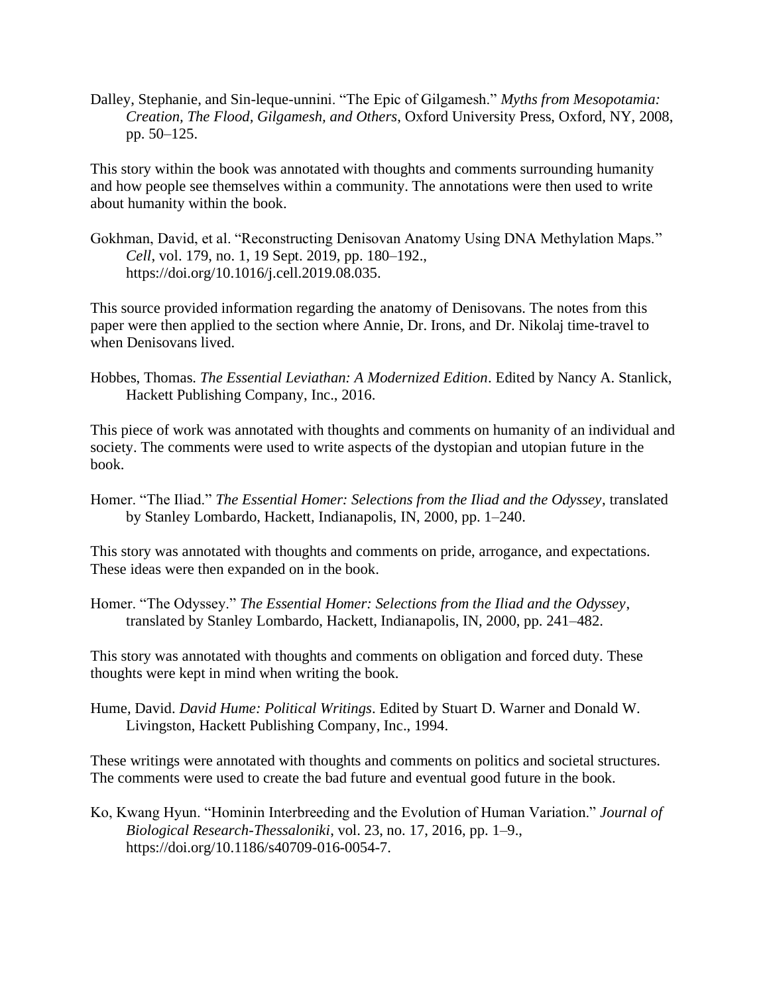Dalley, Stephanie, and Sin-leque-unnini. "The Epic of Gilgamesh." *Myths from Mesopotamia: Creation, The Flood, Gilgamesh, and Others*, Oxford University Press, Oxford, NY, 2008, pp. 50–125.

This story within the book was annotated with thoughts and comments surrounding humanity and how people see themselves within a community. The annotations were then used to write about humanity within the book.

Gokhman, David, et al. "Reconstructing Denisovan Anatomy Using DNA Methylation Maps." *Cell*, vol. 179, no. 1, 19 Sept. 2019, pp. 180–192., https://doi.org/10.1016/j.cell.2019.08.035.

This source provided information regarding the anatomy of Denisovans. The notes from this paper were then applied to the section where Annie, Dr. Irons, and Dr. Nikolaj time-travel to when Denisovans lived.

Hobbes, Thomas. *The Essential Leviathan: A Modernized Edition*. Edited by Nancy A. Stanlick, Hackett Publishing Company, Inc., 2016.

This piece of work was annotated with thoughts and comments on humanity of an individual and society. The comments were used to write aspects of the dystopian and utopian future in the book.

Homer. "The Iliad." *The Essential Homer: Selections from the Iliad and the Odyssey*, translated by Stanley Lombardo, Hackett, Indianapolis, IN, 2000, pp. 1–240.

This story was annotated with thoughts and comments on pride, arrogance, and expectations. These ideas were then expanded on in the book.

Homer. "The Odyssey." *The Essential Homer: Selections from the Iliad and the Odyssey*, translated by Stanley Lombardo, Hackett, Indianapolis, IN, 2000, pp. 241–482.

This story was annotated with thoughts and comments on obligation and forced duty. These thoughts were kept in mind when writing the book.

Hume, David. *David Hume: Political Writings*. Edited by Stuart D. Warner and Donald W. Livingston, Hackett Publishing Company, Inc., 1994.

These writings were annotated with thoughts and comments on politics and societal structures. The comments were used to create the bad future and eventual good future in the book.

Ko, Kwang Hyun. "Hominin Interbreeding and the Evolution of Human Variation." *Journal of Biological Research-Thessaloniki*, vol. 23, no. 17, 2016, pp. 1–9., https://doi.org/10.1186/s40709-016-0054-7.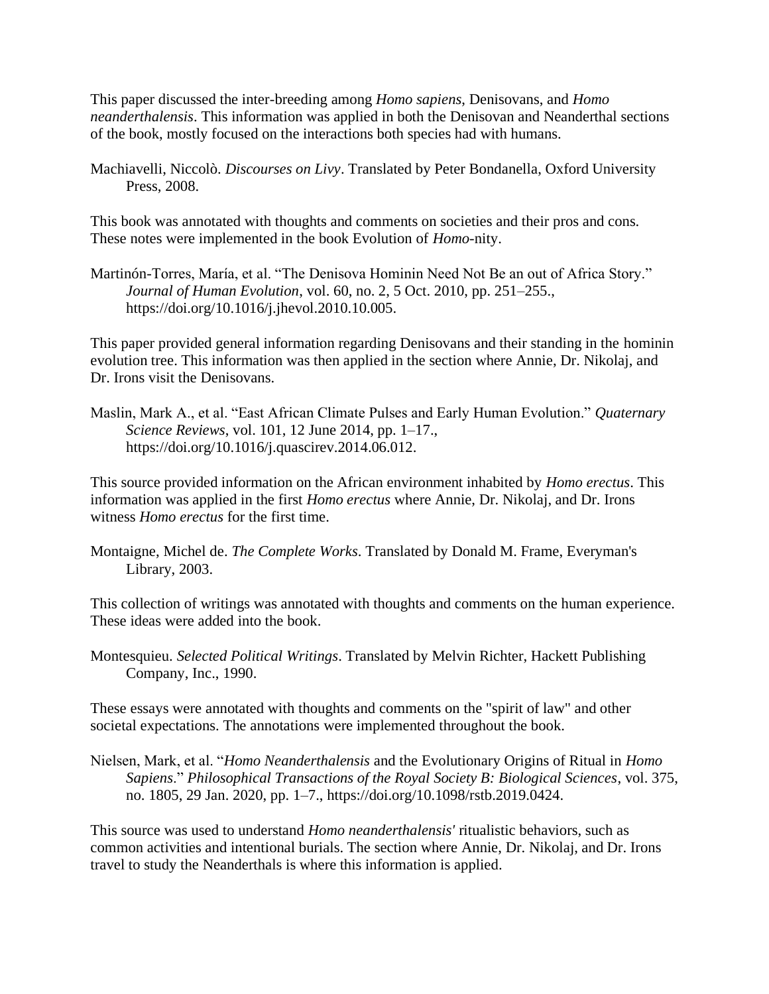This paper discussed the inter-breeding among *Homo sapiens*, Denisovans, and *Homo neanderthalensis*. This information was applied in both the Denisovan and Neanderthal sections of the book, mostly focused on the interactions both species had with humans.

Machiavelli, Niccolò. *Discourses on Livy*. Translated by Peter Bondanella, Oxford University Press, 2008.

This book was annotated with thoughts and comments on societies and their pros and cons. These notes were implemented in the book Evolution of *Homo*-nity.

Martinón-Torres, María, et al. "The Denisova Hominin Need Not Be an out of Africa Story." *Journal of Human Evolution*, vol. 60, no. 2, 5 Oct. 2010, pp. 251–255., https://doi.org/10.1016/j.jhevol.2010.10.005.

This paper provided general information regarding Denisovans and their standing in the hominin evolution tree. This information was then applied in the section where Annie, Dr. Nikolaj, and Dr. Irons visit the Denisovans.

Maslin, Mark A., et al. "East African Climate Pulses and Early Human Evolution." *Quaternary Science Reviews*, vol. 101, 12 June 2014, pp. 1–17., https://doi.org/10.1016/j.quascirev.2014.06.012.

This source provided information on the African environment inhabited by *Homo erectus*. This information was applied in the first *Homo erectus* where Annie, Dr. Nikolaj, and Dr. Irons witness *Homo erectus* for the first time.

Montaigne, Michel de. *The Complete Works*. Translated by Donald M. Frame, Everyman's Library, 2003.

This collection of writings was annotated with thoughts and comments on the human experience. These ideas were added into the book.

Montesquieu. *Selected Political Writings*. Translated by Melvin Richter, Hackett Publishing Company, Inc., 1990.

These essays were annotated with thoughts and comments on the "spirit of law" and other societal expectations. The annotations were implemented throughout the book.

Nielsen, Mark, et al. "*Homo Neanderthalensis* and the Evolutionary Origins of Ritual in *Homo Sapiens*." *Philosophical Transactions of the Royal Society B: Biological Sciences*, vol. 375, no. 1805, 29 Jan. 2020, pp. 1–7., https://doi.org/10.1098/rstb.2019.0424.

This source was used to understand *Homo neanderthalensis'* ritualistic behaviors, such as common activities and intentional burials. The section where Annie, Dr. Nikolaj, and Dr. Irons travel to study the Neanderthals is where this information is applied.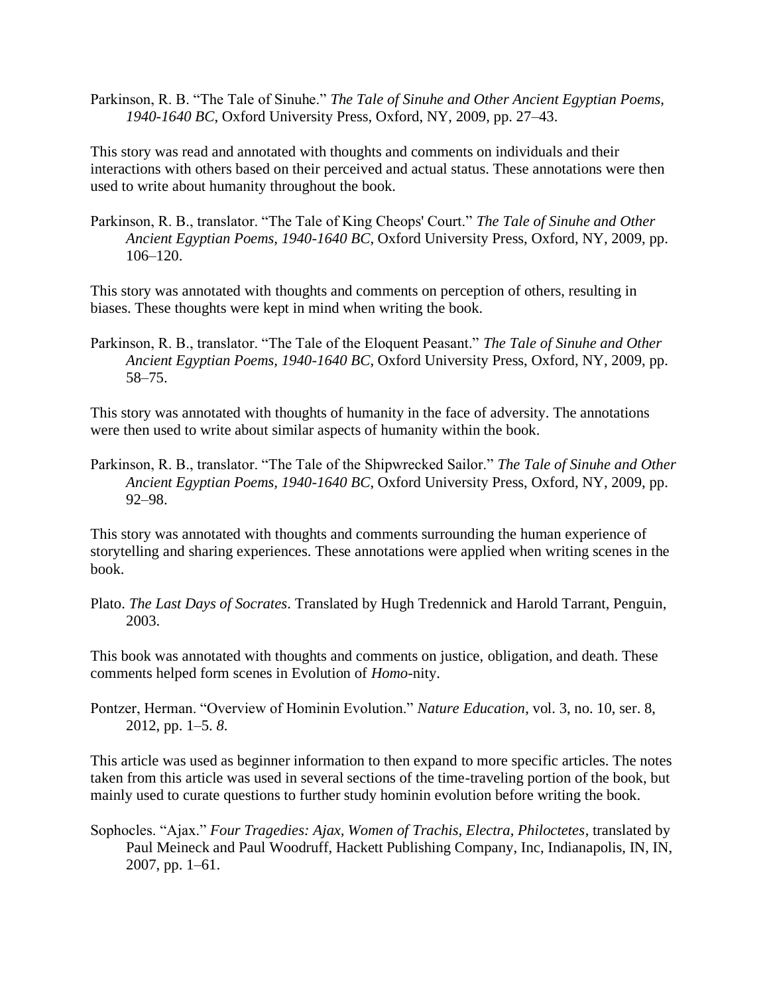Parkinson, R. B. "The Tale of Sinuhe." *The Tale of Sinuhe and Other Ancient Egyptian Poems, 1940-1640 BC*, Oxford University Press, Oxford, NY, 2009, pp. 27–43.

This story was read and annotated with thoughts and comments on individuals and their interactions with others based on their perceived and actual status. These annotations were then used to write about humanity throughout the book.

Parkinson, R. B., translator. "The Tale of King Cheops' Court." *The Tale of Sinuhe and Other Ancient Egyptian Poems, 1940-1640 BC*, Oxford University Press, Oxford, NY, 2009, pp. 106–120.

This story was annotated with thoughts and comments on perception of others, resulting in biases. These thoughts were kept in mind when writing the book.

Parkinson, R. B., translator. "The Tale of the Eloquent Peasant." *The Tale of Sinuhe and Other Ancient Egyptian Poems, 1940-1640 BC*, Oxford University Press, Oxford, NY, 2009, pp. 58–75.

This story was annotated with thoughts of humanity in the face of adversity. The annotations were then used to write about similar aspects of humanity within the book.

Parkinson, R. B., translator. "The Tale of the Shipwrecked Sailor." *The Tale of Sinuhe and Other Ancient Egyptian Poems, 1940-1640 BC*, Oxford University Press, Oxford, NY, 2009, pp. 92–98.

This story was annotated with thoughts and comments surrounding the human experience of storytelling and sharing experiences. These annotations were applied when writing scenes in the book.

Plato. *The Last Days of Socrates*. Translated by Hugh Tredennick and Harold Tarrant, Penguin, 2003.

This book was annotated with thoughts and comments on justice, obligation, and death. These comments helped form scenes in Evolution of *Homo*-nity.

Pontzer, Herman. "Overview of Hominin Evolution." *Nature Education*, vol. 3, no. 10, ser. 8, 2012, pp. 1–5. *8*.

This article was used as beginner information to then expand to more specific articles. The notes taken from this article was used in several sections of the time-traveling portion of the book, but mainly used to curate questions to further study hominin evolution before writing the book.

Sophocles. "Ajax." *Four Tragedies: Ajax, Women of Trachis, Electra, Philoctetes*, translated by Paul Meineck and Paul Woodruff, Hackett Publishing Company, Inc, Indianapolis, IN, IN, 2007, pp. 1–61.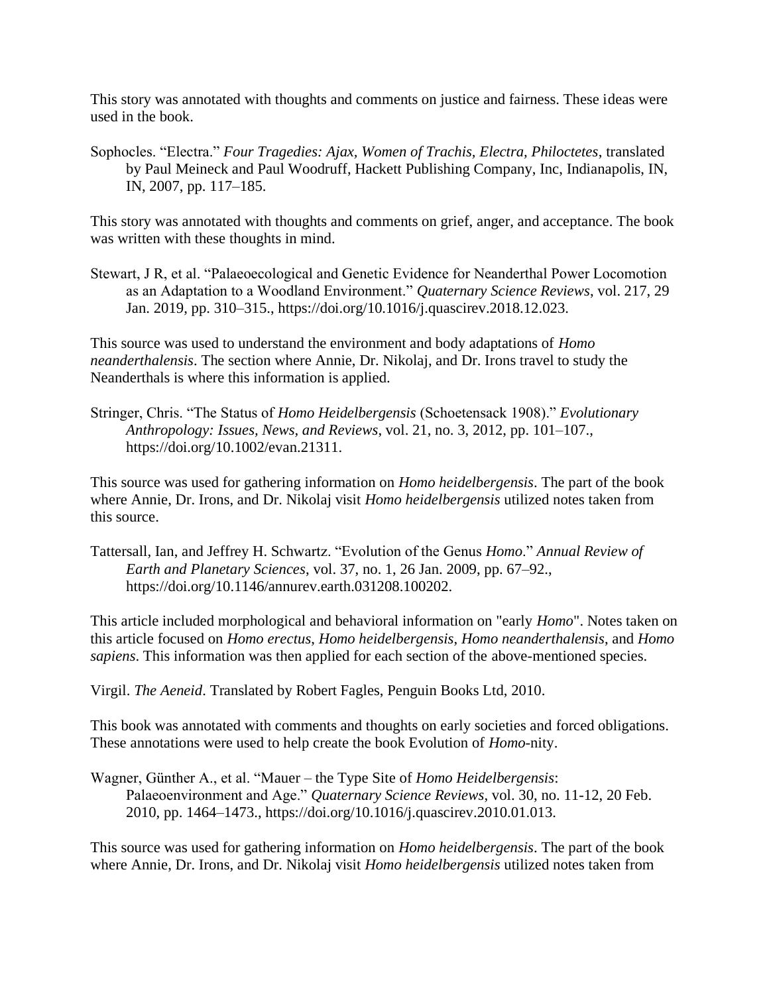This story was annotated with thoughts and comments on justice and fairness. These ideas were used in the book.

Sophocles. "Electra." *Four Tragedies: Ajax, Women of Trachis, Electra, Philoctetes*, translated by Paul Meineck and Paul Woodruff, Hackett Publishing Company, Inc, Indianapolis, IN, IN, 2007, pp. 117–185.

This story was annotated with thoughts and comments on grief, anger, and acceptance. The book was written with these thoughts in mind.

Stewart, J R, et al. "Palaeoecological and Genetic Evidence for Neanderthal Power Locomotion as an Adaptation to a Woodland Environment." *Quaternary Science Reviews*, vol. 217, 29 Jan. 2019, pp. 310–315., https://doi.org/10.1016/j.quascirev.2018.12.023.

This source was used to understand the environment and body adaptations of *Homo neanderthalensis*. The section where Annie, Dr. Nikolaj, and Dr. Irons travel to study the Neanderthals is where this information is applied.

Stringer, Chris. "The Status of *Homo Heidelbergensis* (Schoetensack 1908)." *Evolutionary Anthropology: Issues, News, and Reviews*, vol. 21, no. 3, 2012, pp. 101–107., https://doi.org/10.1002/evan.21311.

This source was used for gathering information on *Homo heidelbergensis*. The part of the book where Annie, Dr. Irons, and Dr. Nikolaj visit *Homo heidelbergensis* utilized notes taken from this source.

Tattersall, Ian, and Jeffrey H. Schwartz. "Evolution of the Genus *Homo*." *Annual Review of Earth and Planetary Sciences*, vol. 37, no. 1, 26 Jan. 2009, pp. 67–92., https://doi.org/10.1146/annurev.earth.031208.100202.

This article included morphological and behavioral information on "early *Homo*". Notes taken on this article focused on *Homo erectus*, *Homo heidelbergensis*, *Homo neanderthalensis*, and *Homo sapiens*. This information was then applied for each section of the above-mentioned species.

Virgil. *The Aeneid*. Translated by Robert Fagles, Penguin Books Ltd, 2010.

This book was annotated with comments and thoughts on early societies and forced obligations. These annotations were used to help create the book Evolution of *Homo*-nity.

Wagner, Günther A., et al. "Mauer – the Type Site of *Homo Heidelbergensis*: Palaeoenvironment and Age." *Quaternary Science Reviews*, vol. 30, no. 11-12, 20 Feb. 2010, pp. 1464–1473., https://doi.org/10.1016/j.quascirev.2010.01.013.

This source was used for gathering information on *Homo heidelbergensis*. The part of the book where Annie, Dr. Irons, and Dr. Nikolaj visit *Homo heidelbergensis* utilized notes taken from